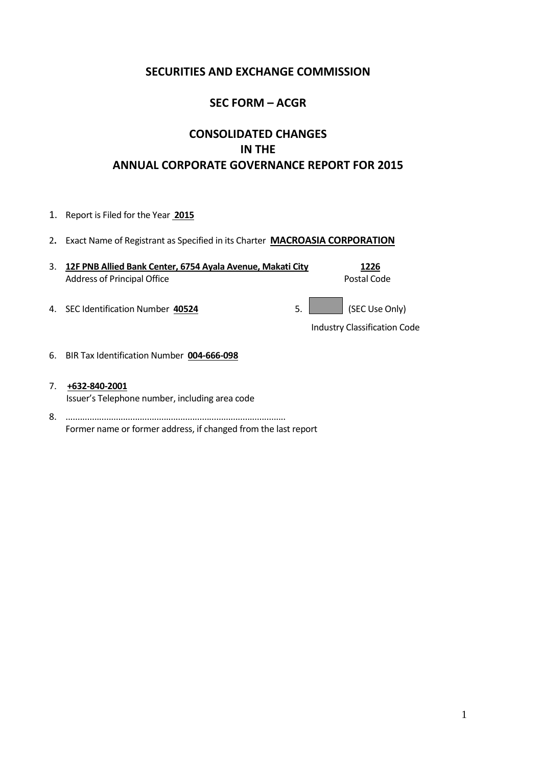# **SECURITIES AND EXCHANGE COMMISSION**

# **SEC FORM – ACGR**

# **CONSOLIDATED CHANGES IN THE ANNUAL CORPORATE GOVERNANCE REPORT FOR 2015**

- 1. Report is Filed for the Year **2015**
- 2**.** Exact Name of Registrant as Specified in its Charter **MACROASIA CORPORATION**

| 3. 12F PNB Allied Bank Center, 6754 Ayala Avenue, Makati City | 1226        |
|---------------------------------------------------------------|-------------|
| Address of Principal Office                                   | Postal Code |
|                                                               |             |

4. SEC Identification Number  $\frac{40524}{200}$  5. (SEC Use Only)

Industry Classification Code

- 6. BIR Tax Identification Number **004-666-098**
- 7. **+632-840-2001** Issuer's Telephone number, including area code
- 8. ............................................................................................ Former name or former address, if changed from the last report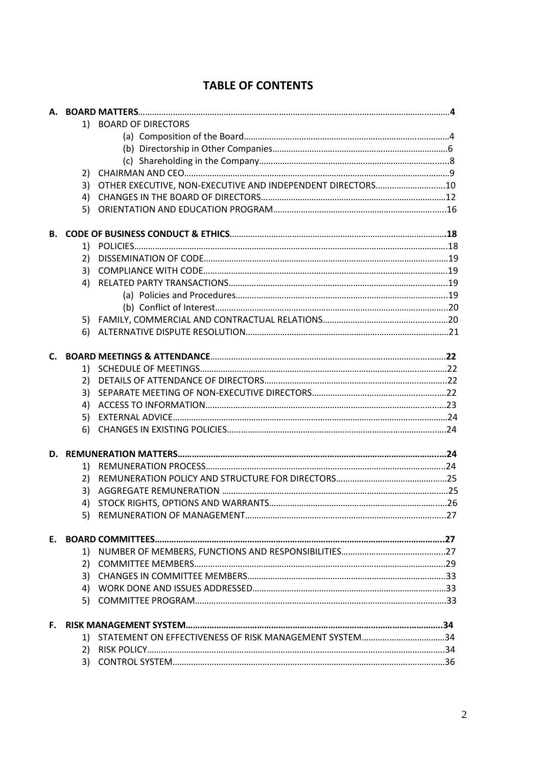|    | 1) | <b>BOARD OF DIRECTORS</b>                                   |  |
|----|----|-------------------------------------------------------------|--|
|    |    |                                                             |  |
|    |    |                                                             |  |
|    |    |                                                             |  |
|    | 2) |                                                             |  |
|    | 3) | OTHER EXECUTIVE, NON-EXECUTIVE AND INDEPENDENT DIRECTORS 10 |  |
|    | 4) |                                                             |  |
|    | 5) |                                                             |  |
|    |    |                                                             |  |
|    | 1) |                                                             |  |
|    | 2) |                                                             |  |
|    | 3) |                                                             |  |
|    | 4) |                                                             |  |
|    |    |                                                             |  |
|    |    |                                                             |  |
|    |    |                                                             |  |
|    | 6) |                                                             |  |
|    |    |                                                             |  |
| C. |    |                                                             |  |
|    | 1) |                                                             |  |
|    | 2) |                                                             |  |
|    | 3) |                                                             |  |
|    | 4) |                                                             |  |
|    | 5) |                                                             |  |
|    | 6) |                                                             |  |
|    |    |                                                             |  |
|    | 1) |                                                             |  |
|    | 2) |                                                             |  |
|    | 3) |                                                             |  |
|    | 4) |                                                             |  |
|    |    |                                                             |  |
| Е. |    |                                                             |  |
|    | 1) |                                                             |  |
|    | 2) |                                                             |  |
|    | 3) |                                                             |  |
|    |    |                                                             |  |
|    | 5) |                                                             |  |
| F. |    |                                                             |  |
|    |    | 1) STATEMENT ON EFFECTIVENESS OF RISK MANAGEMENT SYSTEM34   |  |
|    | 2) |                                                             |  |
|    | 3) |                                                             |  |
|    |    |                                                             |  |

# **TABLE OF CONTENTS**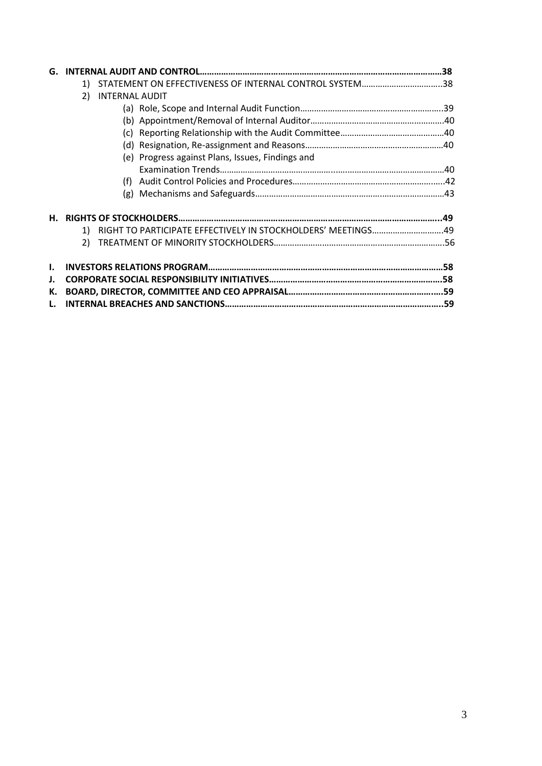|    | STATEMENT ON EFFECTIVENESS OF INTERNAL CONTROL SYSTEM38<br>1)      |  |
|----|--------------------------------------------------------------------|--|
|    | <b>INTERNAL AUDIT</b><br>2)                                        |  |
|    |                                                                    |  |
|    |                                                                    |  |
|    |                                                                    |  |
|    |                                                                    |  |
|    | (e) Progress against Plans, Issues, Findings and                   |  |
|    |                                                                    |  |
|    |                                                                    |  |
|    |                                                                    |  |
| Н. |                                                                    |  |
|    | RIGHT TO PARTICIPATE EFFECTIVELY IN STOCKHOLDERS' MEETINGS49<br>1) |  |
|    | 2)                                                                 |  |
| I. |                                                                    |  |
| J. |                                                                    |  |
| К. |                                                                    |  |
|    |                                                                    |  |
|    |                                                                    |  |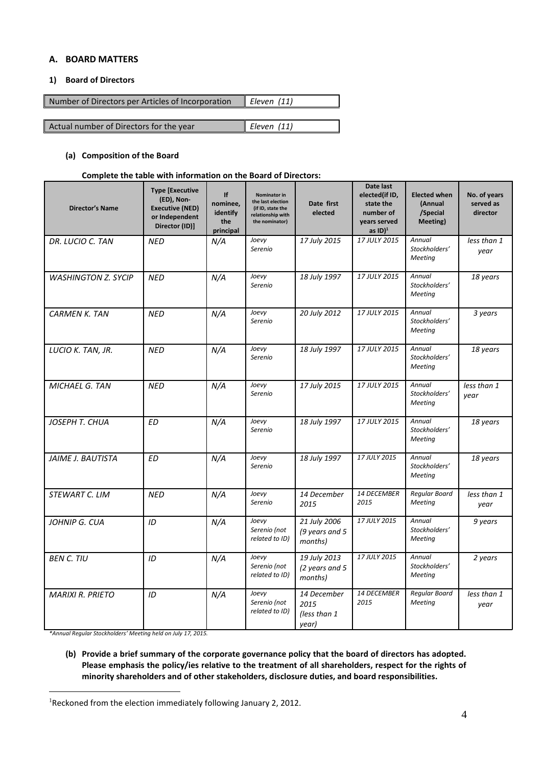# **A. BOARD MATTERS**

# **1) Board of Directors**

| Number of Directors per Articles of Incorporation | $E$ leven (11) |
|---------------------------------------------------|----------------|
|                                                   |                |
| Actual number of Directors for the year           | Eleven (11)    |

#### **(a) Composition of the Board**

#### **Complete the table with information on the Board of Directors:**

| <b>Director's Name</b>     | <b>Type [Executive</b><br>(ED), Non-<br><b>Executive (NED)</b><br>or Independent<br>Director (ID)] | If<br>nominee,<br>identify<br>the<br>principal | Nominator in<br>the last election<br>(if ID, state the<br>relationship with<br>the nominator) | Date first<br>elected                        | Date last<br>elected(if ID,<br>state the<br>number of<br>years served<br>as $ID$ <sup>1</sup> | <b>Elected when</b><br>(Annual<br>/Special<br>Meeting) | No. of years<br>served as<br>director |
|----------------------------|----------------------------------------------------------------------------------------------------|------------------------------------------------|-----------------------------------------------------------------------------------------------|----------------------------------------------|-----------------------------------------------------------------------------------------------|--------------------------------------------------------|---------------------------------------|
| DR. LUCIO C. TAN           | NED                                                                                                | N/A                                            | Joevy<br>Serenio                                                                              | 17 July 2015                                 | 17 JULY 2015                                                                                  | Annual<br>Stockholders'<br>Meeting                     | less than 1<br>year                   |
| <b>WASHINGTON Z. SYCIP</b> | <b>NED</b>                                                                                         | N/A                                            | Joevy<br>Serenio                                                                              | 18 July 1997                                 | 17 JULY 2015                                                                                  | Annual<br>Stockholders'<br>Meeting                     | 18 years                              |
| <b>CARMEN K. TAN</b>       | <b>NED</b>                                                                                         | N/A                                            | Joevy<br>Serenio                                                                              | 20 July 2012                                 | 17 JULY 2015                                                                                  | Annual<br>Stockholders'<br>Meeting                     | 3 years                               |
| LUCIO K. TAN, JR.          | <b>NED</b>                                                                                         | N/A                                            | Joevy<br>Serenio                                                                              | 18 July 1997                                 | 17 JULY 2015                                                                                  | Annual<br>Stockholders'<br><b>Meeting</b>              | 18 years                              |
| <b>MICHAEL G. TAN</b>      | <b>NED</b>                                                                                         | N/A                                            | Joevy<br>Serenio                                                                              | 17 July 2015                                 | 17 JULY 2015                                                                                  | Annual<br>Stockholders'<br>Meeting                     | less than 1<br>year                   |
| JOSEPH T. CHUA             | <b>ED</b>                                                                                          | N/A                                            | Joevy<br>Serenio                                                                              | 18 July 1997                                 | 17 JULY 2015                                                                                  | Annual<br>Stockholders'<br>Meeting                     | 18 years                              |
| JAIME J. BAUTISTA          | <b>ED</b>                                                                                          | N/A                                            | Joevy<br>Serenio                                                                              | 18 July 1997                                 | 17 JULY 2015                                                                                  | Annual<br>Stockholders'<br><b>Meeting</b>              | 18 years                              |
| STEWART C. LIM             | <b>NED</b>                                                                                         | N/A                                            | Joevy<br>Serenio                                                                              | 14 December<br>2015                          | 14 DECEMBER<br>2015                                                                           | Regular Board<br>Meeting                               | less than 1<br>year                   |
| JOHNIP G. CUA              | ID                                                                                                 | N/A                                            | Joevy<br>Serenio (not<br>related to ID)                                                       | 21 July 2006<br>(9 years and 5<br>months)    | 17 JULY 2015                                                                                  | Annual<br>Stockholders'<br>Meeting                     | 9 years                               |
| <b>BEN C. TIU</b>          | ID                                                                                                 | N/A                                            | Joevy<br>Serenio (not<br>related to ID)                                                       | 19 July 2013<br>(2 years and 5<br>months)    | 17 JULY 2015                                                                                  | Annual<br>Stockholders'<br>Meeting                     | 2 years                               |
| <b>MARIXI R. PRIETO</b>    | ID                                                                                                 | N/A                                            | Joevy<br>Serenio (not<br>related to ID)                                                       | 14 December<br>2015<br>(less than 1<br>year) | 14 DECEMBER<br>2015                                                                           | Regular Board<br>Meeting                               | less than 1<br>year                   |

*\*Annual Regular Stockholders' Meeting held on July 17, 2015.*

1

**(b) Provide a brief summary of the corporate governance policy that the board of directors has adopted. Please emphasis the policy/ies relative to the treatment of all shareholders, respect for the rights of minority shareholders and of other stakeholders, disclosure duties, and board responsibilities.**

<sup>&</sup>lt;sup>1</sup> Reckoned from the election immediately following January 2, 2012.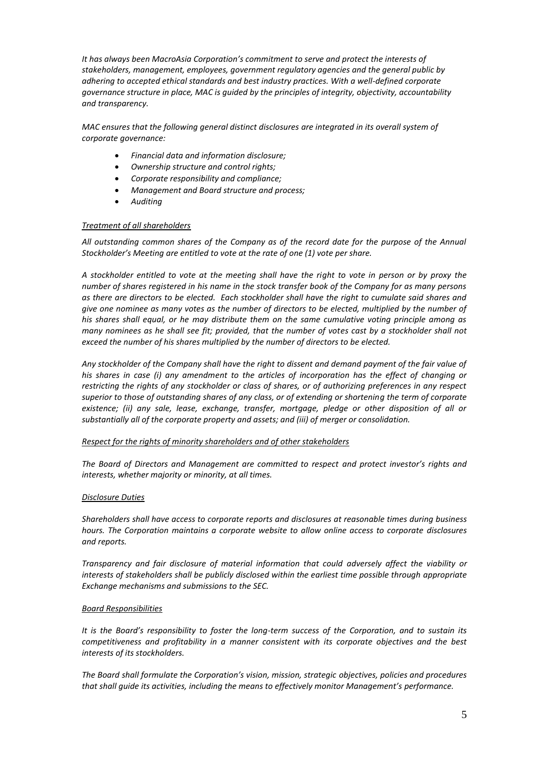*It has always been MacroAsia Corporation's commitment to serve and protect the interests of stakeholders, management, employees, government regulatory agencies and the general public by adhering to accepted ethical standards and best industry practices. With a well-defined corporate governance structure in place, MAC is guided by the principles of integrity, objectivity, accountability and transparency.*

*MAC ensures that the following general distinct disclosures are integrated in its overall system of corporate governance:*

- *Financial data and information disclosure;*
- *Ownership structure and control rights;*
- *Corporate responsibility and compliance;*
- *Management and Board structure and process;*
- *Auditing*

#### *Treatment of all shareholders*

*All outstanding common shares of the Company as of the record date for the purpose of the Annual Stockholder's Meeting are entitled to vote at the rate of one (1) vote per share.*

*A stockholder entitled to vote at the meeting shall have the right to vote in person or by proxy the number of shares registered in his name in the stock transfer book of the Company for as many persons as there are directors to be elected. Each stockholder shall have the right to cumulate said shares and give one nominee as many votes as the number of directors to be elected, multiplied by the number of his shares shall equal, or he may distribute them on the same cumulative voting principle among as many nominees as he shall see fit; provided, that the number of votes cast by a stockholder shall not exceed the number of his shares multiplied by the number of directors to be elected.*

*Any stockholder of the Company shall have the right to dissent and demand payment of the fair value of his shares in case (i) any amendment to the articles of incorporation has the effect of changing or restricting the rights of any stockholder or class of shares, or of authorizing preferences in any respect superior to those of outstanding shares of any class, or of extending or shortening the term of corporate existence; (ii) any sale, lease, exchange, transfer, mortgage, pledge or other disposition of all or substantially all of the corporate property and assets; and (iii) of merger or consolidation.*

# *Respect for the rights of minority shareholders and of other stakeholders*

*The Board of Directors and Management are committed to respect and protect investor's rights and interests, whether majority or minority, at all times.*

# *Disclosure Duties*

*Shareholders shall have access to corporate reports and disclosures at reasonable times during business hours. The Corporation maintains a corporate website to allow online access to corporate disclosures and reports.*

*Transparency and fair disclosure of material information that could adversely affect the viability or interests of stakeholders shall be publicly disclosed within the earliest time possible through appropriate Exchange mechanisms and submissions to the SEC.*

#### *Board Responsibilities*

*It is the Board's responsibility to foster the long-term success of the Corporation, and to sustain its competitiveness and profitability in a manner consistent with its corporate objectives and the best interests of its stockholders.*

*The Board shall formulate the Corporation's vision, mission, strategic objectives, policies and procedures that shall guide its activities, including the means to effectively monitor Management's performance.*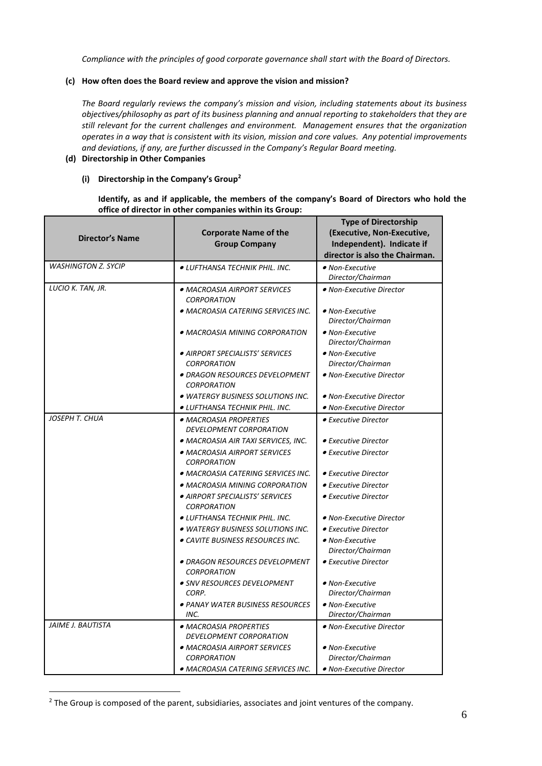*Compliance with the principles of good corporate governance shall start with the Board of Directors.*

# **(c) How often does the Board review and approve the vision and mission?**

*The Board regularly reviews the company's mission and vision, including statements about its business objectives/philosophy as part of its business planning and annual reporting to stakeholders that they are still relevant for the current challenges and environment. Management ensures that the organization operates in a way that is consistent with its vision, mission and core values. Any potential improvements and deviations, if any, are further discussed in the Company's Regular Board meeting.*

# **(d) Directorship in Other Companies**

# **(i) Directorship in the Company's Group<sup>2</sup>**

# **Identify, as and if applicable, the members of the company's Board of Directors who hold the office of director in other companies within its Group:**

| <b>Director's Name</b>     | <b>Corporate Name of the</b><br><b>Group Company</b>     | <b>Type of Directorship</b><br>(Executive, Non-Executive,<br>Independent). Indicate if |
|----------------------------|----------------------------------------------------------|----------------------------------------------------------------------------------------|
|                            |                                                          | director is also the Chairman.                                                         |
| <b>WASHINGTON Z. SYCIP</b> | <i>• LUFTHANSA TECHNIK PHIL. INC.</i>                    | • Non-Executive                                                                        |
|                            |                                                          | Director/Chairman                                                                      |
| LUCIO K. TAN, JR.          | · MACROASIA AIRPORT SERVICES                             | • Non-Executive Director                                                               |
|                            | <b>CORPORATION</b>                                       |                                                                                        |
|                            | • MACROASIA CATERING SERVICES INC.                       | • Non-Executive                                                                        |
|                            |                                                          | Director/Chairman                                                                      |
|                            | • MACROASIA MINING CORPORATION                           | • Non-Executive                                                                        |
|                            |                                                          | Director/Chairman                                                                      |
|                            | · AIRPORT SPECIALISTS' SERVICES<br><b>CORPORATION</b>    | • Non-Executive<br>Director/Chairman                                                   |
|                            | · DRAGON RESOURCES DEVELOPMENT                           | • Non-Executive Director                                                               |
|                            | <b>CORPORATION</b>                                       |                                                                                        |
|                            | • WATERGY BUSINESS SOLUTIONS INC.                        | • Non-Executive Director                                                               |
|                            | ● LUFTHANSA TECHNIK PHIL. INC.                           | • Non-Executive Director                                                               |
| JOSEPH T. CHUA             | • MACROASIA PROPERTIES                                   | • Executive Director                                                                   |
|                            | <b>DEVELOPMENT CORPORATION</b>                           |                                                                                        |
|                            | • MACROASIA AIR TAXI SERVICES, INC.                      | • Executive Director                                                                   |
|                            | · MACROASIA AIRPORT SERVICES<br><b>CORPORATION</b>       | • Executive Director                                                                   |
|                            | · MACROASIA CATERING SERVICES INC.                       | • Executive Director                                                                   |
|                            | • MACROASIA MINING CORPORATION                           | • Executive Director                                                                   |
|                            | · AIRPORT SPECIALISTS' SERVICES<br><b>CORPORATION</b>    | • Executive Director                                                                   |
|                            | ● LUFTHANSA TECHNIK PHIL. INC.                           | • Non-Executive Director                                                               |
|                            | • WATERGY BUSINESS SOLUTIONS INC.                        | • Executive Director                                                                   |
|                            | <i>• CAVITE BUSINESS RESOURCES INC.</i>                  | • Non-Executive                                                                        |
|                            |                                                          | Director/Chairman                                                                      |
|                            | ● DRAGON RESOURCES DEVELOPMENT<br><b>CORPORATION</b>     | • Executive Director                                                                   |
|                            | • SNV RESOURCES DEVELOPMENT                              | • Non-Executive                                                                        |
|                            | CORP.                                                    | Director/Chairman                                                                      |
|                            | ● PANAY WATER BUSINESS RESOURCES                         | · Non-Executive                                                                        |
|                            | INC.                                                     | Director/Chairman                                                                      |
| JAIME J. BAUTISTA          | · MACROASIA PROPERTIES<br><b>DEVELOPMENT CORPORATION</b> | • Non-Executive Director                                                               |
|                            | · MACROASIA AIRPORT SERVICES                             | • Non-Executive                                                                        |
|                            | <b>CORPORATION</b>                                       | Director/Chairman                                                                      |
|                            | · MACROASIA CATERING SERVICES INC.                       | • Non-Executive Director                                                               |

 $2$  The Group is composed of the parent, subsidiaries, associates and joint ventures of the company.

1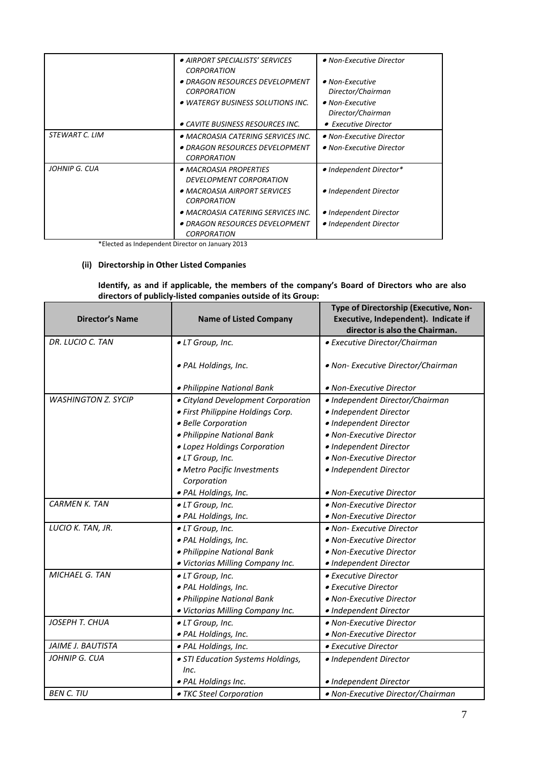|                | AIRPORT SPECIALISTS' SERVICES<br><b>CORPORATION</b>  | • Non-Executive Director |
|----------------|------------------------------------------------------|--------------------------|
|                | • DRAGON RESOURCES DEVELOPMENT                       | $\bullet$ Non-Executive  |
|                | <b>CORPORATION</b>                                   | Director/Chairman        |
|                | • WATERGY BUSINESS SOLUTIONS INC.                    | $\bullet$ Non-Executive  |
|                |                                                      | Director/Chairman        |
|                | • CAVITE BUSINESS RESOURCES INC.                     | • Executive Director     |
| STEWART C. LIM | • MACROASIA CATERING SERVICES INC.                   | • Non-Executive Director |
|                | • DRAGON RESOURCES DEVELOPMENT<br><b>CORPORATION</b> | • Non-Executive Director |
| JOHNIP G. CUA  | • MACROASIA PROPERTIES<br>DEVELOPMENT CORPORATION    | • Independent Director*  |
|                | • MACROASIA AIRPORT SERVICES<br><b>CORPORATION</b>   | • Independent Director   |
|                | • MACROASIA CATERING SERVICES INC.                   | • Independent Director   |
|                | • DRAGON RESOURCES DEVELOPMENT<br><b>CORPORATION</b> | • Independent Director   |

\*Elected as Independent Director on January 2013

# **(ii) Directorship in Other Listed Companies**

# **Identify, as and if applicable, the members of the company's Board of Directors who are also directors of publicly-listed companies outside of its Group:**

| <b>Director's Name</b>     | <b>Name of Listed Company</b>      | Type of Directorship (Executive, Non-<br>Executive, Independent). Indicate if<br>director is also the Chairman. |
|----------------------------|------------------------------------|-----------------------------------------------------------------------------------------------------------------|
| DR. LUCIO C. TAN           | · LT Group, Inc.                   | • Executive Director/Chairman                                                                                   |
|                            | • PAL Holdings, Inc.               | • Non- Executive Director/Chairman                                                                              |
|                            | · Philippine National Bank         | • Non-Executive Director                                                                                        |
| <b>WASHINGTON Z. SYCIP</b> | • Cityland Development Corporation | • Independent Director/Chairman                                                                                 |
|                            | • First Philippine Holdings Corp.  | · Independent Director                                                                                          |
|                            | · Belle Corporation                | · Independent Director                                                                                          |
|                            | · Philippine National Bank         | · Non-Executive Director                                                                                        |
|                            | • Lopez Holdings Corporation       | · Independent Director                                                                                          |
|                            | · LT Group, Inc.                   | · Non-Executive Director                                                                                        |
|                            | · Metro Pacific Investments        | · Independent Director                                                                                          |
|                            | Corporation                        |                                                                                                                 |
|                            | · PAL Holdings, Inc.               | • Non-Executive Director                                                                                        |
| <b>CARMEN K. TAN</b>       | · LT Group, Inc.                   | • Non-Executive Director                                                                                        |
|                            | · PAL Holdings, Inc.               | • Non-Executive Director                                                                                        |
| LUCIO K. TAN, JR.          | · LT Group, Inc.                   | • Non- Executive Director                                                                                       |
|                            | · PAL Holdings, Inc.               | • Non-Executive Director                                                                                        |
|                            | · Philippine National Bank         | • Non-Executive Director                                                                                        |
|                            | . Victorias Milling Company Inc.   | · Independent Director                                                                                          |
| MICHAEL G. TAN             | · LT Group, Inc.                   | • Executive Director                                                                                            |
|                            | · PAL Holdings, Inc.               | • Executive Director                                                                                            |
|                            | · Philippine National Bank         | • Non-Executive Director                                                                                        |
|                            | . Victorias Milling Company Inc.   | · Independent Director                                                                                          |
| JOSEPH T. CHUA             | · LT Group, Inc.                   | • Non-Executive Director                                                                                        |
|                            | · PAL Holdings, Inc.               | • Non-Executive Director                                                                                        |
| <b>JAIME J. BAUTISTA</b>   | · PAL Holdings, Inc.               | • Executive Director                                                                                            |
| JOHNIP G. CUA              | • STI Education Systems Holdings,  | · Independent Director                                                                                          |
|                            | Inc.                               |                                                                                                                 |
|                            | · PAL Holdings Inc.                | · Independent Director                                                                                          |
| <b>BEN C. TIU</b>          | • TKC Steel Corporation            | • Non-Executive Director/Chairman                                                                               |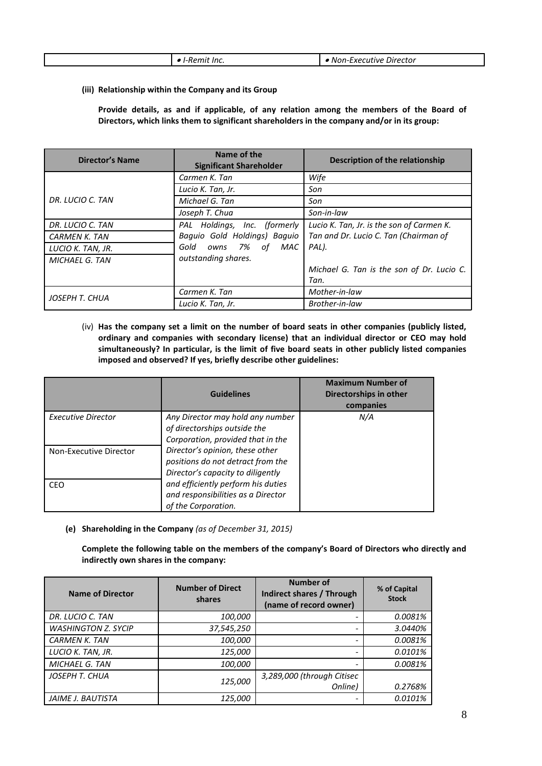|  |  | -I-Remit Inc. | , Non-Executive Director |
|--|--|---------------|--------------------------|
|--|--|---------------|--------------------------|

# **(iii) Relationship within the Company and its Group**

**Provide details, as and if applicable, of any relation among the members of the Board of Directors, which links them to significant shareholders in the company and/or in its group:**

| <b>Director's Name</b> | Name of the<br><b>Significant Shareholder</b> | Description of the relationship           |
|------------------------|-----------------------------------------------|-------------------------------------------|
|                        | Carmen K. Tan                                 | Wife                                      |
|                        | Lucio K. Tan, Jr.                             | Son                                       |
| DR. LUCIO C. TAN       | Michael G. Tan                                | Son                                       |
|                        | Joseph T. Chua                                | Son-in-law                                |
| DR. LUCIO C. TAN       | Holdings, Inc. (formerly<br>PAL               | Lucio K. Tan, Jr. is the son of Carmen K. |
| <b>CARMEN K. TAN</b>   | Baguio Gold Holdings) Baguio                  | Tan and Dr. Lucio C. Tan (Chairman of     |
| LUCIO K. TAN, JR.      | 7% of MAC<br>Gold<br>owns                     | PAL).                                     |
| <b>MICHAEL G. TAN</b>  | outstanding shares.                           |                                           |
|                        |                                               | Michael G. Tan is the son of Dr. Lucio C. |
|                        |                                               | Tan.                                      |
| JOSEPH T. CHUA         | Carmen K. Tan                                 | Mother-in-law                             |
|                        | Lucio K. Tan, Jr.                             | Brother-in-law                            |

(iv) **Has the company set a limit on the number of board seats in other companies (publicly listed, ordinary and companies with secondary license) that an individual director or CEO may hold simultaneously? In particular, is the limit of five board seats in other publicly listed companies imposed and observed? If yes, briefly describe other guidelines:**

|                        | <b>Guidelines</b>                                                                                         | <b>Maximum Number of</b><br>Directorships in other<br>companies |
|------------------------|-----------------------------------------------------------------------------------------------------------|-----------------------------------------------------------------|
| Executive Director     | Any Director may hold any number<br>of directorships outside the<br>Corporation, provided that in the     | N/A                                                             |
| Non-Executive Director | Director's opinion, these other<br>positions do not detract from the<br>Director's capacity to diligently |                                                                 |
| <b>CEO</b>             | and efficiently perform his duties<br>and responsibilities as a Director<br>of the Corporation.           |                                                                 |

**(e) Shareholding in the Company** *(as of December 31, 2015)*

**Complete the following table on the members of the company's Board of Directors who directly and indirectly own shares in the company:**

| <b>Name of Director</b>    | <b>Number of Direct</b><br>shares | <b>Number of</b><br>Indirect shares / Through<br>(name of record owner) | % of Capital<br><b>Stock</b> |
|----------------------------|-----------------------------------|-------------------------------------------------------------------------|------------------------------|
| DR. LUCIO C. TAN           | 100,000                           |                                                                         | 0.0081%                      |
| <b>WASHINGTON Z. SYCIP</b> | 37,545,250                        | -                                                                       | 3.0440%                      |
| <b>CARMEN K. TAN</b>       | 100,000                           | $\qquad \qquad \blacksquare$                                            | 0.0081%                      |
| LUCIO K. TAN, JR.          | 125,000                           | $\overline{\phantom{0}}$                                                | 0.0101%                      |
| <b>MICHAEL G. TAN</b>      | 100,000                           | $\overline{\phantom{a}}$                                                | 0.0081%                      |
| JOSEPH T. CHUA             | 125,000                           | 3,289,000 (through Citisec                                              |                              |
|                            |                                   | Online)                                                                 | 0.2768%                      |
| JAIME J. BAUTISTA          | 125,000                           | $\qquad \qquad \blacksquare$                                            | 0.0101%                      |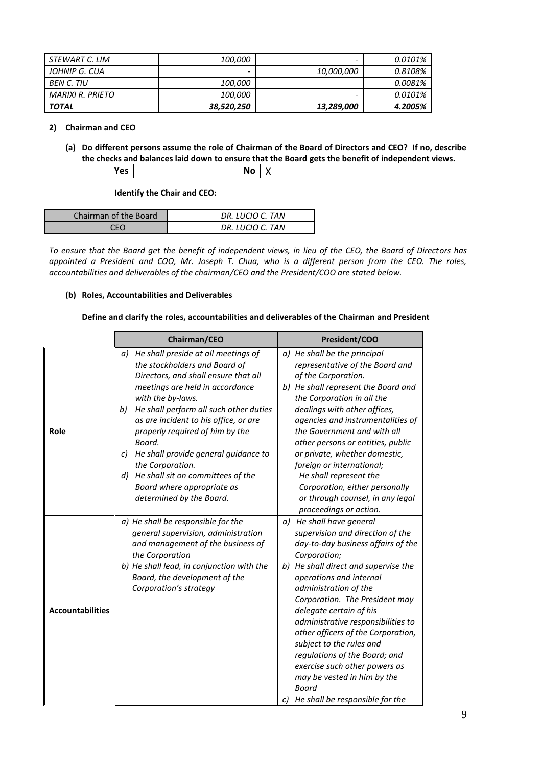| STEWART C. LIM   | <i>100,000</i> | -                 | 0.0101% |
|------------------|----------------|-------------------|---------|
| JOHNIP G. CUA    |                | <i>10,000,000</i> | 0.8108% |
| BEN C. TIU       | <i>100,000</i> |                   | 0.0081% |
| MARIXI R. PRIETO | <i>100,000</i> | -                 | 0.0101% |
| <b>TOTAL</b>     | 38,520,250     | 13,289,000        | 4.2005% |

**2) Chairman and CEO**

**(a) Do different persons assume the role of Chairman of the Board of Directors and CEO? If no, describe the checks and balances laid down to ensure that the Board gets the benefit of independent views.**  $Yes$  **No** X

**Identify the Chair and CEO:**

| Chairman of the Board | DR. LUCIO C. TAN |
|-----------------------|------------------|
|                       | DR. LUCIO C. TAN |

*To ensure that the Board get the benefit of independent views, in lieu of the CEO, the Board of Directors has appointed a President and COO, Mr. Joseph T. Chua, who is a different person from the CEO. The roles, accountabilities and deliverables of the chairman/CEO and the President/COO are stated below.* 

# **(b) Roles, Accountabilities and Deliverables**

#### **Define and clarify the roles, accountabilities and deliverables of the Chairman and President**

|                         | Chairman/CEO                                                                                                                                                                                                                                                                                                                                                                                                                                                | President/COO                                                                                                                                                                                                                                                                                                                                                                                                                  |  |  |
|-------------------------|-------------------------------------------------------------------------------------------------------------------------------------------------------------------------------------------------------------------------------------------------------------------------------------------------------------------------------------------------------------------------------------------------------------------------------------------------------------|--------------------------------------------------------------------------------------------------------------------------------------------------------------------------------------------------------------------------------------------------------------------------------------------------------------------------------------------------------------------------------------------------------------------------------|--|--|
| Role                    | He shall preside at all meetings of<br>a)<br>the stockholders and Board of<br>Directors, and shall ensure that all<br>meetings are held in accordance<br>with the by-laws.<br>He shall perform all such other duties<br>b)<br>as are incident to his office, or are<br>properly required of him by the<br>Board.<br>He shall provide general guidance to<br>C)<br>the Corporation.<br>He shall sit on committees of the<br>d)<br>Board where appropriate as | a) He shall be the principal<br>representative of the Board and<br>of the Corporation.<br>b) He shall represent the Board and<br>the Corporation in all the<br>dealings with other offices,<br>agencies and instrumentalities of<br>the Government and with all<br>other persons or entities, public<br>or private, whether domestic,<br>foreign or international;<br>He shall represent the<br>Corporation, either personally |  |  |
|                         | determined by the Board.                                                                                                                                                                                                                                                                                                                                                                                                                                    | or through counsel, in any legal<br>proceedings or action.                                                                                                                                                                                                                                                                                                                                                                     |  |  |
|                         | a) He shall be responsible for the<br>general supervision, administration<br>and management of the business of<br>the Corporation                                                                                                                                                                                                                                                                                                                           | a) He shall have general<br>supervision and direction of the<br>day-to-day business affairs of the<br>Corporation;                                                                                                                                                                                                                                                                                                             |  |  |
| <b>Accountabilities</b> | b) He shall lead, in conjunction with the<br>Board, the development of the<br>Corporation's strategy                                                                                                                                                                                                                                                                                                                                                        | b) He shall direct and supervise the<br>operations and internal<br>administration of the<br>Corporation. The President may<br>delegate certain of his<br>administrative responsibilities to<br>other officers of the Corporation,<br>subject to the rules and<br>regulations of the Board; and<br>exercise such other powers as<br>may be vested in him by the<br>Board<br>c) He shall be responsible for the                  |  |  |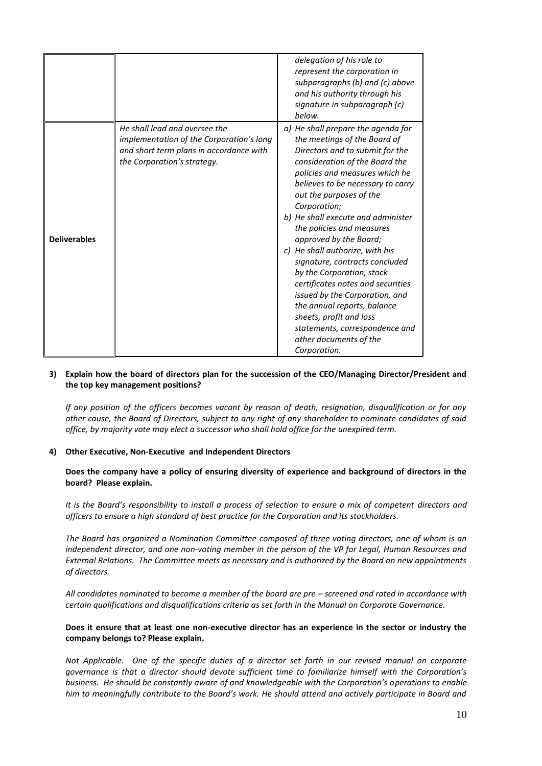|                     |                                                                                                                                                     | delegation of his role to<br>represent the corporation in<br>subparagraphs (b) and (c) above<br>and his authority through his<br>signature in subparagraph (c)<br>below.                                                                                                                                                                                                                                                                                                                                                                                                                                                                                              |
|---------------------|-----------------------------------------------------------------------------------------------------------------------------------------------------|-----------------------------------------------------------------------------------------------------------------------------------------------------------------------------------------------------------------------------------------------------------------------------------------------------------------------------------------------------------------------------------------------------------------------------------------------------------------------------------------------------------------------------------------------------------------------------------------------------------------------------------------------------------------------|
| <b>Deliverables</b> | He shall lead and oversee the<br>implementation of the Corporation's long<br>and short term plans in accordance with<br>the Corporation's strategy. | a) He shall prepare the agenda for<br>the meetings of the Board of<br>Directors and to submit for the<br>consideration of the Board the<br>policies and measures which he<br>believes to be necessary to carry<br>out the purposes of the<br>Corporation;<br>b) He shall execute and administer<br>the policies and measures<br>approved by the Board;<br>c) He shall authorize, with his<br>signature, contracts concluded<br>by the Corporation, stock<br>certificates notes and securities<br>issued by the Corporation, and<br>the annual reports, balance<br>sheets, profit and loss<br>statements, correspondence and<br>other documents of the<br>Corporation. |

#### **3) Explain how the board of directors plan for the succession of the CEO/Managing Director/President and the top key management positions?**

*If any position of the officers becomes vacant by reason of death, resignation, disqualification or for any other cause, the Board of Directors, subject to any right of any shareholder to nominate candidates of said office, by majority vote may elect a successor who shall hold office for the unexpired term.*

# **4) Other Executive, Non-Executive and Independent Directors**

**Does the company have a policy of ensuring diversity of experience and background of directors in the board? Please explain.**

*It is the Board's responsibility to install a process of selection to ensure a mix of competent directors and officers to ensure a high standard of best practice for the Corporation and its stockholders.*

*The Board has organized a Nomination Committee composed of three voting directors, one of whom is an independent director, and one non-voting member in the person of the VP for Legal, Human Resources and External Relations. The Committee meets as necessary and is authorized by the Board on new appointments of directors.*

*All candidates nominated to become a member of the board are pre – screened and rated in accordance with certain qualifications and disqualifications criteria as set forth in the Manual on Corporate Governance.*

#### **Does it ensure that at least one non-executive director has an experience in the sector or industry the company belongs to? Please explain.**

*Not Applicable. One of the specific duties of a director set forth in our revised manual on corporate governance is that a director should devote sufficient time to familiarize himself with the Corporation's business. He should be constantly aware of and knowledgeable with the Corporation's operations to enable him to meaningfully contribute to the Board's work. He should attend and actively participate in Board and*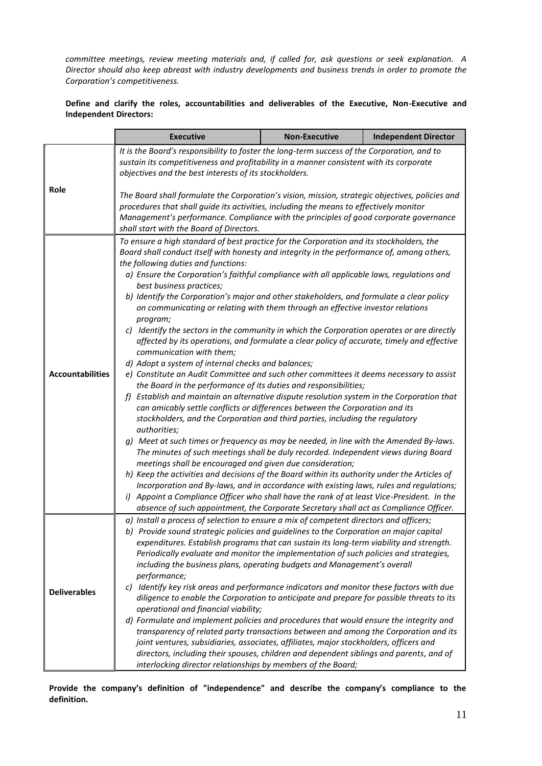*committee meetings, review meeting materials and, if called for, ask questions or seek explanation. A Director should also keep abreast with industry developments and business trends in order to promote the Corporation's competitiveness.*

# **Define and clarify the roles, accountabilities and deliverables of the Executive, Non-Executive and Independent Directors:**

|                         | <b>Executive</b>                                                                                                                                                                                                                                                                                                                                                                                                                                                                                                                                                                                                                                                                                                                                                                                                                                                                                                                                                                                                                                                                                                                                                            | <b>Non-Executive</b> | <b>Independent Director</b> |  |  |
|-------------------------|-----------------------------------------------------------------------------------------------------------------------------------------------------------------------------------------------------------------------------------------------------------------------------------------------------------------------------------------------------------------------------------------------------------------------------------------------------------------------------------------------------------------------------------------------------------------------------------------------------------------------------------------------------------------------------------------------------------------------------------------------------------------------------------------------------------------------------------------------------------------------------------------------------------------------------------------------------------------------------------------------------------------------------------------------------------------------------------------------------------------------------------------------------------------------------|----------------------|-----------------------------|--|--|
|                         | It is the Board's responsibility to foster the long-term success of the Corporation, and to<br>sustain its competitiveness and profitability in a manner consistent with its corporate<br>objectives and the best interests of its stockholders.                                                                                                                                                                                                                                                                                                                                                                                                                                                                                                                                                                                                                                                                                                                                                                                                                                                                                                                            |                      |                             |  |  |
| Role                    | The Board shall formulate the Corporation's vision, mission, strategic objectives, policies and<br>procedures that shall guide its activities, including the means to effectively monitor<br>Management's performance. Compliance with the principles of good corporate governance<br>shall start with the Board of Directors.                                                                                                                                                                                                                                                                                                                                                                                                                                                                                                                                                                                                                                                                                                                                                                                                                                              |                      |                             |  |  |
| <b>Accountabilities</b> | To ensure a high standard of best practice for the Corporation and its stockholders, the<br>Board shall conduct itself with honesty and integrity in the performance of, among others,<br>the following duties and functions:<br>a) Ensure the Corporation's faithful compliance with all applicable laws, regulations and<br>best business practices;<br>b) Identify the Corporation's major and other stakeholders, and formulate a clear policy<br>on communicating or relating with them through an effective investor relations<br>program;<br>c) Identify the sectors in the community in which the Corporation operates or are directly<br>affected by its operations, and formulate a clear policy of accurate, timely and effective<br>communication with them;<br>d) Adopt a system of internal checks and balances;<br>e) Constitute an Audit Committee and such other committees it deems necessary to assist<br>the Board in the performance of its duties and responsibilities;<br>f) Establish and maintain an alternative dispute resolution system in the Corporation that<br>can amicably settle conflicts or differences between the Corporation and its |                      |                             |  |  |
|                         | stockholders, and the Corporation and third parties, including the regulatory<br>authorities;<br>g) Meet at such times or frequency as may be needed, in line with the Amended By-laws.<br>The minutes of such meetings shall be duly recorded. Independent views during Board<br>meetings shall be encouraged and given due consideration;<br>h) Keep the activities and decisions of the Board within its authority under the Articles of<br>Incorporation and By-laws, and in accordance with existing laws, rules and regulations;<br>i) Appoint a Compliance Officer who shall have the rank of at least Vice-President. In the<br>absence of such appointment, the Corporate Secretary shall act as Compliance Officer.                                                                                                                                                                                                                                                                                                                                                                                                                                               |                      |                             |  |  |
| <b>Deliverables</b>     | a) Install a process of selection to ensure a mix of competent directors and officers;<br>b) Provide sound strategic policies and guidelines to the Corporation on major capital<br>expenditures. Establish programs that can sustain its long-term viability and strength.<br>Periodically evaluate and monitor the implementation of such policies and strategies,<br>including the business plans, operating budgets and Management's overall<br>performance;<br>c) Identify key risk areas and performance indicators and monitor these factors with due<br>diligence to enable the Corporation to anticipate and prepare for possible threats to its<br>operational and financial viability;<br>d) Formulate and implement policies and procedures that would ensure the integrity and<br>transparency of related party transactions between and among the Corporation and its<br>joint ventures, subsidiaries, associates, affiliates, major stockholders, officers and<br>directors, including their spouses, children and dependent siblings and parents, and of<br>interlocking director relationships by members of the Board;                                    |                      |                             |  |  |

**Provide the company's definition of "independence" and describe the company's compliance to the definition.**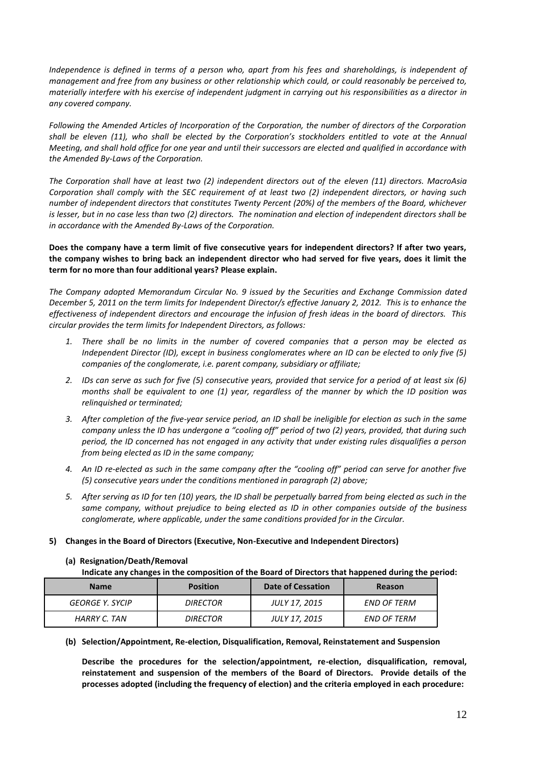*Independence is defined in terms of a person who, apart from his fees and shareholdings, is independent of management and free from any business or other relationship which could, or could reasonably be perceived to, materially interfere with his exercise of independent judgment in carrying out his responsibilities as a director in any covered company.*

*Following the Amended Articles of Incorporation of the Corporation, the number of directors of the Corporation shall be eleven (11), who shall be elected by the Corporation's stockholders entitled to vote at the Annual Meeting, and shall hold office for one year and until their successors are elected and qualified in accordance with the Amended By-Laws of the Corporation.*

*The Corporation shall have at least two (2) independent directors out of the eleven (11) directors. MacroAsia Corporation shall comply with the SEC requirement of at least two (2) independent directors, or having such number of independent directors that constitutes Twenty Percent (20%) of the members of the Board, whichever is lesser, but in no case less than two (2) directors. The nomination and election of independent directors shall be in accordance with the Amended By-Laws of the Corporation.*

# **Does the company have a term limit of five consecutive years for independent directors? If after two years, the company wishes to bring back an independent director who had served for five years, does it limit the term for no more than four additional years? Please explain.**

*The Company adopted Memorandum Circular No. 9 issued by the Securities and Exchange Commission dated December 5, 2011 on the term limits for Independent Director/s effective January 2, 2012. This is to enhance the effectiveness of independent directors and encourage the infusion of fresh ideas in the board of directors. This circular provides the term limits for Independent Directors, as follows:*

- *1. There shall be no limits in the number of covered companies that a person may be elected as Independent Director (ID), except in business conglomerates where an ID can be elected to only five (5) companies of the conglomerate, i.e. parent company, subsidiary or affiliate;*
- *2. IDs can serve as such for five (5) consecutive years, provided that service for a period of at least six (6) months shall be equivalent to one (1) year, regardless of the manner by which the ID position was relinquished or terminated;*
- *3. After completion of the five-year service period, an ID shall be ineligible for election as such in the same company unless the ID has undergone a "cooling off" period of two (2) years, provided, that during such period, the ID concerned has not engaged in any activity that under existing rules disqualifies a person from being elected as ID in the same company;*
- *4. An ID re-elected as such in the same company after the "cooling off" period can serve for another five (5) consecutive years under the conditions mentioned in paragraph (2) above;*
- *5. After serving as ID for ten (10) years, the ID shall be perpetually barred from being elected as such in the same company, without prejudice to being elected as ID in other companies outside of the business conglomerate, where applicable, under the same conditions provided for in the Circular.*

# **5) Changes in the Board of Directors (Executive, Non-Executive and Independent Directors)**

# **(a) Resignation/Death/Removal**

**Indicate any changes in the composition of the Board of Directors that happened during the period:**

| <b>Name</b>     | <b>Position</b> | Date of Cessation | Reason      |
|-----------------|-----------------|-------------------|-------------|
| GEORGE Y. SYCIP | <i>DIRECTOR</i> | JULY 17, 2015     | END OF TERM |
| HARRY C. TAN    | <b>DIRECTOR</b> | JULY 17, 2015     | END OF TERM |

**(b) Selection/Appointment, Re-election, Disqualification, Removal, Reinstatement and Suspension**

**Describe the procedures for the selection/appointment, re-election, disqualification, removal, reinstatement and suspension of the members of the Board of Directors. Provide details of the processes adopted (including the frequency of election) and the criteria employed in each procedure:**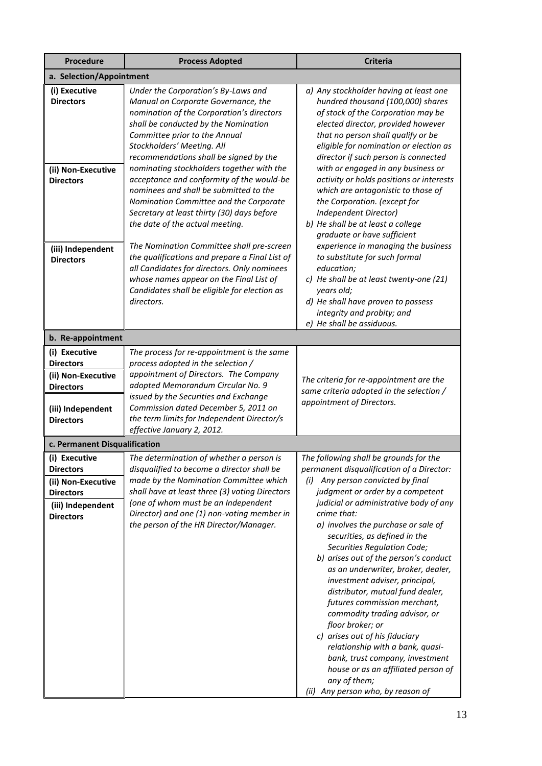| <b>Procedure</b>                                                                                                     | <b>Process Adopted</b>                                                                                                                                                                                                                                                                                                                                                                                                                                                                                                                                                               | <b>Criteria</b>                                                                                                                                                                                                                                                                                                                                                                                                                                                                                                                                                                                                                                 |
|----------------------------------------------------------------------------------------------------------------------|--------------------------------------------------------------------------------------------------------------------------------------------------------------------------------------------------------------------------------------------------------------------------------------------------------------------------------------------------------------------------------------------------------------------------------------------------------------------------------------------------------------------------------------------------------------------------------------|-------------------------------------------------------------------------------------------------------------------------------------------------------------------------------------------------------------------------------------------------------------------------------------------------------------------------------------------------------------------------------------------------------------------------------------------------------------------------------------------------------------------------------------------------------------------------------------------------------------------------------------------------|
| a. Selection/Appointment                                                                                             |                                                                                                                                                                                                                                                                                                                                                                                                                                                                                                                                                                                      |                                                                                                                                                                                                                                                                                                                                                                                                                                                                                                                                                                                                                                                 |
| (i) Executive<br><b>Directors</b><br>(ii) Non-Executive<br><b>Directors</b>                                          | Under the Corporation's By-Laws and<br>Manual on Corporate Governance, the<br>nomination of the Corporation's directors<br>shall be conducted by the Nomination<br>Committee prior to the Annual<br>Stockholders' Meeting. All<br>recommendations shall be signed by the<br>nominating stockholders together with the<br>acceptance and conformity of the would-be<br>nominees and shall be submitted to the<br>Nomination Committee and the Corporate<br>Secretary at least thirty (30) days before<br>the date of the actual meeting.<br>The Nomination Committee shall pre-screen | a) Any stockholder having at least one<br>hundred thousand (100,000) shares<br>of stock of the Corporation may be<br>elected director, provided however<br>that no person shall qualify or be<br>eligible for nomination or election as<br>director if such person is connected<br>with or engaged in any business or<br>activity or holds positions or interests<br>which are antagonistic to those of<br>the Corporation. (except for<br>Independent Director)<br>b) He shall be at least a college<br>graduate or have sufficient<br>experience in managing the business                                                                     |
| (iii) Independent<br><b>Directors</b>                                                                                | the qualifications and prepare a Final List of<br>all Candidates for directors. Only nominees<br>whose names appear on the Final List of<br>Candidates shall be eligible for election as<br>directors.                                                                                                                                                                                                                                                                                                                                                                               | to substitute for such formal<br>education;<br>c) He shall be at least twenty-one (21)<br>years old;<br>d) He shall have proven to possess<br>integrity and probity; and<br>e) He shall be assiduous.                                                                                                                                                                                                                                                                                                                                                                                                                                           |
| b. Re-appointment                                                                                                    |                                                                                                                                                                                                                                                                                                                                                                                                                                                                                                                                                                                      |                                                                                                                                                                                                                                                                                                                                                                                                                                                                                                                                                                                                                                                 |
| (i) Executive<br><b>Directors</b><br>(ii) Non-Executive<br><b>Directors</b><br>(iii) Independent<br><b>Directors</b> | The process for re-appointment is the same<br>process adopted in the selection /<br>appointment of Directors. The Company<br>adopted Memorandum Circular No. 9<br>issued by the Securities and Exchange<br>Commission dated December 5, 2011 on<br>the term limits for Independent Director/s<br>effective January 2, 2012.                                                                                                                                                                                                                                                          | The criteria for re-appointment are the<br>same criteria adopted in the selection /<br>appointment of Directors.                                                                                                                                                                                                                                                                                                                                                                                                                                                                                                                                |
| c. Permanent Disqualification                                                                                        |                                                                                                                                                                                                                                                                                                                                                                                                                                                                                                                                                                                      |                                                                                                                                                                                                                                                                                                                                                                                                                                                                                                                                                                                                                                                 |
| (i) Executive<br><b>Directors</b><br>(ii) Non-Executive                                                              | The determination of whether a person is<br>disqualified to become a director shall be<br>made by the Nomination Committee which                                                                                                                                                                                                                                                                                                                                                                                                                                                     | The following shall be grounds for the<br>permanent disqualification of a Director:<br>(i) Any person convicted by final                                                                                                                                                                                                                                                                                                                                                                                                                                                                                                                        |
| <b>Directors</b><br>(iii) Independent<br><b>Directors</b>                                                            | shall have at least three (3) voting Directors<br>(one of whom must be an Independent<br>Director) and one (1) non-voting member in<br>the person of the HR Director/Manager.                                                                                                                                                                                                                                                                                                                                                                                                        | judgment or order by a competent<br>judicial or administrative body of any<br>crime that:<br>a) involves the purchase or sale of<br>securities, as defined in the<br>Securities Regulation Code;<br>b) arises out of the person's conduct<br>as an underwriter, broker, dealer,<br>investment adviser, principal,<br>distributor, mutual fund dealer,<br>futures commission merchant,<br>commodity trading advisor, or<br>floor broker; or<br>c) arises out of his fiduciary<br>relationship with a bank, quasi-<br>bank, trust company, investment<br>house or as an affiliated person of<br>any of them;<br>(ii) Any person who, by reason of |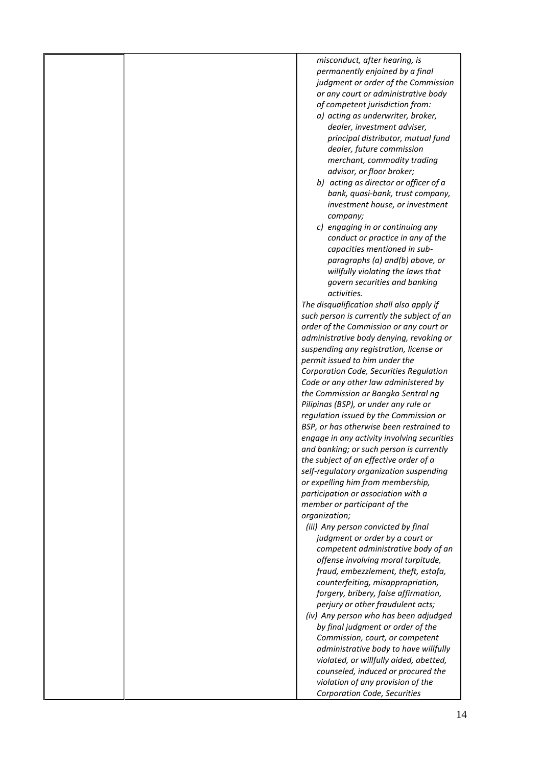|  | misconduct, after hearing, is               |
|--|---------------------------------------------|
|  | permanently enjoined by a final             |
|  | judgment or order of the Commission         |
|  | or any court or administrative body         |
|  | of competent jurisdiction from:             |
|  | a) acting as underwriter, broker,           |
|  | dealer, investment adviser,                 |
|  | principal distributor, mutual fund          |
|  | dealer, future commission                   |
|  | merchant, commodity trading                 |
|  | advisor, or floor broker;                   |
|  | b) acting as director or officer of a       |
|  | bank, quasi-bank, trust company,            |
|  | investment house, or investment             |
|  | company;                                    |
|  | c) engaging in or continuing any            |
|  | conduct or practice in any of the           |
|  | capacities mentioned in sub-                |
|  | paragraphs (a) and(b) above, or             |
|  | willfully violating the laws that           |
|  | govern securities and banking               |
|  | activities.                                 |
|  | The disqualification shall also apply if    |
|  | such person is currently the subject of an  |
|  | order of the Commission or any court or     |
|  | administrative body denying, revoking or    |
|  | suspending any registration, license or     |
|  | permit issued to him under the              |
|  | Corporation Code, Securities Regulation     |
|  | Code or any other law administered by       |
|  | the Commission or Bangko Sentral ng         |
|  | Pilipinas (BSP), or under any rule or       |
|  | regulation issued by the Commission or      |
|  | BSP, or has otherwise been restrained to    |
|  | engage in any activity involving securities |
|  | and banking; or such person is currently    |
|  | the subject of an effective order of a      |
|  | self-regulatory organization suspending     |
|  | or expelling him from membership,           |
|  | participation or association with a         |
|  | member or participant of the                |
|  | organization;                               |
|  | (iii) Any person convicted by final         |
|  | judgment or order by a court or             |
|  | competent administrative body of an         |
|  | offense involving moral turpitude,          |
|  | fraud, embezzlement, theft, estafa,         |
|  | counterfeiting, misappropriation,           |
|  | forgery, bribery, false affirmation,        |
|  | perjury or other fraudulent acts;           |
|  | (iv) Any person who has been adjudged       |
|  | by final judgment or order of the           |
|  | Commission, court, or competent             |
|  | administrative body to have willfully       |
|  | violated, or willfully aided, abetted,      |
|  | counseled, induced or procured the          |
|  | violation of any provision of the           |
|  | Corporation Code, Securities                |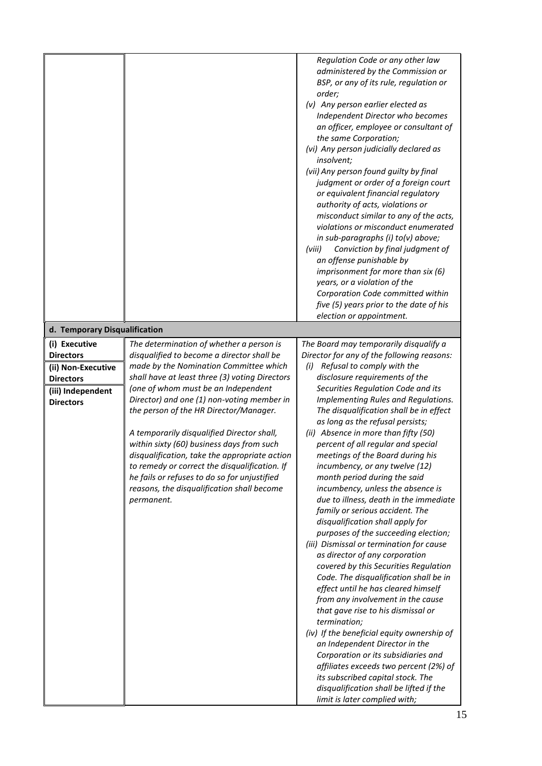| Regulation Code or any other law<br>administered by the Commission or<br>BSP, or any of its rule, regulation or<br>order;<br>(v) Any person earlier elected as<br>Independent Director who becomes<br>an officer, employee or consultant of<br>the same Corporation;<br>(vi) Any person judicially declared as<br>insolvent;<br>(vii) Any person found guilty by final<br>judgment or order of a foreign court<br>or equivalent financial regulatory<br>authority of acts, violations or<br>misconduct similar to any of the acts,<br>violations or misconduct enumerated<br>in sub-paragraphs (i) to(v) above;<br>(viii)<br>Conviction by final judgment of<br>an offense punishable by<br>imprisonment for more than six (6)<br>years, or a violation of the<br>Corporation Code committed within<br>five (5) years prior to the date of his<br>election or appointment.<br>d. Temporary Disqualification<br>(i) Executive<br>The determination of whether a person is<br>The Board may temporarily disqualify a<br>disqualified to become a director shall be<br>Director for any of the following reasons:<br><b>Directors</b><br>made by the Nomination Committee which<br>Refusal to comply with the<br>(i)<br>(ii) Non-Executive<br>shall have at least three (3) voting Directors<br>disclosure requirements of the<br><b>Directors</b><br>(one of whom must be an Independent<br>Securities Regulation Code and its<br>(iii) Independent<br>Director) and one (1) non-voting member in<br>Implementing Rules and Regulations.<br><b>Directors</b><br>the person of the HR Director/Manager.<br>The disqualification shall be in effect<br>as long as the refusal persists;<br>(ii) Absence in more than fifty (50)<br>A temporarily disqualified Director shall,<br>within sixty (60) business days from such<br>percent of all regular and special<br>disqualification, take the appropriate action<br>meetings of the Board during his<br>to remedy or correct the disqualification. If<br>incumbency, or any twelve (12)<br>he fails or refuses to do so for unjustified<br>month period during the said<br>reasons, the disqualification shall become<br>incumbency, unless the absence is<br>due to illness, death in the immediate<br>permanent.<br>family or serious accident. The<br>disqualification shall apply for<br>purposes of the succeeding election;<br>(iii) Dismissal or termination for cause<br>as director of any corporation<br>covered by this Securities Regulation<br>Code. The disqualification shall be in<br>effect until he has cleared himself<br>from any involvement in the cause<br>that gave rise to his dismissal or<br>termination;<br>(iv) If the beneficial equity ownership of<br>an Independent Director in the<br>Corporation or its subsidiaries and<br>affiliates exceeds two percent (2%) of<br>its subscribed capital stock. The<br>disqualification shall be lifted if the |  |                               |
|------------------------------------------------------------------------------------------------------------------------------------------------------------------------------------------------------------------------------------------------------------------------------------------------------------------------------------------------------------------------------------------------------------------------------------------------------------------------------------------------------------------------------------------------------------------------------------------------------------------------------------------------------------------------------------------------------------------------------------------------------------------------------------------------------------------------------------------------------------------------------------------------------------------------------------------------------------------------------------------------------------------------------------------------------------------------------------------------------------------------------------------------------------------------------------------------------------------------------------------------------------------------------------------------------------------------------------------------------------------------------------------------------------------------------------------------------------------------------------------------------------------------------------------------------------------------------------------------------------------------------------------------------------------------------------------------------------------------------------------------------------------------------------------------------------------------------------------------------------------------------------------------------------------------------------------------------------------------------------------------------------------------------------------------------------------------------------------------------------------------------------------------------------------------------------------------------------------------------------------------------------------------------------------------------------------------------------------------------------------------------------------------------------------------------------------------------------------------------------------------------------------------------------------------------------------------------------------------------------------------------------------------------------------------------------------------------------------------------------------------------------------------------------------------------------------------------------------------------------------------------------------------------------------------------------|--|-------------------------------|
|                                                                                                                                                                                                                                                                                                                                                                                                                                                                                                                                                                                                                                                                                                                                                                                                                                                                                                                                                                                                                                                                                                                                                                                                                                                                                                                                                                                                                                                                                                                                                                                                                                                                                                                                                                                                                                                                                                                                                                                                                                                                                                                                                                                                                                                                                                                                                                                                                                                                                                                                                                                                                                                                                                                                                                                                                                                                                                                                    |  |                               |
|                                                                                                                                                                                                                                                                                                                                                                                                                                                                                                                                                                                                                                                                                                                                                                                                                                                                                                                                                                                                                                                                                                                                                                                                                                                                                                                                                                                                                                                                                                                                                                                                                                                                                                                                                                                                                                                                                                                                                                                                                                                                                                                                                                                                                                                                                                                                                                                                                                                                                                                                                                                                                                                                                                                                                                                                                                                                                                                                    |  |                               |
|                                                                                                                                                                                                                                                                                                                                                                                                                                                                                                                                                                                                                                                                                                                                                                                                                                                                                                                                                                                                                                                                                                                                                                                                                                                                                                                                                                                                                                                                                                                                                                                                                                                                                                                                                                                                                                                                                                                                                                                                                                                                                                                                                                                                                                                                                                                                                                                                                                                                                                                                                                                                                                                                                                                                                                                                                                                                                                                                    |  |                               |
|                                                                                                                                                                                                                                                                                                                                                                                                                                                                                                                                                                                                                                                                                                                                                                                                                                                                                                                                                                                                                                                                                                                                                                                                                                                                                                                                                                                                                                                                                                                                                                                                                                                                                                                                                                                                                                                                                                                                                                                                                                                                                                                                                                                                                                                                                                                                                                                                                                                                                                                                                                                                                                                                                                                                                                                                                                                                                                                                    |  |                               |
|                                                                                                                                                                                                                                                                                                                                                                                                                                                                                                                                                                                                                                                                                                                                                                                                                                                                                                                                                                                                                                                                                                                                                                                                                                                                                                                                                                                                                                                                                                                                                                                                                                                                                                                                                                                                                                                                                                                                                                                                                                                                                                                                                                                                                                                                                                                                                                                                                                                                                                                                                                                                                                                                                                                                                                                                                                                                                                                                    |  |                               |
|                                                                                                                                                                                                                                                                                                                                                                                                                                                                                                                                                                                                                                                                                                                                                                                                                                                                                                                                                                                                                                                                                                                                                                                                                                                                                                                                                                                                                                                                                                                                                                                                                                                                                                                                                                                                                                                                                                                                                                                                                                                                                                                                                                                                                                                                                                                                                                                                                                                                                                                                                                                                                                                                                                                                                                                                                                                                                                                                    |  |                               |
|                                                                                                                                                                                                                                                                                                                                                                                                                                                                                                                                                                                                                                                                                                                                                                                                                                                                                                                                                                                                                                                                                                                                                                                                                                                                                                                                                                                                                                                                                                                                                                                                                                                                                                                                                                                                                                                                                                                                                                                                                                                                                                                                                                                                                                                                                                                                                                                                                                                                                                                                                                                                                                                                                                                                                                                                                                                                                                                                    |  |                               |
|                                                                                                                                                                                                                                                                                                                                                                                                                                                                                                                                                                                                                                                                                                                                                                                                                                                                                                                                                                                                                                                                                                                                                                                                                                                                                                                                                                                                                                                                                                                                                                                                                                                                                                                                                                                                                                                                                                                                                                                                                                                                                                                                                                                                                                                                                                                                                                                                                                                                                                                                                                                                                                                                                                                                                                                                                                                                                                                                    |  |                               |
|                                                                                                                                                                                                                                                                                                                                                                                                                                                                                                                                                                                                                                                                                                                                                                                                                                                                                                                                                                                                                                                                                                                                                                                                                                                                                                                                                                                                                                                                                                                                                                                                                                                                                                                                                                                                                                                                                                                                                                                                                                                                                                                                                                                                                                                                                                                                                                                                                                                                                                                                                                                                                                                                                                                                                                                                                                                                                                                                    |  |                               |
|                                                                                                                                                                                                                                                                                                                                                                                                                                                                                                                                                                                                                                                                                                                                                                                                                                                                                                                                                                                                                                                                                                                                                                                                                                                                                                                                                                                                                                                                                                                                                                                                                                                                                                                                                                                                                                                                                                                                                                                                                                                                                                                                                                                                                                                                                                                                                                                                                                                                                                                                                                                                                                                                                                                                                                                                                                                                                                                                    |  |                               |
|                                                                                                                                                                                                                                                                                                                                                                                                                                                                                                                                                                                                                                                                                                                                                                                                                                                                                                                                                                                                                                                                                                                                                                                                                                                                                                                                                                                                                                                                                                                                                                                                                                                                                                                                                                                                                                                                                                                                                                                                                                                                                                                                                                                                                                                                                                                                                                                                                                                                                                                                                                                                                                                                                                                                                                                                                                                                                                                                    |  |                               |
|                                                                                                                                                                                                                                                                                                                                                                                                                                                                                                                                                                                                                                                                                                                                                                                                                                                                                                                                                                                                                                                                                                                                                                                                                                                                                                                                                                                                                                                                                                                                                                                                                                                                                                                                                                                                                                                                                                                                                                                                                                                                                                                                                                                                                                                                                                                                                                                                                                                                                                                                                                                                                                                                                                                                                                                                                                                                                                                                    |  |                               |
|                                                                                                                                                                                                                                                                                                                                                                                                                                                                                                                                                                                                                                                                                                                                                                                                                                                                                                                                                                                                                                                                                                                                                                                                                                                                                                                                                                                                                                                                                                                                                                                                                                                                                                                                                                                                                                                                                                                                                                                                                                                                                                                                                                                                                                                                                                                                                                                                                                                                                                                                                                                                                                                                                                                                                                                                                                                                                                                                    |  |                               |
|                                                                                                                                                                                                                                                                                                                                                                                                                                                                                                                                                                                                                                                                                                                                                                                                                                                                                                                                                                                                                                                                                                                                                                                                                                                                                                                                                                                                                                                                                                                                                                                                                                                                                                                                                                                                                                                                                                                                                                                                                                                                                                                                                                                                                                                                                                                                                                                                                                                                                                                                                                                                                                                                                                                                                                                                                                                                                                                                    |  |                               |
|                                                                                                                                                                                                                                                                                                                                                                                                                                                                                                                                                                                                                                                                                                                                                                                                                                                                                                                                                                                                                                                                                                                                                                                                                                                                                                                                                                                                                                                                                                                                                                                                                                                                                                                                                                                                                                                                                                                                                                                                                                                                                                                                                                                                                                                                                                                                                                                                                                                                                                                                                                                                                                                                                                                                                                                                                                                                                                                                    |  |                               |
|                                                                                                                                                                                                                                                                                                                                                                                                                                                                                                                                                                                                                                                                                                                                                                                                                                                                                                                                                                                                                                                                                                                                                                                                                                                                                                                                                                                                                                                                                                                                                                                                                                                                                                                                                                                                                                                                                                                                                                                                                                                                                                                                                                                                                                                                                                                                                                                                                                                                                                                                                                                                                                                                                                                                                                                                                                                                                                                                    |  |                               |
|                                                                                                                                                                                                                                                                                                                                                                                                                                                                                                                                                                                                                                                                                                                                                                                                                                                                                                                                                                                                                                                                                                                                                                                                                                                                                                                                                                                                                                                                                                                                                                                                                                                                                                                                                                                                                                                                                                                                                                                                                                                                                                                                                                                                                                                                                                                                                                                                                                                                                                                                                                                                                                                                                                                                                                                                                                                                                                                                    |  |                               |
|                                                                                                                                                                                                                                                                                                                                                                                                                                                                                                                                                                                                                                                                                                                                                                                                                                                                                                                                                                                                                                                                                                                                                                                                                                                                                                                                                                                                                                                                                                                                                                                                                                                                                                                                                                                                                                                                                                                                                                                                                                                                                                                                                                                                                                                                                                                                                                                                                                                                                                                                                                                                                                                                                                                                                                                                                                                                                                                                    |  |                               |
|                                                                                                                                                                                                                                                                                                                                                                                                                                                                                                                                                                                                                                                                                                                                                                                                                                                                                                                                                                                                                                                                                                                                                                                                                                                                                                                                                                                                                                                                                                                                                                                                                                                                                                                                                                                                                                                                                                                                                                                                                                                                                                                                                                                                                                                                                                                                                                                                                                                                                                                                                                                                                                                                                                                                                                                                                                                                                                                                    |  |                               |
|                                                                                                                                                                                                                                                                                                                                                                                                                                                                                                                                                                                                                                                                                                                                                                                                                                                                                                                                                                                                                                                                                                                                                                                                                                                                                                                                                                                                                                                                                                                                                                                                                                                                                                                                                                                                                                                                                                                                                                                                                                                                                                                                                                                                                                                                                                                                                                                                                                                                                                                                                                                                                                                                                                                                                                                                                                                                                                                                    |  |                               |
|                                                                                                                                                                                                                                                                                                                                                                                                                                                                                                                                                                                                                                                                                                                                                                                                                                                                                                                                                                                                                                                                                                                                                                                                                                                                                                                                                                                                                                                                                                                                                                                                                                                                                                                                                                                                                                                                                                                                                                                                                                                                                                                                                                                                                                                                                                                                                                                                                                                                                                                                                                                                                                                                                                                                                                                                                                                                                                                                    |  |                               |
|                                                                                                                                                                                                                                                                                                                                                                                                                                                                                                                                                                                                                                                                                                                                                                                                                                                                                                                                                                                                                                                                                                                                                                                                                                                                                                                                                                                                                                                                                                                                                                                                                                                                                                                                                                                                                                                                                                                                                                                                                                                                                                                                                                                                                                                                                                                                                                                                                                                                                                                                                                                                                                                                                                                                                                                                                                                                                                                                    |  |                               |
|                                                                                                                                                                                                                                                                                                                                                                                                                                                                                                                                                                                                                                                                                                                                                                                                                                                                                                                                                                                                                                                                                                                                                                                                                                                                                                                                                                                                                                                                                                                                                                                                                                                                                                                                                                                                                                                                                                                                                                                                                                                                                                                                                                                                                                                                                                                                                                                                                                                                                                                                                                                                                                                                                                                                                                                                                                                                                                                                    |  |                               |
|                                                                                                                                                                                                                                                                                                                                                                                                                                                                                                                                                                                                                                                                                                                                                                                                                                                                                                                                                                                                                                                                                                                                                                                                                                                                                                                                                                                                                                                                                                                                                                                                                                                                                                                                                                                                                                                                                                                                                                                                                                                                                                                                                                                                                                                                                                                                                                                                                                                                                                                                                                                                                                                                                                                                                                                                                                                                                                                                    |  |                               |
|                                                                                                                                                                                                                                                                                                                                                                                                                                                                                                                                                                                                                                                                                                                                                                                                                                                                                                                                                                                                                                                                                                                                                                                                                                                                                                                                                                                                                                                                                                                                                                                                                                                                                                                                                                                                                                                                                                                                                                                                                                                                                                                                                                                                                                                                                                                                                                                                                                                                                                                                                                                                                                                                                                                                                                                                                                                                                                                                    |  |                               |
|                                                                                                                                                                                                                                                                                                                                                                                                                                                                                                                                                                                                                                                                                                                                                                                                                                                                                                                                                                                                                                                                                                                                                                                                                                                                                                                                                                                                                                                                                                                                                                                                                                                                                                                                                                                                                                                                                                                                                                                                                                                                                                                                                                                                                                                                                                                                                                                                                                                                                                                                                                                                                                                                                                                                                                                                                                                                                                                                    |  |                               |
|                                                                                                                                                                                                                                                                                                                                                                                                                                                                                                                                                                                                                                                                                                                                                                                                                                                                                                                                                                                                                                                                                                                                                                                                                                                                                                                                                                                                                                                                                                                                                                                                                                                                                                                                                                                                                                                                                                                                                                                                                                                                                                                                                                                                                                                                                                                                                                                                                                                                                                                                                                                                                                                                                                                                                                                                                                                                                                                                    |  |                               |
|                                                                                                                                                                                                                                                                                                                                                                                                                                                                                                                                                                                                                                                                                                                                                                                                                                                                                                                                                                                                                                                                                                                                                                                                                                                                                                                                                                                                                                                                                                                                                                                                                                                                                                                                                                                                                                                                                                                                                                                                                                                                                                                                                                                                                                                                                                                                                                                                                                                                                                                                                                                                                                                                                                                                                                                                                                                                                                                                    |  |                               |
|                                                                                                                                                                                                                                                                                                                                                                                                                                                                                                                                                                                                                                                                                                                                                                                                                                                                                                                                                                                                                                                                                                                                                                                                                                                                                                                                                                                                                                                                                                                                                                                                                                                                                                                                                                                                                                                                                                                                                                                                                                                                                                                                                                                                                                                                                                                                                                                                                                                                                                                                                                                                                                                                                                                                                                                                                                                                                                                                    |  |                               |
|                                                                                                                                                                                                                                                                                                                                                                                                                                                                                                                                                                                                                                                                                                                                                                                                                                                                                                                                                                                                                                                                                                                                                                                                                                                                                                                                                                                                                                                                                                                                                                                                                                                                                                                                                                                                                                                                                                                                                                                                                                                                                                                                                                                                                                                                                                                                                                                                                                                                                                                                                                                                                                                                                                                                                                                                                                                                                                                                    |  |                               |
|                                                                                                                                                                                                                                                                                                                                                                                                                                                                                                                                                                                                                                                                                                                                                                                                                                                                                                                                                                                                                                                                                                                                                                                                                                                                                                                                                                                                                                                                                                                                                                                                                                                                                                                                                                                                                                                                                                                                                                                                                                                                                                                                                                                                                                                                                                                                                                                                                                                                                                                                                                                                                                                                                                                                                                                                                                                                                                                                    |  |                               |
|                                                                                                                                                                                                                                                                                                                                                                                                                                                                                                                                                                                                                                                                                                                                                                                                                                                                                                                                                                                                                                                                                                                                                                                                                                                                                                                                                                                                                                                                                                                                                                                                                                                                                                                                                                                                                                                                                                                                                                                                                                                                                                                                                                                                                                                                                                                                                                                                                                                                                                                                                                                                                                                                                                                                                                                                                                                                                                                                    |  | limit is later complied with; |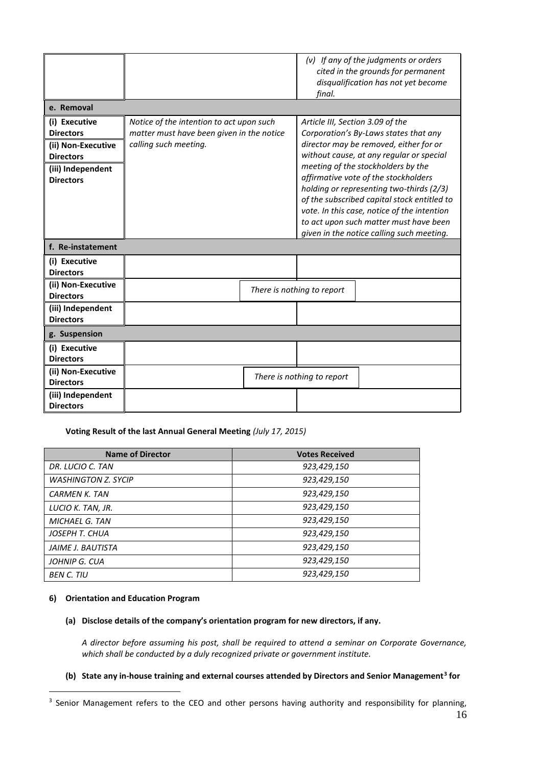|                    |                                           | final.                           | $(v)$ If any of the judgments or orders<br>cited in the grounds for permanent<br>disqualification has not yet become |
|--------------------|-------------------------------------------|----------------------------------|----------------------------------------------------------------------------------------------------------------------|
| e. Removal         |                                           |                                  |                                                                                                                      |
| (i) Executive      | Notice of the intention to act upon such  | Article III, Section 3.09 of the |                                                                                                                      |
| <b>Directors</b>   | matter must have been given in the notice |                                  | Corporation's By-Laws states that any                                                                                |
| (ii) Non-Executive | calling such meeting.                     |                                  | director may be removed, either for or                                                                               |
| <b>Directors</b>   |                                           |                                  | without cause, at any regular or special                                                                             |
| (iii) Independent  |                                           |                                  | meeting of the stockholders by the<br>affirmative vote of the stockholders                                           |
| <b>Directors</b>   |                                           |                                  | holding or representing two-thirds (2/3)                                                                             |
|                    |                                           |                                  | of the subscribed capital stock entitled to                                                                          |
|                    |                                           |                                  | vote. In this case, notice of the intention                                                                          |
|                    |                                           |                                  | to act upon such matter must have been                                                                               |
|                    |                                           |                                  | given in the notice calling such meeting.                                                                            |
| f. Re-instatement  |                                           |                                  |                                                                                                                      |
| (i) Executive      |                                           |                                  |                                                                                                                      |
| <b>Directors</b>   |                                           |                                  |                                                                                                                      |
| (ii) Non-Executive |                                           | There is nothing to report       |                                                                                                                      |
| <b>Directors</b>   |                                           |                                  |                                                                                                                      |
| (iii) Independent  |                                           |                                  |                                                                                                                      |
| <b>Directors</b>   |                                           |                                  |                                                                                                                      |
| g. Suspension      |                                           |                                  |                                                                                                                      |
| (i) Executive      |                                           |                                  |                                                                                                                      |
| <b>Directors</b>   |                                           |                                  |                                                                                                                      |
| (ii) Non-Executive |                                           | There is nothing to report       |                                                                                                                      |
| <b>Directors</b>   |                                           |                                  |                                                                                                                      |
| (iii) Independent  |                                           |                                  |                                                                                                                      |
| <b>Directors</b>   |                                           |                                  |                                                                                                                      |

**Voting Result of the last Annual General Meeting** *(July 17, 2015)*

| <b>Name of Director</b>    | <b>Votes Received</b> |
|----------------------------|-----------------------|
| DR. LUCIO C. TAN           | 923,429,150           |
| <b>WASHINGTON Z. SYCIP</b> | 923,429,150           |
| <b>CARMEN K. TAN</b>       | 923,429,150           |
| LUCIO K. TAN, JR.          | 923,429,150           |
| <b>MICHAEL G. TAN</b>      | 923,429,150           |
| JOSEPH T. CHUA             | 923,429,150           |
| JAIME J. BAUTISTA          | 923,429,150           |
| JOHNIP G. CUA              | 923,429,150           |
| <b>BEN C. TIU</b>          | 923,429,150           |

# **6) Orientation and Education Program**

1

# **(a) Disclose details of the company's orientation program for new directors, if any.**

*A director before assuming his post, shall be required to attend a seminar on Corporate Governance, which shall be conducted by a duly recognized private or government institute.*

# **(b) State any in-house training and external courses attended by Directors and Senior Management<sup>3</sup> for**

<sup>&</sup>lt;sup>3</sup> Senior Management refers to the CEO and other persons having authority and responsibility for planning,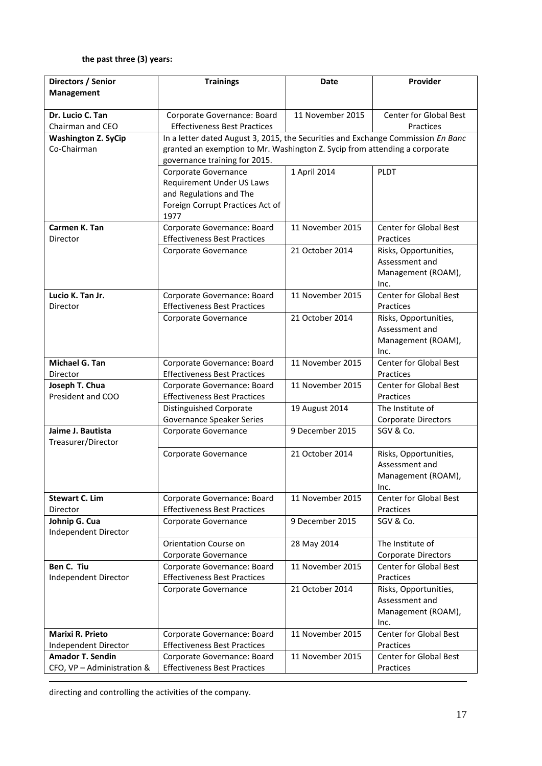# **the past three (3) years:**

| Directors / Senior                      | <b>Trainings</b>                                                                 | <b>Date</b>      | Provider                                   |  |
|-----------------------------------------|----------------------------------------------------------------------------------|------------------|--------------------------------------------|--|
| Management                              |                                                                                  |                  |                                            |  |
| Dr. Lucio C. Tan                        | Corporate Governance: Board                                                      | 11 November 2015 | Center for Global Best                     |  |
| Chairman and CEO                        | <b>Effectiveness Best Practices</b>                                              |                  | Practices                                  |  |
| <b>Washington Z. SyCip</b>              | In a letter dated August 3, 2015, the Securities and Exchange Commission En Banc |                  |                                            |  |
| Co-Chairman                             | granted an exemption to Mr. Washington Z. Sycip from attending a corporate       |                  |                                            |  |
|                                         | governance training for 2015.                                                    |                  |                                            |  |
|                                         | Corporate Governance                                                             | 1 April 2014     | <b>PLDT</b>                                |  |
|                                         | <b>Requirement Under US Laws</b>                                                 |                  |                                            |  |
|                                         | and Regulations and The                                                          |                  |                                            |  |
|                                         | Foreign Corrupt Practices Act of<br>1977                                         |                  |                                            |  |
| Carmen K. Tan<br>Director               | Corporate Governance: Board<br><b>Effectiveness Best Practices</b>               | 11 November 2015 | <b>Center for Global Best</b><br>Practices |  |
|                                         | Corporate Governance                                                             | 21 October 2014  | Risks, Opportunities,                      |  |
|                                         |                                                                                  |                  | Assessment and                             |  |
|                                         |                                                                                  |                  | Management (ROAM),                         |  |
|                                         |                                                                                  |                  | Inc.                                       |  |
| Lucio K. Tan Jr.                        | Corporate Governance: Board                                                      | 11 November 2015 | <b>Center for Global Best</b>              |  |
| Director                                | <b>Effectiveness Best Practices</b>                                              |                  | Practices                                  |  |
|                                         | Corporate Governance                                                             | 21 October 2014  | Risks, Opportunities,                      |  |
|                                         |                                                                                  |                  | Assessment and<br>Management (ROAM),       |  |
|                                         |                                                                                  |                  | Inc.                                       |  |
| Michael G. Tan                          | Corporate Governance: Board                                                      | 11 November 2015 | <b>Center for Global Best</b>              |  |
| Director                                | <b>Effectiveness Best Practices</b>                                              |                  | Practices                                  |  |
| Joseph T. Chua                          | Corporate Governance: Board                                                      | 11 November 2015 | <b>Center for Global Best</b>              |  |
| President and COO                       | <b>Effectiveness Best Practices</b>                                              |                  | Practices                                  |  |
|                                         | Distinguished Corporate                                                          | 19 August 2014   | The Institute of                           |  |
|                                         | <b>Governance Speaker Series</b>                                                 |                  | <b>Corporate Directors</b>                 |  |
| Jaime J. Bautista<br>Treasurer/Director | Corporate Governance                                                             | 9 December 2015  | SGV & Co.                                  |  |
|                                         | Corporate Governance                                                             | 21 October 2014  | Risks, Opportunities,                      |  |
|                                         |                                                                                  |                  | Assessment and                             |  |
|                                         |                                                                                  |                  | Management (ROAM),                         |  |
| <b>Stewart C. Lim</b>                   | Corporate Governance: Board                                                      | 11 November 2015 | Inc.<br><b>Center for Global Best</b>      |  |
| Director                                | <b>Effectiveness Best Practices</b>                                              |                  | Practices                                  |  |
| Johnip G. Cua                           | Corporate Governance                                                             | 9 December 2015  | SGV & Co.                                  |  |
| Independent Director                    |                                                                                  |                  |                                            |  |
|                                         | <b>Orientation Course on</b>                                                     | 28 May 2014      | The Institute of                           |  |
|                                         | Corporate Governance                                                             |                  | <b>Corporate Directors</b>                 |  |
| Ben C. Tiu                              | Corporate Governance: Board                                                      | 11 November 2015 | Center for Global Best                     |  |
| Independent Director                    | <b>Effectiveness Best Practices</b>                                              |                  | Practices                                  |  |
|                                         | Corporate Governance                                                             | 21 October 2014  | Risks, Opportunities,                      |  |
|                                         |                                                                                  |                  | Assessment and                             |  |
|                                         |                                                                                  |                  | Management (ROAM),<br>Inc.                 |  |
| <b>Marixi R. Prieto</b>                 | Corporate Governance: Board                                                      | 11 November 2015 | <b>Center for Global Best</b>              |  |
| Independent Director                    | <b>Effectiveness Best Practices</b>                                              |                  | Practices                                  |  |
| <b>Amador T. Sendin</b>                 | Corporate Governance: Board                                                      | 11 November 2015 | Center for Global Best                     |  |
| CFO, VP - Administration &              | <b>Effectiveness Best Practices</b>                                              |                  | Practices                                  |  |

directing and controlling the activities of the company.

1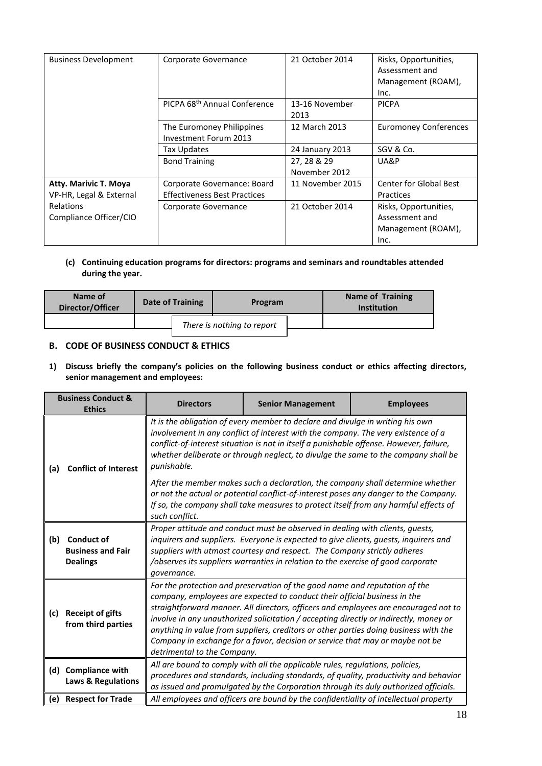| <b>Business Development</b> | Corporate Governance                     | 21 October 2014  | Risks, Opportunities,         |
|-----------------------------|------------------------------------------|------------------|-------------------------------|
|                             |                                          |                  | Assessment and                |
|                             |                                          |                  | Management (ROAM),            |
|                             |                                          |                  | Inc.                          |
|                             | PICPA 68 <sup>th</sup> Annual Conference | 13-16 November   | <b>PICPA</b>                  |
|                             |                                          | 2013             |                               |
|                             | The Euromoney Philippines                | 12 March 2013    | <b>Euromoney Conferences</b>  |
|                             | Investment Forum 2013                    |                  |                               |
|                             | Tax Updates                              | 24 January 2013  | SGV & Co.                     |
|                             | <b>Bond Training</b>                     | 27, 28 & 29      | UA&P                          |
|                             |                                          | November 2012    |                               |
| Atty. Marivic T. Moya       | Corporate Governance: Board              | 11 November 2015 | <b>Center for Global Best</b> |
| VP-HR, Legal & External     | <b>Effectiveness Best Practices</b>      |                  | Practices                     |
| <b>Relations</b>            | Corporate Governance                     | 21 October 2014  | Risks, Opportunities,         |
| Compliance Officer/CIO      |                                          |                  | Assessment and                |
|                             |                                          |                  | Management (ROAM),            |
|                             |                                          |                  | Inc.                          |

# **(c) Continuing education programs for directors: programs and seminars and roundtables attended during the year.**

| Name of<br>Director/Officer | <b>Date of Training</b> | Program                    | <b>Name of Training</b><br><b>Institution</b> |
|-----------------------------|-------------------------|----------------------------|-----------------------------------------------|
|                             |                         | There is nothing to report |                                               |

# **B. CODE OF BUSINESS CONDUCT & ETHICS**

**1) Discuss briefly the company's policies on the following business conduct or ethics affecting directors, senior management and employees:** 

|     | <b>Business Conduct &amp;</b><br><b>Ethics</b>                                                                                                                                                                                                                                                                                                                                                     | <b>Directors</b>                                                                                                                                                                                                                                                                                                                                                                                                                                                                                                                                | <b>Senior Management</b>                                                             | <b>Employees</b>                                                                                                                                                       |
|-----|----------------------------------------------------------------------------------------------------------------------------------------------------------------------------------------------------------------------------------------------------------------------------------------------------------------------------------------------------------------------------------------------------|-------------------------------------------------------------------------------------------------------------------------------------------------------------------------------------------------------------------------------------------------------------------------------------------------------------------------------------------------------------------------------------------------------------------------------------------------------------------------------------------------------------------------------------------------|--------------------------------------------------------------------------------------|------------------------------------------------------------------------------------------------------------------------------------------------------------------------|
| (a) | It is the obligation of every member to declare and divulge in writing his own<br>involvement in any conflict of interest with the company. The very existence of a<br>conflict-of-interest situation is not in itself a punishable offense. However, failure,<br>whether deliberate or through neglect, to divulge the same to the company shall be<br>punishable.<br><b>Conflict of Interest</b> |                                                                                                                                                                                                                                                                                                                                                                                                                                                                                                                                                 |                                                                                      |                                                                                                                                                                        |
|     |                                                                                                                                                                                                                                                                                                                                                                                                    | such conflict.                                                                                                                                                                                                                                                                                                                                                                                                                                                                                                                                  | If so, the company shall take measures to protect itself from any harmful effects of | After the member makes such a declaration, the company shall determine whether<br>or not the actual or potential conflict-of-interest poses any danger to the Company. |
| (b) | <b>Conduct of</b><br><b>Business and Fair</b><br><b>Dealings</b>                                                                                                                                                                                                                                                                                                                                   | Proper attitude and conduct must be observed in dealing with clients, guests,<br>inquirers and suppliers. Everyone is expected to give clients, guests, inquirers and<br>suppliers with utmost courtesy and respect. The Company strictly adheres<br>/observes its suppliers warranties in relation to the exercise of good corporate<br>governance.                                                                                                                                                                                            |                                                                                      |                                                                                                                                                                        |
| (c) | <b>Receipt of gifts</b><br>from third parties                                                                                                                                                                                                                                                                                                                                                      | For the protection and preservation of the good name and reputation of the<br>company, employees are expected to conduct their official business in the<br>straightforward manner. All directors, officers and employees are encouraged not to<br>involve in any unauthorized solicitation / accepting directly or indirectly, money or<br>anything in value from suppliers, creditors or other parties doing business with the<br>Company in exchange for a favor, decision or service that may or maybe not be<br>detrimental to the Company. |                                                                                      |                                                                                                                                                                        |
| (d) | <b>Compliance with</b><br><b>Laws &amp; Regulations</b>                                                                                                                                                                                                                                                                                                                                            | All are bound to comply with all the applicable rules, regulations, policies,<br>procedures and standards, including standards, of quality, productivity and behavior<br>as issued and promulgated by the Corporation through its duly authorized officials.                                                                                                                                                                                                                                                                                    |                                                                                      |                                                                                                                                                                        |
| (e) | <b>Respect for Trade</b>                                                                                                                                                                                                                                                                                                                                                                           | All employees and officers are bound by the confidentiality of intellectual property                                                                                                                                                                                                                                                                                                                                                                                                                                                            |                                                                                      |                                                                                                                                                                        |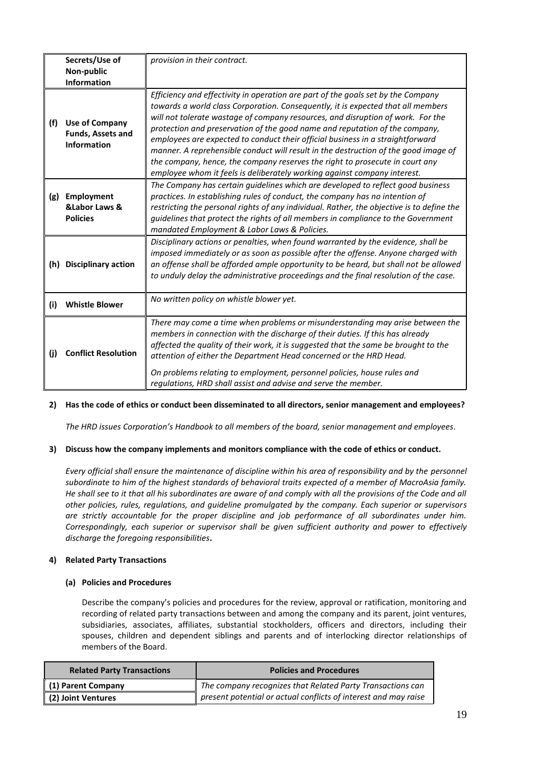|     | Secrets/Use of                                                          | provision in their contract.                                                                                                                                                                                                                                                                                                                                                                                                                                                                                                                                                                                                                                                |
|-----|-------------------------------------------------------------------------|-----------------------------------------------------------------------------------------------------------------------------------------------------------------------------------------------------------------------------------------------------------------------------------------------------------------------------------------------------------------------------------------------------------------------------------------------------------------------------------------------------------------------------------------------------------------------------------------------------------------------------------------------------------------------------|
|     | Non-public<br><b>Information</b>                                        |                                                                                                                                                                                                                                                                                                                                                                                                                                                                                                                                                                                                                                                                             |
| (f) | <b>Use of Company</b><br><b>Funds, Assets and</b><br><b>Information</b> | Efficiency and effectivity in operation are part of the goals set by the Company<br>towards a world class Corporation. Consequently, it is expected that all members<br>will not tolerate wastage of company resources, and disruption of work. For the<br>protection and preservation of the good name and reputation of the company,<br>employees are expected to conduct their official business in a straightforward<br>manner. A reprehensible conduct will result in the destruction of the good image of<br>the company, hence, the company reserves the right to prosecute in court any<br>employee whom it feels is deliberately working against company interest. |
| (g) | Employment<br><b>&amp;Labor Laws &amp;</b><br><b>Policies</b>           | The Company has certain guidelines which are developed to reflect good business<br>practices. In establishing rules of conduct, the company has no intention of<br>restricting the personal rights of any individual. Rather, the objective is to define the<br>quidelines that protect the rights of all members in compliance to the Government<br>mandated Employment & Labor Laws & Policies.                                                                                                                                                                                                                                                                           |
| (h) | <b>Disciplinary action</b>                                              | Disciplinary actions or penalties, when found warranted by the evidence, shall be<br>imposed immediately or as soon as possible after the offense. Anyone charged with<br>an offense shall be afforded ample opportunity to be heard, but shall not be allowed<br>to unduly delay the administrative proceedings and the final resolution of the case.                                                                                                                                                                                                                                                                                                                      |
| (i) | <b>Whistle Blower</b>                                                   | No written policy on whistle blower yet.                                                                                                                                                                                                                                                                                                                                                                                                                                                                                                                                                                                                                                    |
| (i) | <b>Conflict Resolution</b>                                              | There may come a time when problems or misunderstanding may arise between the<br>members in connection with the discharge of their duties. If this has already<br>affected the quality of their work, it is suggested that the same be brought to the<br>attention of either the Department Head concerned or the HRD Head.<br>On problems relating to employment, personnel policies, house rules and<br>regulations, HRD shall assist and advise and serve the member.                                                                                                                                                                                                    |

# **2) Has the code of ethics or conduct been disseminated to all directors, senior management and employees?**

*The HRD issues Corporation's Handbook to all members of the board, senior management and employees.*

# **3) Discuss how the company implements and monitors compliance with the code of ethics or conduct.**

*Every official shall ensure the maintenance of discipline within his area of responsibility and by the personnel subordinate to him of the highest standards of behavioral traits expected of a member of MacroAsia family.*  He shall see to it that all his subordinates are aware of and comply with all the provisions of the Code and all *other policies, rules, regulations, and guideline promulgated by the company. Each superior or supervisors are strictly accountable for the proper discipline and job performance of all subordinates under him. Correspondingly, each superior or supervisor shall be given sufficient authority and power to effectively discharge the foregoing responsibilities***.**

# **4) Related Party Transactions**

# **(a) Policies and Procedures**

Describe the company's policies and procedures for the review, approval or ratification, monitoring and recording of related party transactions between and among the company and its parent, joint ventures, subsidiaries, associates, affiliates, substantial stockholders, officers and directors, including their spouses, children and dependent siblings and parents and of interlocking director relationships of members of the Board.

| <b>Related Party Transactions</b> | <b>Policies and Procedures</b>                                  |
|-----------------------------------|-----------------------------------------------------------------|
| (1) Parent Company                | The company recognizes that Related Party Transactions can      |
| (2) Joint Ventures                | present potential or actual conflicts of interest and may raise |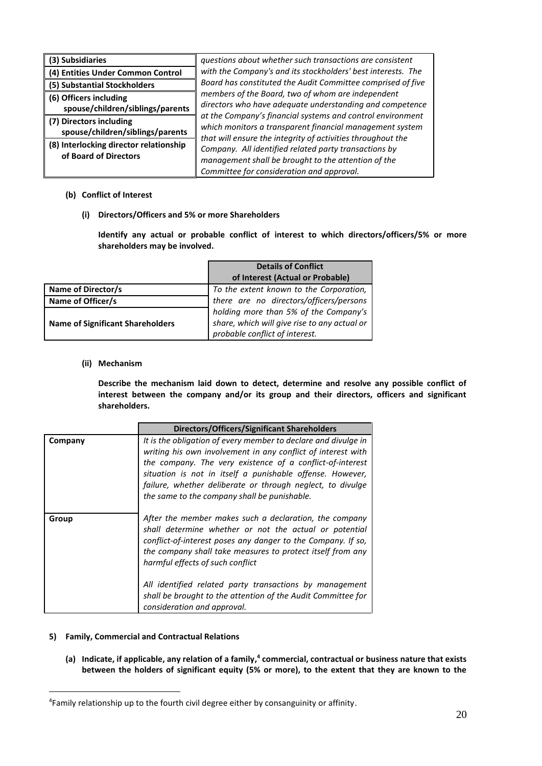| (3) Subsidiaries                                                | questions about whether such transactions are consistent                                                                                                                              |  |  |
|-----------------------------------------------------------------|---------------------------------------------------------------------------------------------------------------------------------------------------------------------------------------|--|--|
| (4) Entities Under Common Control                               | with the Company's and its stockholders' best interests. The                                                                                                                          |  |  |
| (5) Substantial Stockholders                                    | Board has constituted the Audit Committee comprised of five                                                                                                                           |  |  |
| (6) Officers including                                          | members of the Board, two of whom are independent                                                                                                                                     |  |  |
| spouse/children/siblings/parents                                | directors who have adequate understanding and competence                                                                                                                              |  |  |
| (7) Directors including<br>spouse/children/siblings/parents     | at the Company's financial systems and control environment<br>which monitors a transparent financial management system<br>that will ensure the integrity of activities throughout the |  |  |
| (8) Interlocking director relationship<br>of Board of Directors | Company. All identified related party transactions by<br>management shall be brought to the attention of the<br>Committee for consideration and approval.                             |  |  |

# **(b) Conflict of Interest**

**(i) Directors/Officers and 5% or more Shareholders**

**Identify any actual or probable conflict of interest to which directors/officers/5% or more shareholders may be involved.**

|                                         | <b>Details of Conflict</b>                   |
|-----------------------------------------|----------------------------------------------|
|                                         | of Interest (Actual or Probable)             |
| Name of Director/s                      | To the extent known to the Corporation,      |
| Name of Officer/s                       | there are no directors/officers/persons      |
|                                         | holding more than 5% of the Company's        |
| <b>Name of Significant Shareholders</b> | share, which will give rise to any actual or |
|                                         | probable conflict of interest.               |

# **(ii) Mechanism**

**Describe the mechanism laid down to detect, determine and resolve any possible conflict of interest between the company and/or its group and their directors, officers and significant shareholders.**

|         | Directors/Officers/Significant Shareholders                                                                                                                                                                                                                                                                                                                                                                                                  |
|---------|----------------------------------------------------------------------------------------------------------------------------------------------------------------------------------------------------------------------------------------------------------------------------------------------------------------------------------------------------------------------------------------------------------------------------------------------|
| Company | It is the obligation of every member to declare and divulge in<br>writing his own involvement in any conflict of interest with<br>the company. The very existence of a conflict-of-interest<br>situation is not in itself a punishable offense. However,<br>failure, whether deliberate or through neglect, to divulge<br>the same to the company shall be punishable.                                                                       |
| Group   | After the member makes such a declaration, the company<br>shall determine whether or not the actual or potential<br>conflict-of-interest poses any danger to the Company. If so,<br>the company shall take measures to protect itself from any<br>harmful effects of such conflict<br>All identified related party transactions by management<br>shall be brought to the attention of the Audit Committee for<br>consideration and approval. |

# **5) Family, Commercial and Contractual Relations**

1

**(a) Indicate, if applicable, any relation of a family, 4 commercial, contractual or business nature that exists between the holders of significant equity (5% or more), to the extent that they are known to the** 

<sup>&</sup>lt;sup>4</sup>Family relationship up to the fourth civil degree either by consanguinity or affinity.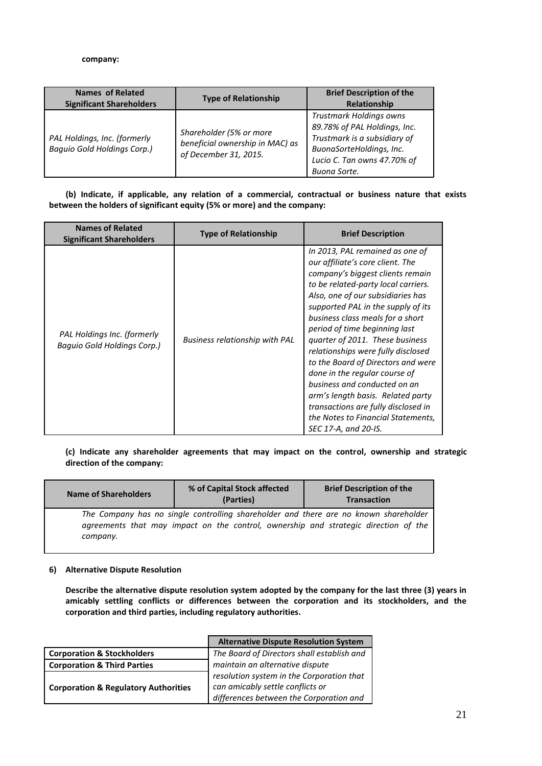### **company:**

| <b>Names of Related</b><br><b>Significant Shareholders</b>         | <b>Type of Relationship</b>                                                         | <b>Brief Description of the</b><br><b>Relationship</b>                                                                                                             |
|--------------------------------------------------------------------|-------------------------------------------------------------------------------------|--------------------------------------------------------------------------------------------------------------------------------------------------------------------|
| PAL Holdings, Inc. (formerly<br><b>Baquio Gold Holdings Corp.)</b> | Shareholder (5% or more<br>beneficial ownership in MAC) as<br>of December 31, 2015. | Trustmark Holdings owns<br>89.78% of PAL Holdings, Inc.<br>Trustmark is a subsidiary of<br>BuonaSorteHoldings, Inc.<br>Lucio C. Tan owns 47.70% of<br>Buona Sorte. |

 **(b) Indicate, if applicable, any relation of a commercial, contractual or business nature that exists between the holders of significant equity (5% or more) and the company:**

| <b>Names of Related</b><br><b>Significant Shareholders</b> | <b>Type of Relationship</b>           | <b>Brief Description</b>                                                                                                                                                                                                                                                                                                                                                                                                                                                                                                                                                                                                 |
|------------------------------------------------------------|---------------------------------------|--------------------------------------------------------------------------------------------------------------------------------------------------------------------------------------------------------------------------------------------------------------------------------------------------------------------------------------------------------------------------------------------------------------------------------------------------------------------------------------------------------------------------------------------------------------------------------------------------------------------------|
| PAL Holdings Inc. (formerly<br>Baguio Gold Holdings Corp.) | <b>Business relationship with PAL</b> | In 2013, PAL remained as one of<br>our affiliate's core client. The<br>company's biggest clients remain<br>to be related-party local carriers.<br>Also, one of our subsidiaries has<br>supported PAL in the supply of its<br>business class meals for a short<br>period of time beginning last<br>quarter of 2011. These business<br>relationships were fully disclosed<br>to the Board of Directors and were<br>done in the regular course of<br>business and conducted on an<br>arm's length basis. Related party<br>transactions are fully disclosed in<br>the Notes to Financial Statements,<br>SEC 17-A, and 20-IS. |

**(c) Indicate any shareholder agreements that may impact on the control, ownership and strategic direction of the company:**

| Name of Shareholders | % of Capital Stock affected<br>(Parties)                                                                                                                                    | <b>Brief Description of the</b><br><b>Transaction</b> |
|----------------------|-----------------------------------------------------------------------------------------------------------------------------------------------------------------------------|-------------------------------------------------------|
| company.             | The Company has no single controlling shareholder and there are no known shareholder<br>agreements that may impact on the control, ownership and strategic direction of the |                                                       |

# **6) Alternative Dispute Resolution**

**Describe the alternative dispute resolution system adopted by the company for the last three (3) years in amicably settling conflicts or differences between the corporation and its stockholders, and the corporation and third parties, including regulatory authorities.**

|                                                 | <b>Alternative Dispute Resolution System</b> |
|-------------------------------------------------|----------------------------------------------|
| <b>Corporation &amp; Stockholders</b>           | The Board of Directors shall establish and   |
| <b>Corporation &amp; Third Parties</b>          | maintain an alternative dispute              |
|                                                 | resolution system in the Corporation that    |
| <b>Corporation &amp; Regulatory Authorities</b> | can amicably settle conflicts or             |
|                                                 | differences between the Corporation and      |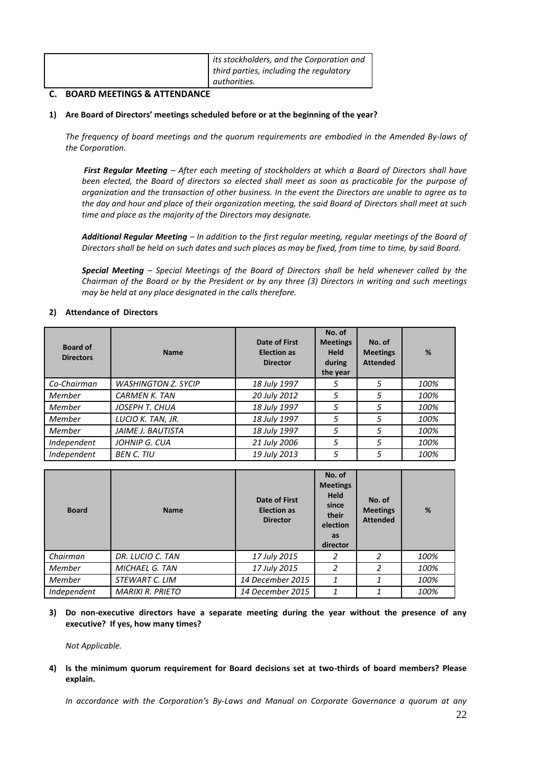| its stockholders, and the Corporation and |
|-------------------------------------------|
| third parties, including the regulatory   |
| authorities.                              |

# **C. BOARD MEETINGS & ATTENDANCE**

# **1) Are Board of Directors' meetings scheduled before or at the beginning of the year?**

*The frequency of board meetings and the quorum requirements are embodied in the Amended By-laws of the Corporation.*

*First Regular Meeting – After each meeting of stockholders at which a Board of Directors shall have been elected, the Board of directors so elected shall meet as soon as practicable for the purpose of organization and the transaction of other business. In the event the Directors are unable to agree as to the day and hour and place of their organization meeting, the said Board of Directors shall meet at such time and place as the majority of the Directors may designate.*

*Additional Regular Meeting – In addition to the first regular meeting, regular meetings of the Board of Directors shall be held on such dates and such places as may be fixed, from time to time, by said Board.*

*Special Meeting – Special Meetings of the Board of Directors shall be held whenever called by the Chairman of the Board or by the President or by any three (3) Directors in writing and such meetings may be held at any place designated in the calls therefore.*

# **2) Attendance of Directors**

| <b>Board of</b><br><b>Directors</b> | <b>Name</b>                | Date of First<br><b>Election as</b><br><b>Director</b> | No. of<br><b>Meetings</b><br><b>Held</b><br>during<br>the year | No. of<br><b>Meetings</b><br><b>Attended</b> | %    |
|-------------------------------------|----------------------------|--------------------------------------------------------|----------------------------------------------------------------|----------------------------------------------|------|
| Co-Chairman                         | <b>WASHINGTON Z. SYCIP</b> | 18 July 1997                                           | 5                                                              | 5                                            | 100% |
| Member                              | <b>CARMEN K. TAN</b>       | 20 July 2012                                           | 5                                                              | 5                                            | 100% |
| Member                              | JOSEPH T. CHUA             | 18 July 1997                                           | 5                                                              | 5                                            | 100% |
| Member                              | LUCIO K. TAN, JR.          | 18 July 1997                                           | 5                                                              | 5                                            | 100% |
| Member                              | <b>JAIME J. BAUTISTA</b>   | 18 July 1997                                           | 5                                                              | 5                                            | 100% |
| Independent                         | JOHNIP G. CUA              | 21 July 2006                                           | 5                                                              | 5                                            | 100% |
| Independent                         | <b>BEN C. TIU</b>          | 19 July 2013                                           | 5                                                              | 5                                            | 100% |

| <b>Board</b> | <b>Name</b>             | <b>Date of First</b><br><b>Election as</b><br><b>Director</b> | No. of<br><b>Meetings</b><br><b>Held</b><br>since<br>their<br>election<br>as<br>director | No. of<br><b>Meetings</b><br><b>Attended</b> | %    |
|--------------|-------------------------|---------------------------------------------------------------|------------------------------------------------------------------------------------------|----------------------------------------------|------|
| Chairman     | DR. LUCIO C. TAN        | 17 July 2015                                                  |                                                                                          |                                              | 100% |
| Member       | <b>MICHAEL G. TAN</b>   | 17 July 2015                                                  | 2                                                                                        | 2                                            | 100% |
| Member       | STEWART C. LIM          | 14 December 2015                                              | 1                                                                                        |                                              | 100% |
| Independent  | <b>MARIXI R. PRIETO</b> | 14 December 2015                                              | 1                                                                                        |                                              | 100% |

**3) Do non-executive directors have a separate meeting during the year without the presence of any executive? If yes, how many times?**

*Not Applicable.*

**4) Is the minimum quorum requirement for Board decisions set at two-thirds of board members? Please explain.**

*In accordance with the Corporation's By-Laws and Manual on Corporate Governance a quorum at any*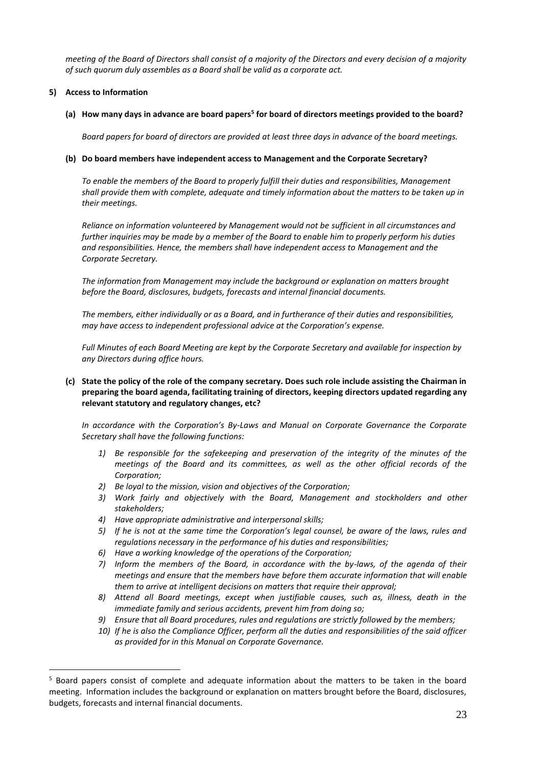*meeting of the Board of Directors shall consist of a majority of the Directors and every decision of a majority of such quorum duly assembles as a Board shall be valid as a corporate act.*

# **5) Access to Information**

<u>.</u>

# **(a) How many days in advance are board papers<sup>5</sup> for board of directors meetings provided to the board?**

*Board papers for board of directors are provided at least three days in advance of the board meetings.*

# **(b) Do board members have independent access to Management and the Corporate Secretary?**

*To enable the members of the Board to properly fulfill their duties and responsibilities, Management shall provide them with complete, adequate and timely information about the matters to be taken up in their meetings.*

*Reliance on information volunteered by Management would not be sufficient in all circumstances and further inquiries may be made by a member of the Board to enable him to properly perform his duties and responsibilities. Hence, the members shall have independent access to Management and the Corporate Secretary.*

*The information from Management may include the background or explanation on matters brought before the Board, disclosures, budgets, forecasts and internal financial documents.*

*The members, either individually or as a Board, and in furtherance of their duties and responsibilities, may have access to independent professional advice at the Corporation's expense.*

*Full Minutes of each Board Meeting are kept by the Corporate Secretary and available for inspection by any Directors during office hours.*

# **(c) State the policy of the role of the company secretary. Does such role include assisting the Chairman in preparing the board agenda, facilitating training of directors, keeping directors updated regarding any relevant statutory and regulatory changes, etc?**

*In accordance with the Corporation's By-Laws and Manual on Corporate Governance the Corporate Secretary shall have the following functions:*

- *1) Be responsible for the safekeeping and preservation of the integrity of the minutes of the meetings of the Board and its committees, as well as the other official records of the Corporation;*
- *2) Be loyal to the mission, vision and objectives of the Corporation;*
- *3) Work fairly and objectively with the Board, Management and stockholders and other stakeholders;*
- *4) Have appropriate administrative and interpersonal skills;*
- *5) If he is not at the same time the Corporation's legal counsel, be aware of the laws, rules and regulations necessary in the performance of his duties and responsibilities;*
- *6) Have a working knowledge of the operations of the Corporation;*
- *7) Inform the members of the Board, in accordance with the by-laws, of the agenda of their meetings and ensure that the members have before them accurate information that will enable them to arrive at intelligent decisions on matters that require their approval;*
- *8) Attend all Board meetings, except when justifiable causes, such as, illness, death in the immediate family and serious accidents, prevent him from doing so;*
- *9) Ensure that all Board procedures, rules and regulations are strictly followed by the members;*
- *10) If he is also the Compliance Officer, perform all the duties and responsibilities of the said officer as provided for in this Manual on Corporate Governance.*

<sup>5</sup> Board papers consist of complete and adequate information about the matters to be taken in the board meeting. Information includes the background or explanation on matters brought before the Board, disclosures, budgets, forecasts and internal financial documents.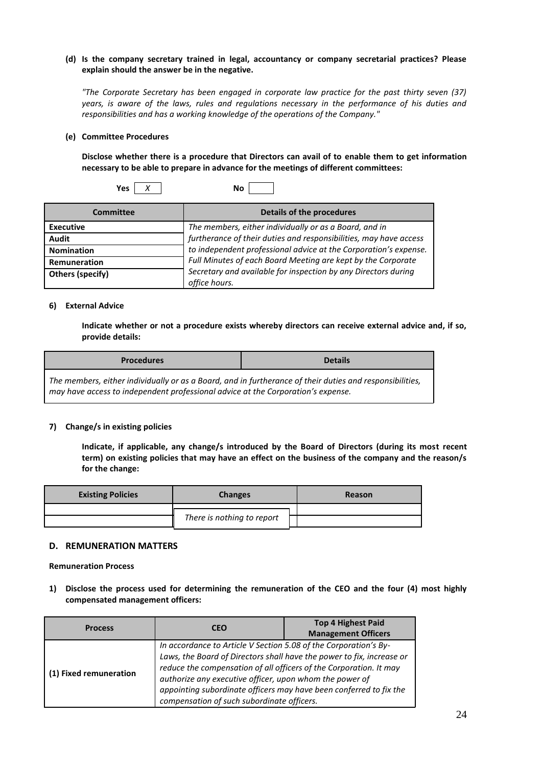# **(d) Is the company secretary trained in legal, accountancy or company secretarial practices? Please explain should the answer be in the negative.**

*"The Corporate Secretary has been engaged in corporate law practice for the past thirty seven (37) years, is aware of the laws, rules and regulations necessary in the performance of his duties and responsibilities and has a working knowledge of the operations of the Company."*

#### **(e) Committee Procedures**

**Disclose whether there is a procedure that Directors can avail of to enable them to get information necessary to be able to prepare in advance for the meetings of different committees:**

| Yes | . . | Νo<br>-<br>- - |  |  |
|-----|-----|----------------|--|--|
|-----|-----|----------------|--|--|

| Committee         | Details of the procedures                                                       |
|-------------------|---------------------------------------------------------------------------------|
| <b>Executive</b>  | The members, either individually or as a Board, and in                          |
| <b>Audit</b>      | furtherance of their duties and responsibilities, may have access               |
| <b>Nomination</b> | to independent professional advice at the Corporation's expense.                |
| Remuneration      | Full Minutes of each Board Meeting are kept by the Corporate                    |
| Others (specify)  | Secretary and available for inspection by any Directors during<br>office hours. |

#### **6) External Advice**

**Indicate whether or not a procedure exists whereby directors can receive external advice and, if so, provide details:**

| <b>Procedures</b>                                                                                                                                                                            | <b>Details</b> |
|----------------------------------------------------------------------------------------------------------------------------------------------------------------------------------------------|----------------|
| The members, either individually or as a Board, and in furtherance of their duties and responsibilities,<br>may have access to independent professional advice at the Corporation's expense. |                |

# **7) Change/s in existing policies**

**Indicate, if applicable, any change/s introduced by the Board of Directors (during its most recent term) on existing policies that may have an effect on the business of the company and the reason/s for the change:**

| <b>Existing Policies</b> | <b>Changes</b>             | Reason |
|--------------------------|----------------------------|--------|
|                          |                            |        |
|                          | There is nothing to report |        |

# **D. REMUNERATION MATTERS**

**Remuneration Process**

**1) Disclose the process used for determining the remuneration of the CEO and the four (4) most highly compensated management officers:**

| <b>Process</b>         | <b>CEO</b>                                                                                                                                                                                                                                                                                                                                                                                     | <b>Top 4 Highest Paid</b>  |  |
|------------------------|------------------------------------------------------------------------------------------------------------------------------------------------------------------------------------------------------------------------------------------------------------------------------------------------------------------------------------------------------------------------------------------------|----------------------------|--|
|                        |                                                                                                                                                                                                                                                                                                                                                                                                | <b>Management Officers</b> |  |
| (1) Fixed remuneration | In accordance to Article V Section 5.08 of the Corporation's By-<br>Laws, the Board of Directors shall have the power to fix, increase or<br>reduce the compensation of all officers of the Corporation. It may<br>authorize any executive officer, upon whom the power of<br>appointing subordinate officers may have been conferred to fix the<br>compensation of such subordinate officers. |                            |  |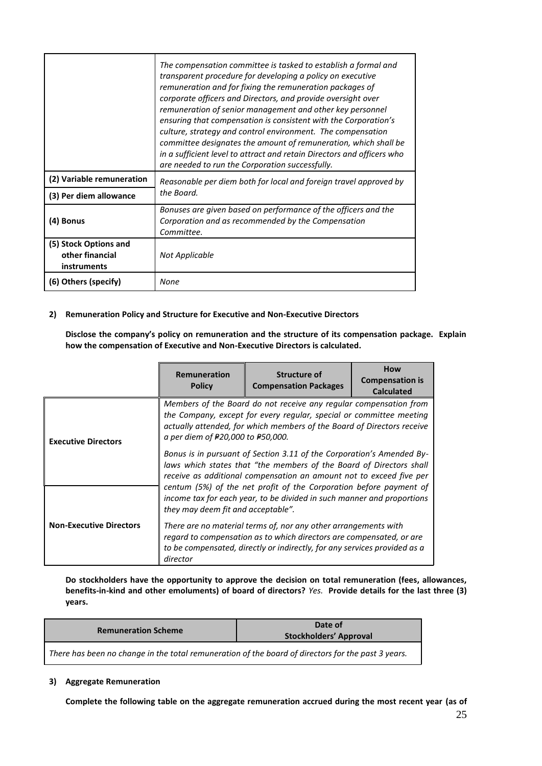|                                                         | The compensation committee is tasked to establish a formal and<br>transparent procedure for developing a policy on executive<br>remuneration and for fixing the remuneration packages of<br>corporate officers and Directors, and provide oversight over<br>remuneration of senior management and other key personnel<br>ensuring that compensation is consistent with the Corporation's<br>culture, strategy and control environment. The compensation<br>committee designates the amount of remuneration, which shall be<br>in a sufficient level to attract and retain Directors and officers who<br>are needed to run the Corporation successfully. |  |
|---------------------------------------------------------|---------------------------------------------------------------------------------------------------------------------------------------------------------------------------------------------------------------------------------------------------------------------------------------------------------------------------------------------------------------------------------------------------------------------------------------------------------------------------------------------------------------------------------------------------------------------------------------------------------------------------------------------------------|--|
| (2) Variable remuneration                               | Reasonable per diem both for local and foreign travel approved by                                                                                                                                                                                                                                                                                                                                                                                                                                                                                                                                                                                       |  |
| (3) Per diem allowance                                  | the Board.                                                                                                                                                                                                                                                                                                                                                                                                                                                                                                                                                                                                                                              |  |
| (4) Bonus                                               | Bonuses are given based on performance of the officers and the<br>Corporation and as recommended by the Compensation<br>Committee.                                                                                                                                                                                                                                                                                                                                                                                                                                                                                                                      |  |
| (5) Stock Options and<br>other financial<br>instruments | Not Applicable                                                                                                                                                                                                                                                                                                                                                                                                                                                                                                                                                                                                                                          |  |
| (6) Others (specify)                                    | None                                                                                                                                                                                                                                                                                                                                                                                                                                                                                                                                                                                                                                                    |  |

# **2) Remuneration Policy and Structure for Executive and Non-Executive Directors**

**Disclose the company's policy on remuneration and the structure of its compensation package. Explain how the compensation of Executive and Non-Executive Directors is calculated.**

|                                | Remuneration<br><b>Policy</b>      | <b>Structure of</b><br><b>Compensation Packages</b>                                                                                                                                                                  | <b>How</b><br><b>Compensation is</b><br><b>Calculated</b> |
|--------------------------------|------------------------------------|----------------------------------------------------------------------------------------------------------------------------------------------------------------------------------------------------------------------|-----------------------------------------------------------|
| <b>Executive Directors</b>     | a per diem of #20,000 to #50,000.  | Members of the Board do not receive any regular compensation from<br>the Company, except for every regular, special or committee meeting<br>actually attended, for which members of the Board of Directors receive   |                                                           |
|                                |                                    | Bonus is in pursuant of Section 3.11 of the Corporation's Amended By-<br>laws which states that "the members of the Board of Directors shall<br>receive as additional compensation an amount not to exceed five per  |                                                           |
|                                | they may deem fit and acceptable". | centum (5%) of the net profit of the Corporation before payment of<br>income tax for each year, to be divided in such manner and proportions                                                                         |                                                           |
| <b>Non-Executive Directors</b> | director                           | There are no material terms of, nor any other arrangements with<br>regard to compensation as to which directors are compensated, or are<br>to be compensated, directly or indirectly, for any services provided as a |                                                           |

**Do stockholders have the opportunity to approve the decision on total remuneration (fees, allowances, benefits-in-kind and other emoluments) of board of directors?** *Yes.* **Provide details for the last three (3) years.**

| <b>Remuneration Scheme</b> | Date of<br><b>Stockholders' Approval</b> |  |
|----------------------------|------------------------------------------|--|
| $-$                        | .<br>.                                   |  |

*There has been no change in the total remuneration of the board of directors for the past 3 years.*

# **3) Aggregate Remuneration**

**Complete the following table on the aggregate remuneration accrued during the most recent year (as of**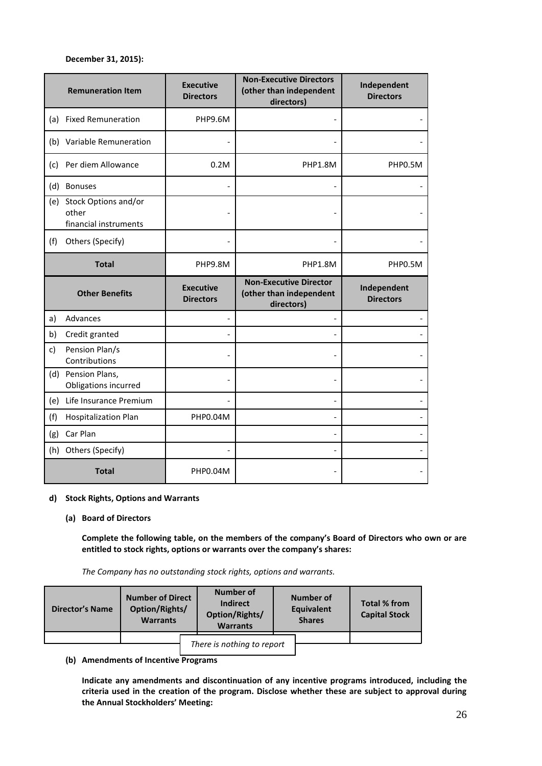# **December 31, 2015):**

|              | <b>Remuneration Item</b>                               | <b>Executive</b><br><b>Directors</b> | <b>Non-Executive Directors</b><br>(other than independent<br>directors) | Independent<br><b>Directors</b> |
|--------------|--------------------------------------------------------|--------------------------------------|-------------------------------------------------------------------------|---------------------------------|
|              | (a) Fixed Remuneration                                 | PHP9.6M                              |                                                                         |                                 |
|              | (b) Variable Remuneration                              |                                      |                                                                         |                                 |
| (c)          | Per diem Allowance                                     | 0.2M                                 | PHP1.8M                                                                 | PHP0.5M                         |
| (d)          | <b>Bonuses</b>                                         |                                      |                                                                         |                                 |
| (e)          | Stock Options and/or<br>other<br>financial instruments |                                      |                                                                         |                                 |
| (f)          | Others (Specify)                                       |                                      |                                                                         |                                 |
|              | <b>Total</b>                                           | PHP9.8M                              | PHP1.8M                                                                 | PHP0.5M                         |
|              |                                                        |                                      |                                                                         |                                 |
|              | <b>Other Benefits</b>                                  | <b>Executive</b><br><b>Directors</b> | <b>Non-Executive Director</b><br>(other than independent<br>directors)  | Independent<br><b>Directors</b> |
| a)           | Advances                                               |                                      |                                                                         |                                 |
| b)           | Credit granted                                         |                                      |                                                                         |                                 |
| $\mathsf{c}$ | Pension Plan/s<br>Contributions                        |                                      |                                                                         |                                 |
|              | (d) Pension Plans,<br>Obligations incurred             |                                      |                                                                         |                                 |
| (e)          | Life Insurance Premium                                 |                                      |                                                                         |                                 |
| (f)          | <b>Hospitalization Plan</b>                            | PHP0.04M                             |                                                                         |                                 |
| (g)          | Car Plan                                               |                                      |                                                                         |                                 |
|              | (h) Others (Specify)                                   |                                      |                                                                         |                                 |

# **d) Stock Rights, Options and Warrants**

#### **(a) Board of Directors**

**Complete the following table, on the members of the company's Board of Directors who own or are entitled to stock rights, options or warrants over the company's shares:**

*The Company has no outstanding stock rights, options and warrants.*

| <b>Director's Name</b> | <b>Number of Direct</b><br>Option/Rights/<br><b>Warrants</b> | Number of<br><b>Indirect</b><br>Option/Rights/<br><b>Warrants</b> | Number of<br>Equivalent<br><b>Shares</b> | Total % from<br><b>Capital Stock</b> |
|------------------------|--------------------------------------------------------------|-------------------------------------------------------------------|------------------------------------------|--------------------------------------|
|                        |                                                              |                                                                   |                                          |                                      |
|                        |                                                              | There is nothing to report                                        |                                          |                                      |

**(b) Amendments of Incentive Programs**

**Indicate any amendments and discontinuation of any incentive programs introduced, including the criteria used in the creation of the program. Disclose whether these are subject to approval during the Annual Stockholders' Meeting:**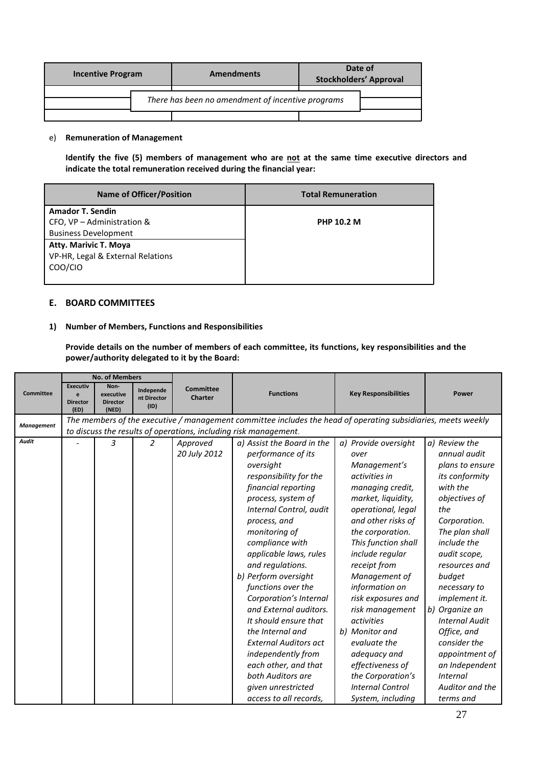| <b>Incentive Program</b> |  | <b>Amendments</b>                                 | Date of<br><b>Stockholders' Approval</b> |  |
|--------------------------|--|---------------------------------------------------|------------------------------------------|--|
|                          |  | There has been no amendment of incentive programs |                                          |  |
|                          |  |                                                   |                                          |  |

# e) **Remuneration of Management**

Identify the five (5) members of management who are not at the same time executive directors and **indicate the total remuneration received during the financial year:** 

| <b>Name of Officer/Position</b>   | <b>Total Remuneration</b> |
|-----------------------------------|---------------------------|
| <b>Amador T. Sendin</b>           |                           |
| CFO, VP - Administration &        | <b>PHP 10.2 M</b>         |
| <b>Business Development</b>       |                           |
| <b>Atty. Marivic T. Moya</b>      |                           |
| VP-HR, Legal & External Relations |                           |
| COO/CIO                           |                           |
|                                   |                           |

# **E. BOARD COMMITTEES**

# **1) Number of Members, Functions and Responsibilities**

**Provide details on the number of members of each committee, its functions, key responsibilities and the power/authority delegated to it by the Board:**

|                   |                                                 | <b>No. of Members</b>                         |                                  |                                    |                                                                                                               |                             |                       |
|-------------------|-------------------------------------------------|-----------------------------------------------|----------------------------------|------------------------------------|---------------------------------------------------------------------------------------------------------------|-----------------------------|-----------------------|
| <b>Committee</b>  | <b>Executiv</b><br>e<br><b>Director</b><br>(ED) | Non-<br>executive<br><b>Director</b><br>(NED) | Independe<br>nt Director<br>(1D) | <b>Committee</b><br><b>Charter</b> | <b>Functions</b>                                                                                              | <b>Key Responsibilities</b> | <b>Power</b>          |
| <b>Management</b> |                                                 |                                               |                                  |                                    | The members of the executive / management committee includes the head of operating subsidiaries, meets weekly |                             |                       |
|                   |                                                 |                                               |                                  |                                    | to discuss the results of operations, including risk management.                                              |                             |                       |
| Audit             |                                                 | 3                                             | $\overline{2}$                   | Approved                           | a) Assist the Board in the                                                                                    | a) Provide oversight        | a) Review the         |
|                   |                                                 |                                               |                                  | 20 July 2012                       | performance of its                                                                                            | over                        | annual audit          |
|                   |                                                 |                                               |                                  |                                    | oversight                                                                                                     | Management's                | plans to ensure       |
|                   |                                                 |                                               |                                  |                                    | responsibility for the                                                                                        | activities in               | <i>its conformity</i> |
|                   |                                                 |                                               |                                  |                                    | financial reporting                                                                                           | managing credit,            | with the              |
|                   |                                                 |                                               |                                  |                                    | process, system of                                                                                            | market, liquidity,          | objectives of         |
|                   |                                                 |                                               |                                  |                                    | Internal Control, audit                                                                                       | operational, legal          | the                   |
|                   |                                                 |                                               |                                  |                                    | process, and                                                                                                  | and other risks of          | Corporation.          |
|                   |                                                 |                                               |                                  |                                    | monitoring of                                                                                                 | the corporation.            | The plan shall        |
|                   |                                                 |                                               |                                  |                                    | compliance with                                                                                               | This function shall         | include the           |
|                   |                                                 |                                               |                                  |                                    | applicable laws, rules                                                                                        | include regular             | audit scope,          |
|                   |                                                 |                                               |                                  |                                    | and regulations.                                                                                              | receipt from                | resources and         |
|                   |                                                 |                                               |                                  |                                    | b) Perform oversight                                                                                          | Management of               | budget                |
|                   |                                                 |                                               |                                  |                                    | functions over the                                                                                            | information on              | necessary to          |
|                   |                                                 |                                               |                                  |                                    | Corporation's Internal                                                                                        | risk exposures and          | implement it.         |
|                   |                                                 |                                               |                                  |                                    | and External auditors.                                                                                        | risk management             | b) Organize an        |
|                   |                                                 |                                               |                                  |                                    | It should ensure that                                                                                         | activities                  | <b>Internal Audit</b> |
|                   |                                                 |                                               |                                  |                                    | the Internal and                                                                                              | b) Monitor and              | Office, and           |
|                   |                                                 |                                               |                                  |                                    | <b>External Auditors act</b>                                                                                  | evaluate the                | consider the          |
|                   |                                                 |                                               |                                  |                                    | independently from                                                                                            | adequacy and                | appointment of        |
|                   |                                                 |                                               |                                  |                                    | each other, and that                                                                                          | effectiveness of            | an Independent        |
|                   |                                                 |                                               |                                  |                                    | both Auditors are                                                                                             | the Corporation's           | <i>Internal</i>       |
|                   |                                                 |                                               |                                  |                                    | given unrestricted                                                                                            | <b>Internal Control</b>     | Auditor and the       |
|                   |                                                 |                                               |                                  |                                    | access to all records,                                                                                        | System, including           | terms and             |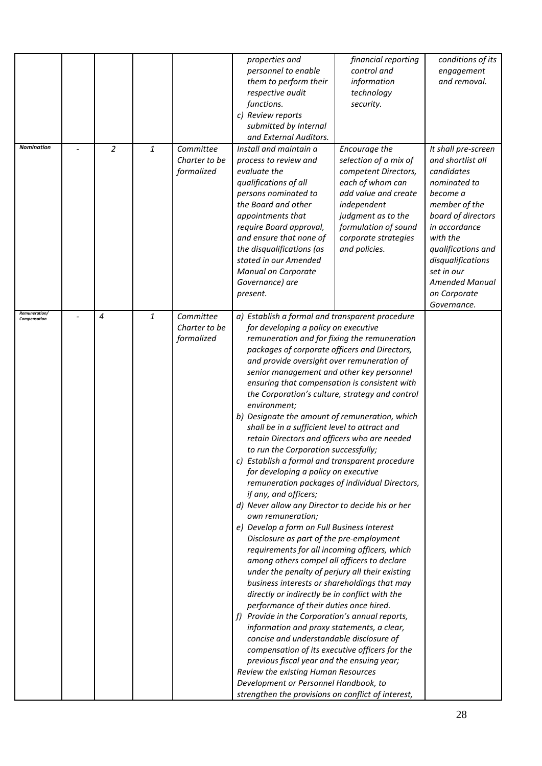| <b>Nomination</b>             | $\overline{2}$ | 1            | Committee                                | properties and<br>personnel to enable<br>them to perform their<br>respective audit<br>functions.<br>c) Review reports<br>submitted by Internal<br>and External Auditors.<br>Install and maintain a                                                                                                                                                                                                                                                                                                                                                                                                                                                                                                                                                                                                                                                                                                                                                                                                                                                                                                                                                                                                                                                                                                                                                                                                                                                                                                                                                                                                                              | financial reporting<br>control and<br>information<br>technology<br>security.<br>Encourage the                                                                                                   | conditions of its<br>engagement<br>and removal.<br>It shall pre-screen                                                                                                                                                                           |
|-------------------------------|----------------|--------------|------------------------------------------|---------------------------------------------------------------------------------------------------------------------------------------------------------------------------------------------------------------------------------------------------------------------------------------------------------------------------------------------------------------------------------------------------------------------------------------------------------------------------------------------------------------------------------------------------------------------------------------------------------------------------------------------------------------------------------------------------------------------------------------------------------------------------------------------------------------------------------------------------------------------------------------------------------------------------------------------------------------------------------------------------------------------------------------------------------------------------------------------------------------------------------------------------------------------------------------------------------------------------------------------------------------------------------------------------------------------------------------------------------------------------------------------------------------------------------------------------------------------------------------------------------------------------------------------------------------------------------------------------------------------------------|-------------------------------------------------------------------------------------------------------------------------------------------------------------------------------------------------|--------------------------------------------------------------------------------------------------------------------------------------------------------------------------------------------------------------------------------------------------|
|                               |                |              | Charter to be<br>formalized              | process to review and<br>evaluate the<br>qualifications of all<br>persons nominated to<br>the Board and other<br>appointments that<br>require Board approval,<br>and ensure that none of<br>the disqualifications (as<br>stated in our Amended<br>Manual on Corporate<br>Governance) are<br>present.                                                                                                                                                                                                                                                                                                                                                                                                                                                                                                                                                                                                                                                                                                                                                                                                                                                                                                                                                                                                                                                                                                                                                                                                                                                                                                                            | selection of a mix of<br>competent Directors,<br>each of whom can<br>add value and create<br>independent<br>judgment as to the<br>formulation of sound<br>corporate strategies<br>and policies. | and shortlist all<br>candidates<br>nominated to<br>become a<br>member of the<br>board of directors<br>in accordance<br>with the<br>qualifications and<br>disqualifications<br>set in our<br><b>Amended Manual</b><br>on Corporate<br>Governance. |
| Remuneration/<br>Compensation | $\overline{4}$ | $\mathbf{1}$ | Committee<br>Charter to be<br>formalized | a) Establish a formal and transparent procedure<br>for developing a policy on executive<br>remuneration and for fixing the remuneration<br>packages of corporate officers and Directors,<br>and provide oversight over remuneration of<br>senior management and other key personnel<br>ensuring that compensation is consistent with<br>the Corporation's culture, strategy and control<br>environment;<br>b) Designate the amount of remuneration, which<br>shall be in a sufficient level to attract and<br>retain Directors and officers who are needed<br>to run the Corporation successfully;<br>c) Establish a formal and transparent procedure<br>for developing a policy on executive<br>remuneration packages of individual Directors,<br>if any, and officers;<br>d) Never allow any Director to decide his or her<br>own remuneration;<br>e) Develop a form on Full Business Interest<br>Disclosure as part of the pre-employment<br>requirements for all incoming officers, which<br>among others compel all officers to declare<br>under the penalty of perjury all their existing<br>business interests or shareholdings that may<br>directly or indirectly be in conflict with the<br>performance of their duties once hired.<br>f) Provide in the Corporation's annual reports,<br>information and proxy statements, a clear,<br>concise and understandable disclosure of<br>compensation of its executive officers for the<br>previous fiscal year and the ensuing year;<br>Review the existing Human Resources<br>Development or Personnel Handbook, to<br>strengthen the provisions on conflict of interest, |                                                                                                                                                                                                 |                                                                                                                                                                                                                                                  |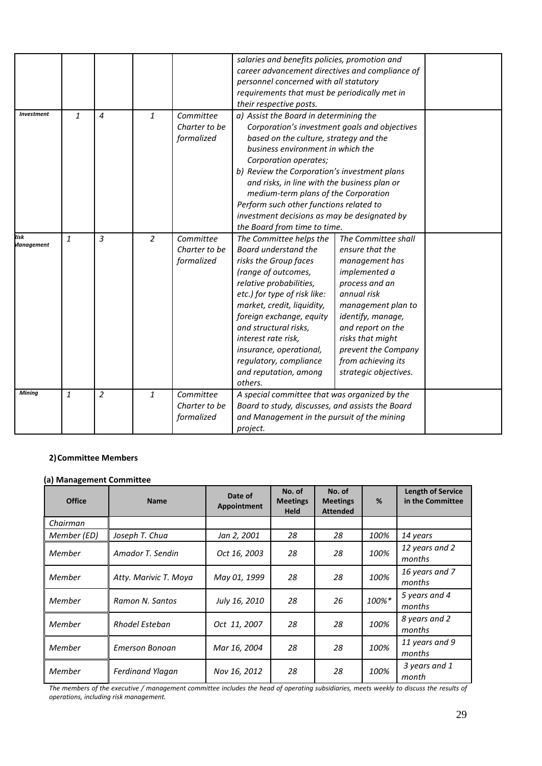|                   |              |                |                |               | salaries and benefits policies, promotion and    |                       |  |  |
|-------------------|--------------|----------------|----------------|---------------|--------------------------------------------------|-----------------------|--|--|
|                   |              |                |                |               | career advancement directives and compliance of  |                       |  |  |
|                   |              |                |                |               | personnel concerned with all statutory           |                       |  |  |
|                   |              |                |                |               | requirements that must be periodically met in    |                       |  |  |
|                   |              |                |                |               | their respective posts.                          |                       |  |  |
| <b>Investment</b> | $\mathbf{1}$ | $\overline{4}$ | $\mathbf{1}$   | Committee     | a) Assist the Board in determining the           |                       |  |  |
|                   |              |                |                | Charter to be | Corporation's investment goals and objectives    |                       |  |  |
|                   |              |                |                | formalized    | based on the culture, strategy and the           |                       |  |  |
|                   |              |                |                |               | business environment in which the                |                       |  |  |
|                   |              |                |                |               | Corporation operates;                            |                       |  |  |
|                   |              |                |                |               | b) Review the Corporation's investment plans     |                       |  |  |
|                   |              |                |                |               | and risks, in line with the business plan or     |                       |  |  |
|                   |              |                |                |               | medium-term plans of the Corporation             |                       |  |  |
|                   |              |                |                |               | Perform such other functions related to          |                       |  |  |
|                   |              |                |                |               | investment decisions as may be designated by     |                       |  |  |
|                   |              |                |                |               | the Board from time to time.                     |                       |  |  |
| Risk              | $\mathbf{1}$ | 3              | $\overline{2}$ | Committee     | The Committee helps the                          | The Committee shall   |  |  |
| <b>Management</b> |              |                |                | Charter to be | Board understand the                             | ensure that the       |  |  |
|                   |              |                |                | formalized    | risks the Group faces                            | management has        |  |  |
|                   |              |                |                |               | (range of outcomes,                              | implemented a         |  |  |
|                   |              |                |                |               | relative probabilities,                          | process and an        |  |  |
|                   |              |                |                |               | etc.) for type of risk like:                     | annual risk           |  |  |
|                   |              |                |                |               | market, credit, liquidity,                       | management plan to    |  |  |
|                   |              |                |                |               | foreign exchange, equity                         | identify, manage,     |  |  |
|                   |              |                |                |               | and structural risks,                            | and report on the     |  |  |
|                   |              |                |                |               | interest rate risk,                              | risks that might      |  |  |
|                   |              |                |                |               | insurance, operational,                          | prevent the Company   |  |  |
|                   |              |                |                |               | regulatory, compliance                           | from achieving its    |  |  |
|                   |              |                |                |               | and reputation, among                            | strategic objectives. |  |  |
|                   |              |                |                |               | others.                                          |                       |  |  |
| <b>Mining</b>     | $\mathbf{1}$ | $\overline{2}$ | $\mathbf{1}$   | Committee     | A special committee that was organized by the    |                       |  |  |
|                   |              |                |                | Charter to be | Board to study, discusses, and assists the Board |                       |  |  |
|                   |              |                |                | formalized    | and Management in the pursuit of the mining      |                       |  |  |
|                   |              |                |                |               | project.                                         |                       |  |  |

# **2)Committee Members**

# **(a) Management Committee**

| <b>Office</b> | <b>Name</b>             | Date of<br>Appointment | No. of<br><b>Meetings</b><br><b>Held</b> | No. of<br><b>Meetings</b><br><b>Attended</b> | %     | <b>Length of Service</b><br>in the Committee |
|---------------|-------------------------|------------------------|------------------------------------------|----------------------------------------------|-------|----------------------------------------------|
| Chairman      |                         |                        |                                          |                                              |       |                                              |
| Member (ED)   | Joseph T. Chua          | Jan 2, 2001            | 28                                       | 28                                           | 100%  | 14 years                                     |
| Member        | Amador T. Sendin        | Oct 16, 2003           | 28                                       | 28                                           | 100%  | 12 years and 2<br>months                     |
| Member        | Atty. Marivic T. Moya   | May 01, 1999           | 28                                       | 28                                           | 100%  | 16 years and 7<br>months                     |
| Member        | Ramon N. Santos         | July 16, 2010          | 28                                       | 26                                           | 100%* | 5 years and 4<br>months                      |
| Member        | Rhodel Esteban          | Oct 11, 2007           | 28                                       | 28                                           | 100%  | 8 years and 2<br>months                      |
| Member        | <b>Emerson Bonoan</b>   | Mar 16, 2004           | 28                                       | 28                                           | 100%  | 11 years and 9<br>months                     |
| Member        | <b>Ferdinand Ylagan</b> | Nov 16, 2012           | 28                                       | 28                                           | 100%  | 3 years and 1<br>month                       |

*The members of the executive / management committee includes the head of operating subsidiaries, meets weekly to discuss the results of operations, including risk management.*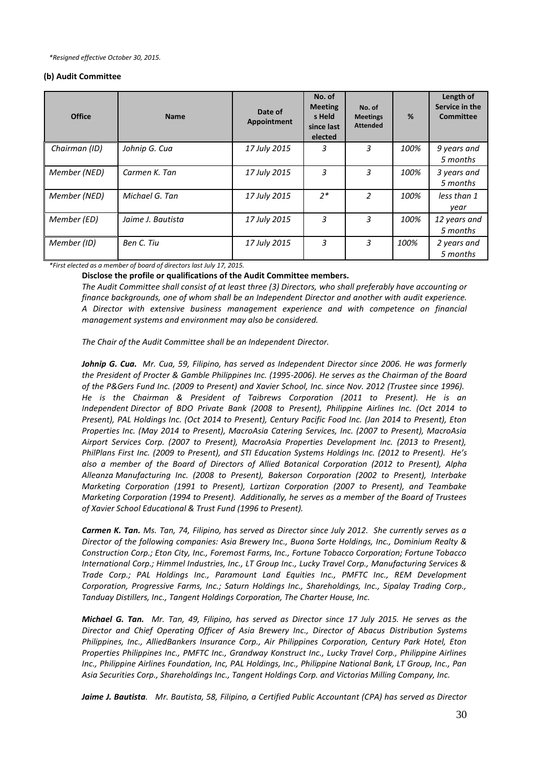*\*Resigned effective October 30, 2015.*

#### **(b) Audit Committee**

| <b>Office</b> | <b>Name</b>       | Date of<br>Appointment | No. of<br><b>Meeting</b><br>s Held<br>since last<br>elected | No. of<br><b>Meetings</b><br><b>Attended</b> | %    | Length of<br>Service in the<br>Committee |
|---------------|-------------------|------------------------|-------------------------------------------------------------|----------------------------------------------|------|------------------------------------------|
| Chairman (ID) | Johnip G. Cua     | 17 July 2015           | 3                                                           | 3                                            | 100% | 9 years and<br>5 months                  |
| Member (NED)  | Carmen K. Tan     | 17 July 2015           | 3                                                           | 3                                            | 100% | 3 years and<br>5 months                  |
| Member (NED)  | Michael G. Tan    | 17 July 2015           | $2*$                                                        | 2                                            | 100% | less than 1<br>year                      |
| Member (ED)   | Jaime J. Bautista | 17 July 2015           | 3                                                           | 3                                            | 100% | 12 years and<br>5 months                 |
| Member (ID)   | Ben C. Tiu        | 17 July 2015           | 3                                                           | 3                                            | 100% | 2 years and<br>5 months                  |

*\*First elected as a member of board of directors last July 17, 2015.*

**Disclose the profile or qualifications of the Audit Committee members.**

*The Audit Committee shall consist of at least three (3) Directors, who shall preferably have accounting or finance backgrounds, one of whom shall be an Independent Director and another with audit experience. A Director with extensive business management experience and with competence on financial management systems and environment may also be considered.*

*The Chair of the Audit Committee shall be an Independent Director.*

*Johnip G. Cua. Mr. Cua, 59, Filipino, has served as Independent Director since 2006. He was formerly the President of Procter & Gamble Philippines Inc. (1995-2006). He serves as the Chairman of the Board of the P&Gers Fund Inc. (2009 to Present) and Xavier School, Inc. since Nov. 2012 (Trustee since 1996). He is the Chairman & President of Taibrews Corporation (2011 to Present). He is an Independent Director of BDO Private Bank (2008 to Present), Philippine Airlines Inc. (Oct 2014 to Present), PAL Holdings Inc. (Oct 2014 to Present), Century Pacific Food Inc. (Jan 2014 to Present), Eton Properties Inc. (May 2014 to Present), MacroAsia Catering Services, Inc. (2007 to Present), MacroAsia Airport Services Corp. (2007 to Present), MacroAsia Properties Development Inc. (2013 to Present), PhilPlans First Inc. (2009 to Present), and STI Education Systems Holdings Inc. (2012 to Present). He's also a member of the Board of Directors of Allied Botanical Corporation (2012 to Present), Alpha Alleanza Manufacturing Inc. (2008 to Present), Bakerson Corporation (2002 to Present), Interbake Marketing Corporation (1991 to Present), Lartizan Corporation (2007 to Present), and Teambake Marketing Corporation (1994 to Present). Additionally, he serves as a member of the Board of Trustees of Xavier School Educational & Trust Fund (1996 to Present).*

*Carmen K. Tan. Ms. Tan, 74, Filipino, has served as Director since July 2012. She currently serves as a Director of the following companies: Asia Brewery Inc., Buona Sorte Holdings, Inc., Dominium Realty & Construction Corp.; Eton City, Inc., Foremost Farms, Inc., Fortune Tobacco Corporation; Fortune Tobacco International Corp.; Himmel Industries, Inc., LT Group Inc., Lucky Travel Corp., Manufacturing Services & Trade Corp.; PAL Holdings Inc., Paramount Land Equities Inc., PMFTC Inc., REM Development Corporation, Progressive Farms, Inc.; Saturn Holdings Inc., Shareholdings, Inc., Sipalay Trading Corp., Tanduay Distillers, Inc., Tangent Holdings Corporation, The Charter House, Inc.*

*Michael G. Tan. Mr. Tan, 49, Filipino, has served as Director since 17 July 2015. He serves as the Director and Chief Operating Officer of Asia Brewery Inc., Director of Abacus Distribution Systems Philippines, Inc., AlliedBankers Insurance Corp., Air Philippines Corporation, Century Park Hotel, Eton Properties Philippines Inc., PMFTC Inc., Grandway Konstruct Inc., Lucky Travel Corp., Philippine Airlines Inc., Philippine Airlines Foundation, Inc, PAL Holdings, Inc., Philippine National Bank, LT Group, Inc., Pan Asia Securities Corp., Shareholdings Inc., Tangent Holdings Corp. and Victorias Milling Company, Inc.*

*Jaime J. Bautista. Mr. Bautista, 58, Filipino, a Certified Public Accountant (CPA) has served as Director*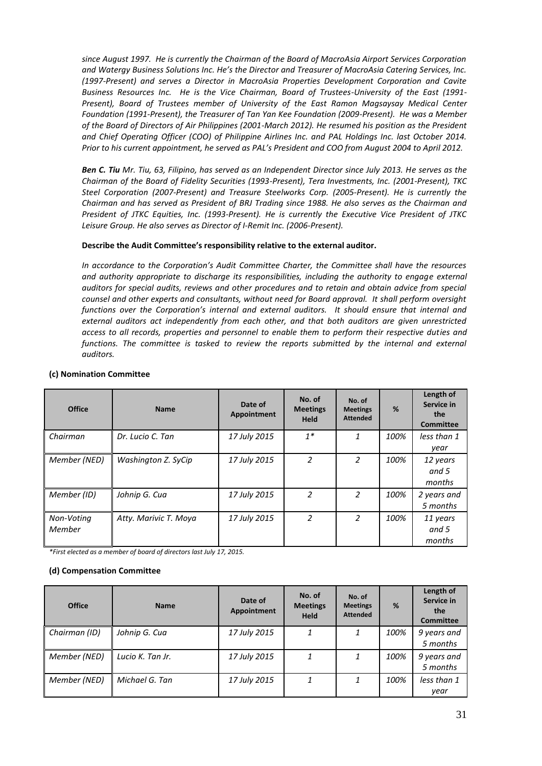*since August 1997. He is currently the Chairman of the Board of MacroAsia Airport Services Corporation and Watergy Business Solutions Inc. He's the Director and Treasurer of MacroAsia Catering Services, Inc. (1997-Present) and serves a Director in MacroAsia Properties Development Corporation and Cavite Business Resources Inc. He is the Vice Chairman, Board of Trustees-University of the East (1991- Present), Board of Trustees member of University of the East Ramon Magsaysay Medical Center Foundation (1991-Present), the Treasurer of Tan Yan Kee Foundation (2009-Present). He was a Member of the Board of Directors of Air Philippines (2001-March 2012). He resumed his position as the President and Chief Operating Officer (COO) of Philippine Airlines Inc. and PAL Holdings Inc. last October 2014. Prior to his current appointment, he served as PAL's President and COO from August 2004 to April 2012.*

*Ben C. Tiu Mr. Tiu, 63, Filipino, has served as an Independent Director since July 2013. He serves as the Chairman of the Board of Fidelity Securities (1993-Present), Tera Investments, Inc. (2001‐Present), TKC Steel Corporation (2007‐Present) and Treasure Steelworks Corp. (2005‐Present). He is currently the Chairman and has served as President of BRJ Trading since 1988. He also serves as the Chairman and President of JTKC Equities, Inc. (1993‐Present). He is currently the Executive Vice President of JTKC Leisure Group. He also serves as Director of I‐Remit Inc. (2006‐Present).*

#### **Describe the Audit Committee's responsibility relative to the external auditor.**

*In accordance to the Corporation's Audit Committee Charter, the Committee shall have the resources and authority appropriate to discharge its responsibilities, including the authority to engage external auditors for special audits, reviews and other procedures and to retain and obtain advice from special counsel and other experts and consultants, without need for Board approval. It shall perform oversight functions over the Corporation's internal and external auditors. It should ensure that internal and external auditors act independently from each other, and that both auditors are given unrestricted access to all records, properties and personnel to enable them to perform their respective duties and functions. The committee is tasked to review the reports submitted by the internal and external auditors.*

| <b>Office</b>        | <b>Name</b>           | Date of<br>Appointment | No. of<br><b>Meetings</b><br><b>Held</b> | No. of<br><b>Meetings</b><br><b>Attended</b> | %    | Length of<br>Service in<br>the<br><b>Committee</b> |
|----------------------|-----------------------|------------------------|------------------------------------------|----------------------------------------------|------|----------------------------------------------------|
| Chairman             | Dr. Lucio C. Tan      | 17 July 2015           | $1^*$                                    | 1                                            | 100% | less than 1<br>year                                |
| Member (NED)         | Washington Z. SyCip   | 17 July 2015           | 2                                        | $\mathcal{P}$                                | 100% | 12 years<br>and 5<br>months                        |
| Member (ID)          | Johnip G. Cua         | 17 July 2015           | 2                                        | $\mathcal{P}$                                | 100% | 2 years and<br>5 months                            |
| Non-Voting<br>Member | Atty. Marivic T. Moya | 17 July 2015           | 2                                        | 2                                            | 100% | 11 years<br>and 5<br>months                        |

#### **(c) Nomination Committee**

*\*First elected as a member of board of directors last July 17, 2015.*

#### **(d) Compensation Committee**

| <b>Office</b> | <b>Name</b>      | Date of<br>Appointment | No. of<br><b>Meetings</b><br><b>Held</b> | No. of<br><b>Meetings</b><br><b>Attended</b> | %    | Length of<br>Service in<br>the<br><b>Committee</b> |
|---------------|------------------|------------------------|------------------------------------------|----------------------------------------------|------|----------------------------------------------------|
| Chairman (ID) | Johnip G. Cua    | 17 July 2015           | 1                                        |                                              | 100% | 9 years and<br>5 months                            |
| Member (NED)  | Lucio K. Tan Jr. | 17 July 2015           | 1                                        | 1                                            | 100% | 9 years and<br>5 months                            |
| Member (NED)  | Michael G. Tan   | 17 July 2015           | 1                                        |                                              | 100% | less than 1<br>vear                                |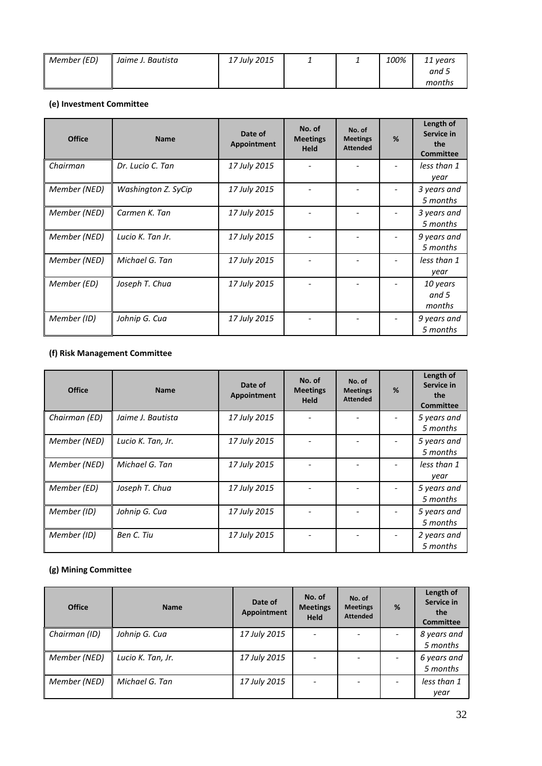| Member (ED) | Jaime J. Bautista | 17 July 2015 |  | 100% | 11 years |
|-------------|-------------------|--------------|--|------|----------|
|             |                   |              |  |      | and 5    |
|             |                   |              |  |      | months   |

# **(e) Investment Committee**

| <b>Office</b> | <b>Name</b>         | Date of<br>Appointment | No. of<br><b>Meetings</b><br><b>Held</b> | No. of<br><b>Meetings</b><br><b>Attended</b> | % | Length of<br>Service in<br>the<br><b>Committee</b> |
|---------------|---------------------|------------------------|------------------------------------------|----------------------------------------------|---|----------------------------------------------------|
| Chairman      | Dr. Lucio C. Tan    | 17 July 2015           |                                          |                                              |   | less than 1<br>year                                |
| Member (NED)  | Washington Z. SyCip | 17 July 2015           |                                          |                                              |   | 3 years and<br>5 months                            |
| Member (NED)  | Carmen K. Tan       | 17 July 2015           |                                          |                                              |   | 3 years and<br>5 months                            |
| Member (NED)  | Lucio K. Tan Jr.    | 17 July 2015           |                                          |                                              |   | 9 years and<br>5 months                            |
| Member (NED)  | Michael G. Tan      | 17 July 2015           |                                          |                                              |   | less than 1<br>year                                |
| Member (ED)   | Joseph T. Chua      | 17 July 2015           |                                          |                                              |   | 10 years<br>and 5<br>months                        |
| Member (ID)   | Johnip G. Cua       | 17 July 2015           |                                          |                                              |   | 9 years and<br>5 months                            |

# **(f) Risk Management Committee**

| <b>Office</b> | <b>Name</b>       | Date of<br>Appointment | No. of<br><b>Meetings</b><br><b>Held</b> | No. of<br><b>Meetings</b><br><b>Attended</b> | % | Length of<br>Service in<br>the<br><b>Committee</b> |
|---------------|-------------------|------------------------|------------------------------------------|----------------------------------------------|---|----------------------------------------------------|
| Chairman (ED) | Jaime J. Bautista | 17 July 2015           |                                          |                                              |   | 5 years and<br>5 months                            |
| Member (NED)  | Lucio K. Tan, Jr. | 17 July 2015           |                                          |                                              |   | 5 years and<br>5 months                            |
| Member (NED)  | Michael G. Tan    | 17 July 2015           |                                          |                                              |   | less than 1<br>year                                |
| Member (ED)   | Joseph T. Chua    | 17 July 2015           |                                          |                                              |   | 5 years and<br>5 months                            |
| Member (ID)   | Johnip G. Cua     | 17 July 2015           |                                          |                                              |   | 5 years and<br>5 months                            |
| Member (ID)   | Ben C. Tiu        | 17 July 2015           |                                          |                                              |   | 2 years and<br>5 months                            |

# **(g) Mining Committee**

| <b>Office</b> | <b>Name</b>       | Date of<br>Appointment | No. of<br><b>Meetings</b><br><b>Held</b> | No. of<br><b>Meetings</b><br><b>Attended</b> | % | Length of<br>Service in<br>the<br><b>Committee</b> |
|---------------|-------------------|------------------------|------------------------------------------|----------------------------------------------|---|----------------------------------------------------|
| Chairman (ID) | Johnip G. Cua     | 17 July 2015           |                                          |                                              |   | 8 years and<br>5 months                            |
| Member (NED)  | Lucio K. Tan, Jr. | 17 July 2015           |                                          |                                              |   | 6 years and<br>5 months                            |
| Member (NED)  | Michael G. Tan    | 17 July 2015           |                                          |                                              |   | less than 1                                        |
|               |                   |                        |                                          |                                              |   | year                                               |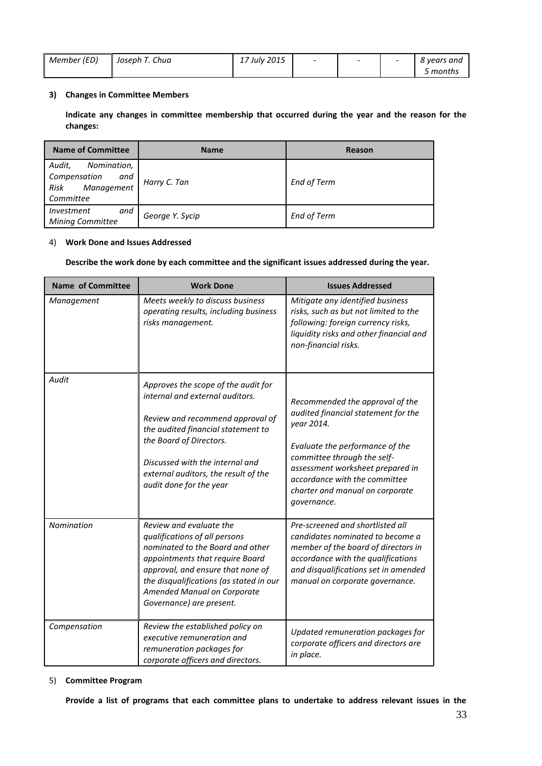| Member (ED) | Joseph T. Chua | 17 July 2015 | $\overline{\phantom{0}}$ | $\overline{\phantom{0}}$ | 8 vears and |
|-------------|----------------|--------------|--------------------------|--------------------------|-------------|
|             |                |              |                          |                          | 5 months    |

# **3) Changes in Committee Members**

**Indicate any changes in committee membership that occurred during the year and the reason for the changes:**

| <b>Name of Committee</b>                                                        | <b>Name</b>     | Reason             |
|---------------------------------------------------------------------------------|-----------------|--------------------|
| Audit,<br>Nomination,<br>Compensation<br>and<br>Risk<br>Management<br>Committee | Harry C. Tan    | <b>End of Term</b> |
| <i>Investment</i><br>and<br>Mining Committee                                    | George Y. Sycip | <b>End of Term</b> |

# 4) **Work Done and Issues Addressed**

#### **Describe the work done by each committee and the significant issues addressed during the year.**

| <b>Name of Committee</b> | <b>Work Done</b>                                                                                                                                                                                                                                                                  | <b>Issues Addressed</b>                                                                                                                                                                                                                                                       |
|--------------------------|-----------------------------------------------------------------------------------------------------------------------------------------------------------------------------------------------------------------------------------------------------------------------------------|-------------------------------------------------------------------------------------------------------------------------------------------------------------------------------------------------------------------------------------------------------------------------------|
| Management               | Meets weekly to discuss business<br>operating results, including business<br>risks management.                                                                                                                                                                                    | Mitigate any identified business<br>risks, such as but not limited to the<br>following: foreign currency risks,<br>liquidity risks and other financial and<br>non-financial risks.                                                                                            |
| Audit                    | Approves the scope of the audit for<br>internal and external auditors.<br>Review and recommend approval of<br>the audited financial statement to<br>the Board of Directors.<br>Discussed with the internal and<br>external auditors, the result of the<br>audit done for the year | Recommended the approval of the<br>audited financial statement for the<br>year 2014.<br>Evaluate the performance of the<br>committee through the self-<br>assessment worksheet prepared in<br>accordance with the committee<br>charter and manual on corporate<br>governance. |
| Nomination               | Review and evaluate the<br>qualifications of all persons<br>nominated to the Board and other<br>appointments that require Board<br>approval, and ensure that none of<br>the disqualifications (as stated in our<br>Amended Manual on Corporate<br>Governance) are present.        | Pre-screened and shortlisted all<br>candidates nominated to become a<br>member of the board of directors in<br>accordance with the qualifications<br>and disqualifications set in amended<br>manual on corporate governance.                                                  |
| Compensation             | Review the established policy on<br>executive remuneration and<br>remuneration packages for<br>corporate officers and directors.                                                                                                                                                  | Updated remuneration packages for<br>corporate officers and directors are<br>in place.                                                                                                                                                                                        |

# 5) **Committee Program**

**Provide a list of programs that each committee plans to undertake to address relevant issues in the**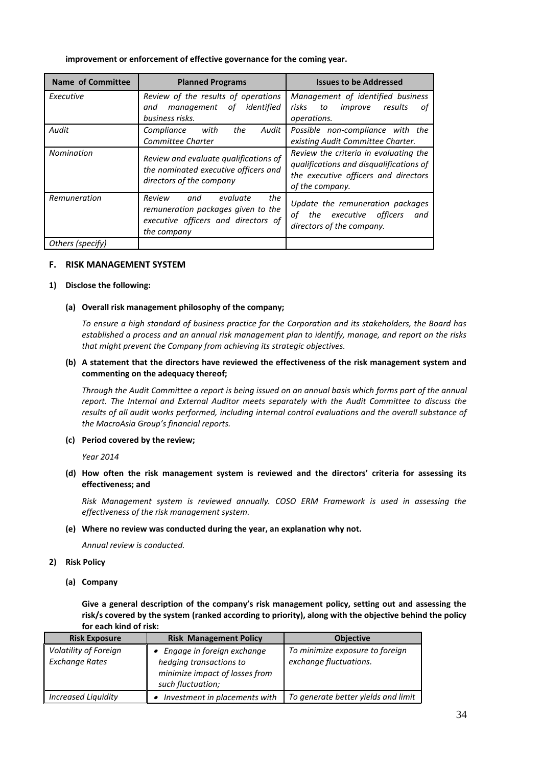#### **improvement or enforcement of effective governance for the coming year.**

| Name of Committee | <b>Planned Programs</b>                                                                                                      | <b>Issues to be Addressed</b>                                                                                                               |
|-------------------|------------------------------------------------------------------------------------------------------------------------------|---------------------------------------------------------------------------------------------------------------------------------------------|
| Executive         | Review of the results of operations<br>identified<br>of<br>management<br>and<br>business risks.                              | Management of identified business<br>risks<br>improve<br>results<br>to<br>οf<br>operations.                                                 |
| Audit             | Compliance<br>the<br>Audit<br>with<br>Committee Charter                                                                      | Possible non-compliance with the<br>existing Audit Committee Charter.                                                                       |
| Nomination        | Review and evaluate qualifications of<br>the nominated executive officers and<br>directors of the company                    | Review the criteria in evaluating the<br>qualifications and disqualifications of<br>the executive officers and directors<br>of the company. |
| Remuneration      | the<br>evaluate<br>Review<br>and<br>remuneration packages given to the<br>executive officers and directors of<br>the company | Update the remuneration packages<br>executive officers<br>οf<br>the<br>and<br>directors of the company.                                     |
| Others (specify)  |                                                                                                                              |                                                                                                                                             |

# **F. RISK MANAGEMENT SYSTEM**

# **1) Disclose the following:**

#### **(a) Overall risk management philosophy of the company;**

*To ensure a high standard of business practice for the Corporation and its stakeholders, the Board has established a process and an annual risk management plan to identify, manage, and report on the risks that might prevent the Company from achieving its strategic objectives.*

# **(b) A statement that the directors have reviewed the effectiveness of the risk management system and commenting on the adequacy thereof;**

*Through the Audit Committee a report is being issued on an annual basis which forms part of the annual report. The Internal and External Auditor meets separately with the Audit Committee to discuss the results of all audit works performed, including internal control evaluations and the overall substance of the MacroAsia Group's financial reports.*

#### **(c) Period covered by the review;**

*Year 2014*

# **(d) How often the risk management system is reviewed and the directors' criteria for assessing its effectiveness; and**

*Risk Management system is reviewed annually. COSO ERM Framework is used in assessing the effectiveness of the risk management system.*

#### **(e) Where no review was conducted during the year, an explanation why not.**

*Annual review is conducted.*

# **2) Risk Policy**

**(a) Company**

**Give a general description of the company's risk management policy, setting out and assessing the risk/s covered by the system (ranked according to priority), along with the objective behind the policy for each kind of risk:**

| <b>Risk Exposure</b>                           | <b>Risk Management Policy</b>                                                                                  | <b>Objective</b>                                          |
|------------------------------------------------|----------------------------------------------------------------------------------------------------------------|-----------------------------------------------------------|
| Volatility of Foreign<br><b>Exchange Rates</b> | • Engage in foreign exchange<br>hedging transactions to<br>minimize impact of losses from<br>such fluctuation; | To minimize exposure to foreign<br>exchange fluctuations. |
| <b>Increased Liquidity</b>                     | Investment in placements with                                                                                  | To generate better yields and limit                       |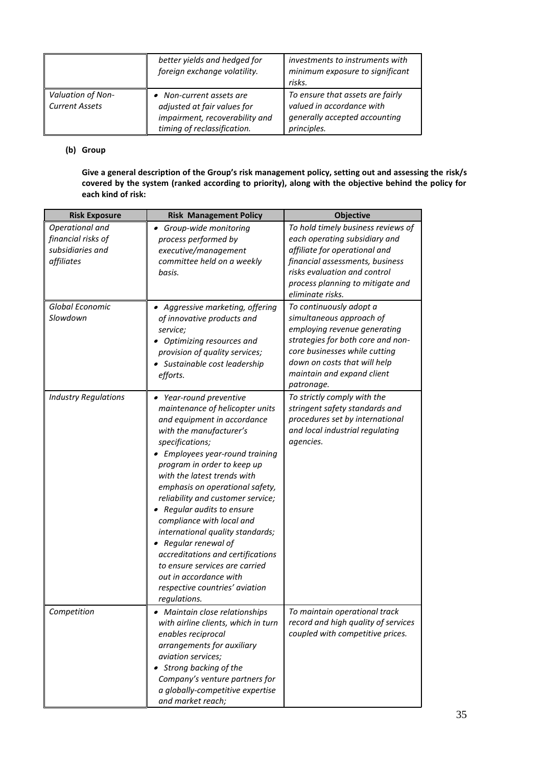|                                            | better yields and hedged for<br>foreign exchange volatility.                                                             | investments to instruments with<br>minimum exposure to significant<br>risks.                                  |
|--------------------------------------------|--------------------------------------------------------------------------------------------------------------------------|---------------------------------------------------------------------------------------------------------------|
| Valuation of Non-<br><b>Current Assets</b> | • Non-current assets are<br>adjusted at fair values for<br>impairment, recoverability and<br>timing of reclassification. | To ensure that assets are fairly<br>valued in accordance with<br>generally accepted accounting<br>principles. |

# **(b) Group**

**Give a general description of the Group's risk management policy, setting out and assessing the risk/s covered by the system (ranked according to priority), along with the objective behind the policy for each kind of risk:**

| <b>Risk Exposure</b>                                                    | <b>Risk Management Policy</b>                                                                                                                                                                                                                                                                                                                                                                                                                                                                                                                                                            | <b>Objective</b>                                                                                                                                                                                                                      |
|-------------------------------------------------------------------------|------------------------------------------------------------------------------------------------------------------------------------------------------------------------------------------------------------------------------------------------------------------------------------------------------------------------------------------------------------------------------------------------------------------------------------------------------------------------------------------------------------------------------------------------------------------------------------------|---------------------------------------------------------------------------------------------------------------------------------------------------------------------------------------------------------------------------------------|
| Operational and<br>financial risks of<br>subsidiaries and<br>affiliates | • Group-wide monitoring<br>process performed by<br>executive/management<br>committee held on a weekly<br>basis.                                                                                                                                                                                                                                                                                                                                                                                                                                                                          | To hold timely business reviews of<br>each operating subsidiary and<br>affiliate for operational and<br>financial assessments, business<br>risks evaluation and control<br>process planning to mitigate and<br>eliminate risks.       |
| Global Economic<br>Slowdown                                             | • Aggressive marketing, offering<br>of innovative products and<br>service;<br>Optimizing resources and<br>provision of quality services;<br>• Sustainable cost leadership<br>efforts.                                                                                                                                                                                                                                                                                                                                                                                                    | To continuously adopt a<br>simultaneous approach of<br>employing revenue generating<br>strategies for both core and non-<br>core businesses while cutting<br>down on costs that will help<br>maintain and expand client<br>patronage. |
| <b>Industry Regulations</b>                                             | • Year-round preventive<br>maintenance of helicopter units<br>and equipment in accordance<br>with the manufacturer's<br>specifications;<br>• Employees year-round training<br>program in order to keep up<br>with the latest trends with<br>emphasis on operational safety,<br>reliability and customer service;<br>Regular audits to ensure<br>compliance with local and<br>international quality standards;<br>• Regular renewal of<br>accreditations and certifications<br>to ensure services are carried<br>out in accordance with<br>respective countries' aviation<br>regulations. | To strictly comply with the<br>stringent safety standards and<br>procedures set by international<br>and local industrial regulating<br>agencies.                                                                                      |
| Competition                                                             | • Maintain close relationships<br>with airline clients, which in turn<br>enables reciprocal<br>arrangements for auxiliary<br>aviation services;<br>Strong backing of the<br>Company's venture partners for<br>a globally-competitive expertise<br>and market reach;                                                                                                                                                                                                                                                                                                                      | To maintain operational track<br>record and high quality of services<br>coupled with competitive prices.                                                                                                                              |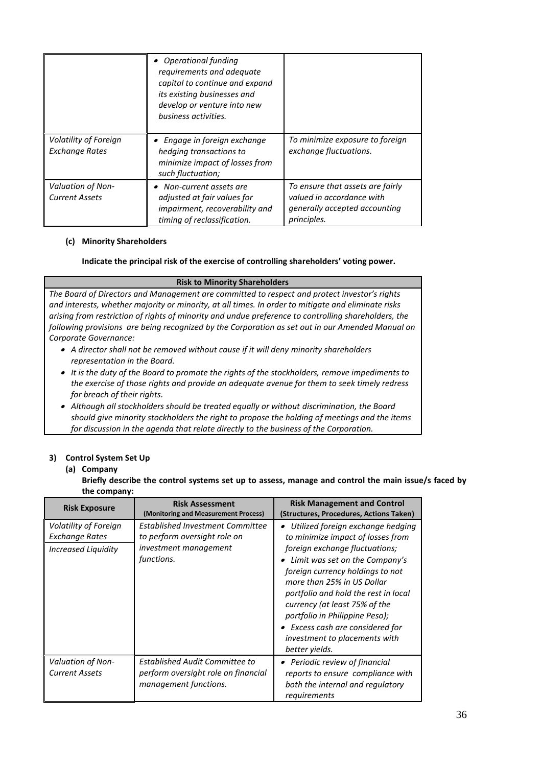|                                                   | • Operational funding<br>requirements and adequate<br>capital to continue and expand<br>its existing businesses and<br>develop or venture into new<br>business activities. |                                                                                                                      |
|---------------------------------------------------|----------------------------------------------------------------------------------------------------------------------------------------------------------------------------|----------------------------------------------------------------------------------------------------------------------|
| Volatility of Foreign<br><b>Exchange Rates</b>    | • Engage in foreign exchange<br>hedging transactions to<br>minimize impact of losses from<br>such fluctuation;                                                             | To minimize exposure to foreign<br>exchange fluctuations.                                                            |
| <b>Valuation of Non-</b><br><b>Current Assets</b> | • Non-current assets are<br>adjusted at fair values for<br>impairment, recoverability and<br>timing of reclassification.                                                   | To ensure that assets are fairly<br>valued in accordance with<br><i>generally accepted accounting</i><br>principles. |

# **(c) Minority Shareholders**

# **Indicate the principal risk of the exercise of controlling shareholders' voting power.**

# **Risk to Minority Shareholders**

*The Board of Directors and Management are committed to respect and protect investor's rights and interests, whether majority or minority, at all times. In order to mitigate and eliminate risks arising from restriction of rights of minority and undue preference to controlling shareholders, the following provisions are being recognized by the Corporation as set out in our Amended Manual on Corporate Governance:*

- *A director shall not be removed without cause if it will deny minority shareholders representation in the Board.*
- *It is the duty of the Board to promote the rights of the stockholders, remove impediments to the exercise of those rights and provide an adequate avenue for them to seek timely redress for breach of their rights.*
- *Although all stockholders should be treated equally or without discrimination, the Board should give minority stockholders the right to propose the holding of meetings and the items for discussion in the agenda that relate directly to the business of the Corporation.*

# **3) Control System Set Up**

# **(a) Company**

**Briefly describe the control systems set up to assess, manage and control the main issue/s faced by the company:**

| <b>Risk Exposure</b>                                           | <b>Risk Assessment</b><br>(Monitoring and Measurement Process)                                          | <b>Risk Management and Control</b><br>(Structures, Procedures, Actions Taken)                                                                                                                                                                                                                                                                                                                                              |
|----------------------------------------------------------------|---------------------------------------------------------------------------------------------------------|----------------------------------------------------------------------------------------------------------------------------------------------------------------------------------------------------------------------------------------------------------------------------------------------------------------------------------------------------------------------------------------------------------------------------|
| Volatility of Foreign<br>Exchange Rates<br>Increased Liquidity | Established Investment Committee<br>to perform oversight role on<br>investment management<br>functions. | $\bullet$ Utilized foreign exchange hedging<br>to minimize impact of losses from<br>foreign exchange fluctuations;<br>• Limit was set on the Company's<br>foreign currency holdings to not<br>more than 25% in US Dollar<br>portfolio and hold the rest in local<br>currency (at least 75% of the<br>portfolio in Philippine Peso);<br>• Excess cash are considered for<br>investment to placements with<br>better yields. |
| Valuation of Non-<br><b>Current Assets</b>                     | <b>Established Audit Committee to</b><br>perform oversight role on financial<br>management functions.   | • Periodic review of financial<br>reports to ensure compliance with<br>both the internal and regulatory<br>requirements                                                                                                                                                                                                                                                                                                    |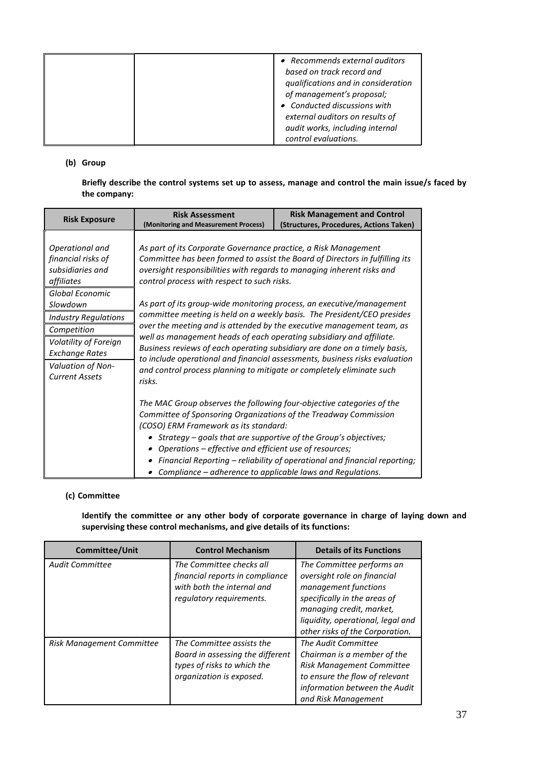| • Recommends external auditors<br>based on track record and<br>qualifications and in consideration<br>of management's proposal; |
|---------------------------------------------------------------------------------------------------------------------------------|
| • Conducted discussions with<br>external auditors on results of<br>audit works, including internal                              |
| control evaluations.                                                                                                            |

# **(b) Group**

**Briefly describe the control systems set up to assess, manage and control the main issue/s faced by the company:**

| <b>Risk Exposure</b>                                                    | <b>Risk Assessment</b><br>(Monitoring and Measurement Process)                                                                                                                                                                                                                                                                                                                               | <b>Risk Management and Control</b><br>(Structures, Procedures, Actions Taken) |  |
|-------------------------------------------------------------------------|----------------------------------------------------------------------------------------------------------------------------------------------------------------------------------------------------------------------------------------------------------------------------------------------------------------------------------------------------------------------------------------------|-------------------------------------------------------------------------------|--|
| Operational and<br>financial risks of<br>subsidiaries and<br>affiliates | As part of its Corporate Governance practice, a Risk Management<br>oversight responsibilities with regards to managing inherent risks and<br>control process with respect to such risks.                                                                                                                                                                                                     | Committee has been formed to assist the Board of Directors in fulfilling its  |  |
| Global Economic<br>Slowdown                                             | As part of its group-wide monitoring process, an executive/management                                                                                                                                                                                                                                                                                                                        |                                                                               |  |
| <b>Industry Regulations</b>                                             |                                                                                                                                                                                                                                                                                                                                                                                              | committee meeting is held on a weekly basis. The President/CEO presides       |  |
| Competition                                                             | over the meeting and is attended by the executive management team, as<br>well as management heads of each operating subsidiary and affiliate.<br>Business reviews of each operating subsidiary are done on a timely basis,<br>to include operational and financial assessments, business risks evaluation<br>and control process planning to mitigate or completely eliminate such<br>risks. |                                                                               |  |
| Volatility of Foreign<br><b>Exchange Rates</b>                          |                                                                                                                                                                                                                                                                                                                                                                                              |                                                                               |  |
| Valuation of Non-<br><b>Current Assets</b>                              |                                                                                                                                                                                                                                                                                                                                                                                              |                                                                               |  |
|                                                                         | The MAC Group observes the following four-objective categories of the<br>Committee of Sponsoring Organizations of the Treadway Commission<br>(COSO) ERM Framework as its standard:<br>• Strategy - goals that are supportive of the Group's objectives;<br>Operations – effective and efficient use of resources;                                                                            | Financial Reporting – reliability of operational and financial reporting;     |  |
|                                                                         | Compliance - adherence to applicable laws and Regulations.                                                                                                                                                                                                                                                                                                                                   |                                                                               |  |

# **(c) Committee**

**Identify the committee or any other body of corporate governance in charge of laying down and supervising these control mechanisms, and give details of its functions:**

| <b>Committee/Unit</b>     | <b>Control Mechanism</b>                                                                                                 | <b>Details of its Functions</b>                                                                                                                                                                                      |
|---------------------------|--------------------------------------------------------------------------------------------------------------------------|----------------------------------------------------------------------------------------------------------------------------------------------------------------------------------------------------------------------|
| <b>Audit Committee</b>    | The Committee checks all<br>financial reports in compliance<br>with both the internal and<br>regulatory requirements.    | The Committee performs an<br>oversight role on financial<br>management functions<br>specifically in the areas of<br>managing credit, market,<br>liquidity, operational, legal and<br>other risks of the Corporation. |
| Risk Management Committee | The Committee assists the<br>Board in assessing the different<br>types of risks to which the<br>organization is exposed. | The Audit Committee<br>Chairman is a member of the<br><b>Risk Management Committee</b><br>to ensure the flow of relevant<br>information between the Audit<br>and Risk Management                                     |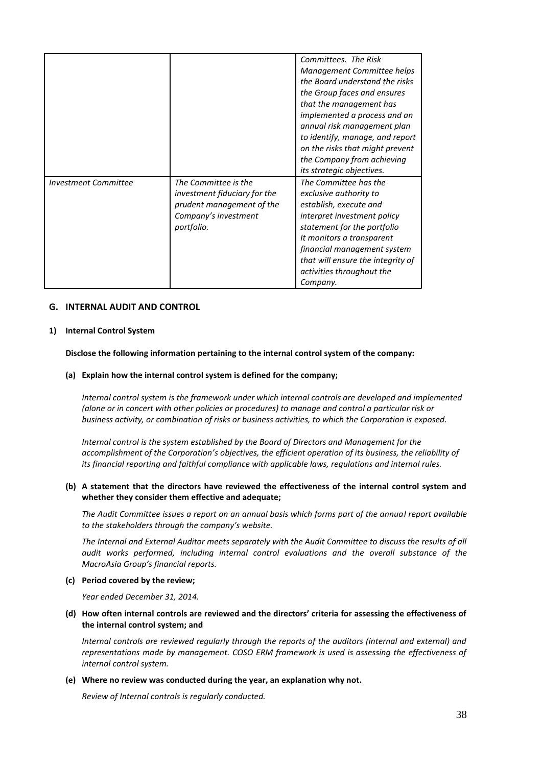|                             |                                                                                                                         | Committees. The Risk<br>Management Committee helps<br>the Board understand the risks<br>the Group faces and ensures<br>that the management has<br>implemented a process and an<br>annual risk management plan<br>to identify, manage, and report<br>on the risks that might prevent<br>the Company from achieving<br>its strategic objectives. |
|-----------------------------|-------------------------------------------------------------------------------------------------------------------------|------------------------------------------------------------------------------------------------------------------------------------------------------------------------------------------------------------------------------------------------------------------------------------------------------------------------------------------------|
| <b>Investment Committee</b> | The Committee is the<br>investment fiduciary for the<br>prudent management of the<br>Company's investment<br>portfolio. | The Committee has the<br>exclusive authority to<br>establish, execute and<br>interpret investment policy<br>statement for the portfolio<br>It monitors a transparent<br>financial management system<br>that will ensure the integrity of<br>activities throughout the<br>Company.                                                              |

# **G. INTERNAL AUDIT AND CONTROL**

#### **1) Internal Control System**

#### **Disclose the following information pertaining to the internal control system of the company:**

#### **(a) Explain how the internal control system is defined for the company;**

*Internal control system is the framework under which internal controls are developed and implemented (alone or in concert with other policies or procedures) to manage and control a particular risk or business activity, or combination of risks or business activities, to which the Corporation is exposed.* 

*Internal control is the system established by the Board of Directors and Management for the accomplishment of the Corporation's objectives, the efficient operation of its business, the reliability of its financial reporting and faithful compliance with applicable laws, regulations and internal rules.*

# **(b) A statement that the directors have reviewed the effectiveness of the internal control system and whether they consider them effective and adequate;**

*The Audit Committee issues a report on an annual basis which forms part of the annual report available to the stakeholders through the company's website.*

*The Internal and External Auditor meets separately with the Audit Committee to discuss the results of all audit works performed, including internal control evaluations and the overall substance of the MacroAsia Group's financial reports.* 

**(c) Period covered by the review;** 

*Year ended December 31, 2014.*

**(d) How often internal controls are reviewed and the directors' criteria for assessing the effectiveness of the internal control system; and**

*Internal controls are reviewed regularly through the reports of the auditors (internal and external) and representations made by management. COSO ERM framework is used is assessing the effectiveness of internal control system.*

#### **(e) Where no review was conducted during the year, an explanation why not.**

*Review of Internal controls is regularly conducted.*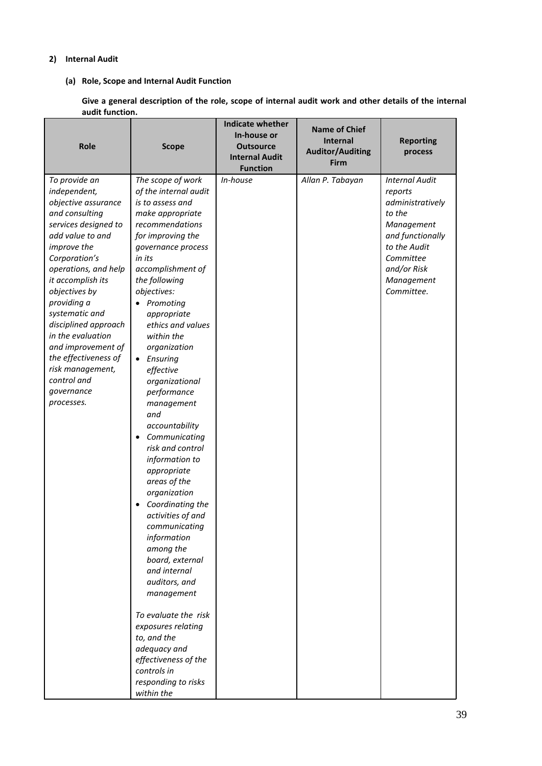# **2) Internal Audit**

# **(a) Role, Scope and Internal Audit Function**

**Give a general description of the role, scope of internal audit work and other details of the internal audit function.**

| <b>Role</b>                     | <b>Scope</b>                | <b>Indicate whether</b><br>In-house or<br><b>Outsource</b><br><b>Internal Audit</b> | <b>Name of Chief</b><br>Internal<br><b>Auditor/Auditing</b> | <b>Reporting</b><br>process |
|---------------------------------|-----------------------------|-------------------------------------------------------------------------------------|-------------------------------------------------------------|-----------------------------|
|                                 |                             | <b>Function</b>                                                                     | <b>Firm</b>                                                 |                             |
| To provide an                   | The scope of work           | In-house                                                                            | Allan P. Tabayan                                            | <b>Internal Audit</b>       |
| independent,                    | of the internal audit       |                                                                                     |                                                             | reports                     |
| objective assurance             | is to assess and            |                                                                                     |                                                             | administratively            |
| and consulting                  | make appropriate            |                                                                                     |                                                             | to the                      |
| services designed to            | recommendations             |                                                                                     |                                                             | Management                  |
| add value to and                | for improving the           |                                                                                     |                                                             | and functionally            |
| improve the                     | governance process          |                                                                                     |                                                             | to the Audit                |
| Corporation's                   | in its                      |                                                                                     |                                                             | Committee                   |
| operations, and help            | accomplishment of           |                                                                                     |                                                             | and/or Risk                 |
| it accomplish its               | the following               |                                                                                     |                                                             | Management                  |
| objectives by                   | objectives:                 |                                                                                     |                                                             | Committee.                  |
| providing a                     | • Promoting                 |                                                                                     |                                                             |                             |
| systematic and                  | appropriate                 |                                                                                     |                                                             |                             |
| disciplined approach            | ethics and values           |                                                                                     |                                                             |                             |
| in the evaluation               | within the                  |                                                                                     |                                                             |                             |
| and improvement of              | organization                |                                                                                     |                                                             |                             |
| the effectiveness of            | Ensuring<br>$\bullet$       |                                                                                     |                                                             |                             |
| risk management,<br>control and | effective                   |                                                                                     |                                                             |                             |
|                                 | organizational              |                                                                                     |                                                             |                             |
| governance                      | performance                 |                                                                                     |                                                             |                             |
| processes.                      | management                  |                                                                                     |                                                             |                             |
|                                 | and                         |                                                                                     |                                                             |                             |
|                                 | accountability              |                                                                                     |                                                             |                             |
|                                 | Communicating<br>$\bullet$  |                                                                                     |                                                             |                             |
|                                 | risk and control            |                                                                                     |                                                             |                             |
|                                 | information to              |                                                                                     |                                                             |                             |
|                                 | appropriate<br>areas of the |                                                                                     |                                                             |                             |
|                                 | organization                |                                                                                     |                                                             |                             |
|                                 | Coordinating the            |                                                                                     |                                                             |                             |
|                                 | activities of and           |                                                                                     |                                                             |                             |
|                                 | communicatina               |                                                                                     |                                                             |                             |
|                                 | information                 |                                                                                     |                                                             |                             |
|                                 | among the                   |                                                                                     |                                                             |                             |
|                                 | board, external             |                                                                                     |                                                             |                             |
|                                 | and internal                |                                                                                     |                                                             |                             |
|                                 | auditors, and               |                                                                                     |                                                             |                             |
|                                 | management                  |                                                                                     |                                                             |                             |
|                                 | To evaluate the risk        |                                                                                     |                                                             |                             |
|                                 | exposures relating          |                                                                                     |                                                             |                             |
|                                 | to, and the                 |                                                                                     |                                                             |                             |
|                                 | adequacy and                |                                                                                     |                                                             |                             |
|                                 | effectiveness of the        |                                                                                     |                                                             |                             |
|                                 | controls in                 |                                                                                     |                                                             |                             |
|                                 | responding to risks         |                                                                                     |                                                             |                             |
|                                 | within the                  |                                                                                     |                                                             |                             |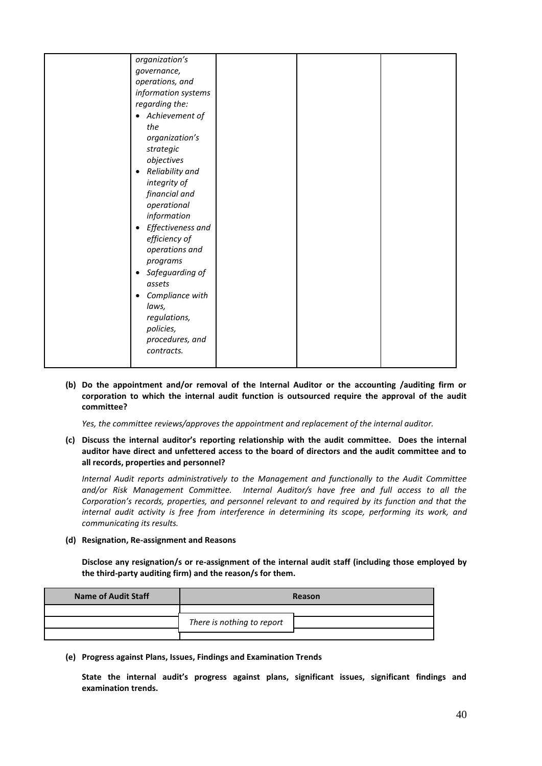| organization's                 |  |  |
|--------------------------------|--|--|
| governance,                    |  |  |
| operations, and                |  |  |
| information systems            |  |  |
| regarding the:                 |  |  |
| • Achievement of               |  |  |
| the                            |  |  |
| organization's                 |  |  |
| strategic                      |  |  |
| objectives                     |  |  |
| Reliability and<br>٠           |  |  |
| integrity of                   |  |  |
| financial and                  |  |  |
| operational                    |  |  |
| information                    |  |  |
| Effectiveness and<br>$\bullet$ |  |  |
| efficiency of                  |  |  |
| operations and                 |  |  |
| programs                       |  |  |
| Safeguarding of<br>٠           |  |  |
| assets                         |  |  |
| Compliance with<br>$\bullet$   |  |  |
| laws,                          |  |  |
| regulations,                   |  |  |
| policies,                      |  |  |
| procedures, and                |  |  |
| contracts.                     |  |  |
|                                |  |  |
|                                |  |  |

**(b) Do the appointment and/or removal of the Internal Auditor or the accounting /auditing firm or corporation to which the internal audit function is outsourced require the approval of the audit committee?**

*Yes, the committee reviews/approves the appointment and replacement of the internal auditor.*

**(c) Discuss the internal auditor's reporting relationship with the audit committee. Does the internal auditor have direct and unfettered access to the board of directors and the audit committee and to all records, properties and personnel?**

*Internal Audit reports administratively to the Management and functionally to the Audit Committee and/or Risk Management Committee. Internal Auditor/s have free and full access to all the Corporation's records, properties, and personnel relevant to and required by its function and that the internal audit activity is free from interference in determining its scope, performing its work, and communicating its results.*

**(d) Resignation, Re-assignment and Reasons**

**Disclose any resignation/s or re-assignment of the internal audit staff (including those employed by the third-party auditing firm) and the reason/s for them.**

| <b>Name of Audit Staff</b> | Reason                     |  |
|----------------------------|----------------------------|--|
|                            |                            |  |
|                            | There is nothing to report |  |
|                            |                            |  |

**(e) Progress against Plans, Issues, Findings and Examination Trends**

**State the internal audit's progress against plans, significant issues, significant findings and examination trends.**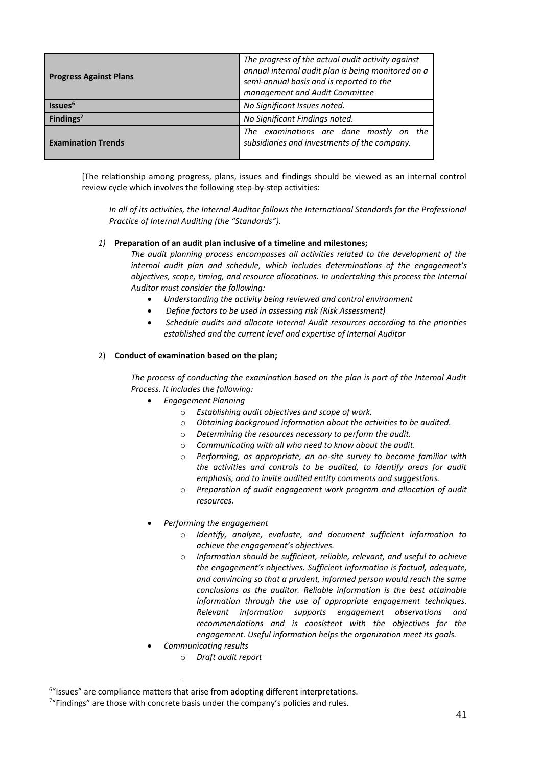| <b>Progress Against Plans</b> | The progress of the actual audit activity against<br>annual internal audit plan is being monitored on a<br>semi-annual basis and is reported to the<br>management and Audit Committee |  |
|-------------------------------|---------------------------------------------------------------------------------------------------------------------------------------------------------------------------------------|--|
| Issues <sup>6</sup>           | No Significant Issues noted.                                                                                                                                                          |  |
| Findings <sup>7</sup>         | No Significant Findings noted.                                                                                                                                                        |  |
| <b>Examination Trends</b>     | The examinations are done mostly on the<br>subsidiaries and investments of the company.                                                                                               |  |

[The relationship among progress, plans, issues and findings should be viewed as an internal control review cycle which involves the following step-by-step activities:

*In all of its activities, the Internal Auditor follows the International Standards for the Professional Practice of Internal Auditing (the "Standards").* 

# *1)* **Preparation of an audit plan inclusive of a timeline and milestones;**

*The audit planning process encompasses all activities related to the development of the internal audit plan and schedule, which includes determinations of the engagement's objectives, scope, timing, and resource allocations. In undertaking this process the Internal Auditor must consider the following:*

- *Understanding the activity being reviewed and control environment*
- *Define factors to be used in assessing risk (Risk Assessment)*
- *Schedule audits and allocate Internal Audit resources according to the priorities established and the current level and expertise of Internal Auditor*

# 2) **Conduct of examination based on the plan;**

*The process of conducting the examination based on the plan is part of the Internal Audit Process. It includes the following:*

- *Engagement Planning*
	- o *Establishing audit objectives and scope of work.*
	- o *Obtaining background information about the activities to be audited.*
	- o *Determining the resources necessary to perform the audit.*
	- o *Communicating with all who need to know about the audit.*
	- o *Performing, as appropriate, an on-site survey to become familiar with the activities and controls to be audited, to identify areas for audit emphasis, and to invite audited entity comments and suggestions.*
	- o *Preparation of audit engagement work program and allocation of audit resources.*
- *Performing the engagement*
	- o *Identify, analyze, evaluate, and document sufficient information to achieve the engagement's objectives.*
	- o *Information should be sufficient, reliable, relevant, and useful to achieve the engagement's objectives. Sufficient information is factual, adequate, and convincing so that a prudent, informed person would reach the same conclusions as the auditor. Reliable information is the best attainable information through the use of appropriate engagement techniques. Relevant information supports engagement observations and recommendations and is consistent with the objectives for the engagement. Useful information helps the organization meet its goals.*
- *Communicating results*
	- o *Draft audit report*

1

<sup>&</sup>lt;sup>6</sup>"Issues" are compliance matters that arise from adopting different interpretations.

 $7$ "Findings" are those with concrete basis under the company's policies and rules.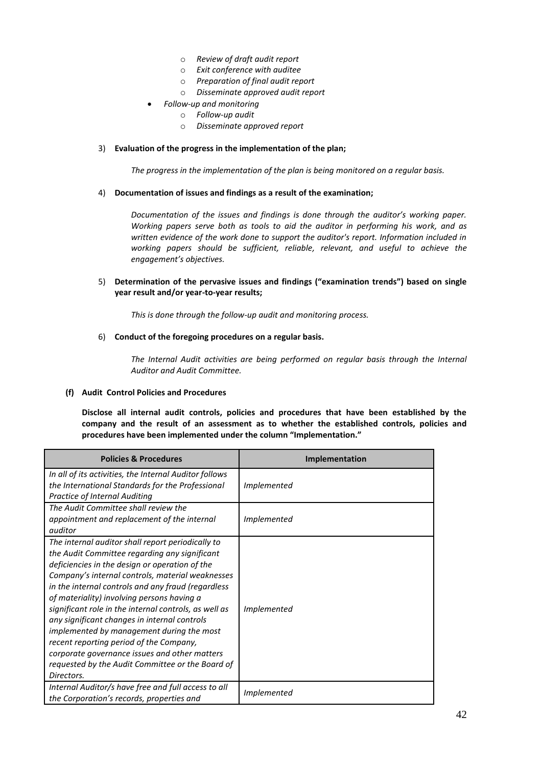- o *Review of draft audit report*
- o *Exit conference with auditee*
- o *Preparation of final audit report*
- o *Disseminate approved audit report*
- *Follow-up and monitoring*
	- o *Follow-up audit*
	- o *Disseminate approved report*

# 3) **Evaluation of the progress in the implementation of the plan;**

*The progress in the implementation of the plan is being monitored on a regular basis.*

#### 4) **Documentation of issues and findings as a result of the examination;**

*Documentation of the issues and findings is done through the auditor's working paper. Working papers serve both as tools to aid the auditor in performing his work, and as written evidence of the work done to support the auditor's report. Information included in working papers should be sufficient, reliable, relevant, and useful to achieve the engagement's objectives.*

# 5) **Determination of the pervasive issues and findings ("examination trends") based on single year result and/or year-to-year results;**

*This is done through the follow-up audit and monitoring process.* 

#### 6) **Conduct of the foregoing procedures on a regular basis.**

*The Internal Audit activities are being performed on regular basis through the Internal Auditor and Audit Committee.*

# **(f) Audit Control Policies and Procedures**

**Disclose all internal audit controls, policies and procedures that have been established by the company and the result of an assessment as to whether the established controls, policies and procedures have been implemented under the column "Implementation."**

| <b>Policies &amp; Procedures</b>                                                                                                                                                                                                                                                                                                                                                                                                                                                                                                                                                                                                 | Implementation     |
|----------------------------------------------------------------------------------------------------------------------------------------------------------------------------------------------------------------------------------------------------------------------------------------------------------------------------------------------------------------------------------------------------------------------------------------------------------------------------------------------------------------------------------------------------------------------------------------------------------------------------------|--------------------|
| In all of its activities, the Internal Auditor follows<br>the International Standards for the Professional<br>Practice of Internal Auditing                                                                                                                                                                                                                                                                                                                                                                                                                                                                                      | Implemented        |
| The Audit Committee shall review the<br>appointment and replacement of the internal<br>auditor                                                                                                                                                                                                                                                                                                                                                                                                                                                                                                                                   | Implemented        |
| The internal auditor shall report periodically to<br>the Audit Committee regarding any significant<br>deficiencies in the design or operation of the<br>Company's internal controls, material weaknesses<br>in the internal controls and any fraud (regardless<br>of materiality) involving persons having a<br>significant role in the internal controls, as well as<br>any significant changes in internal controls<br>implemented by management during the most<br>recent reporting period of the Company,<br>corporate governance issues and other matters<br>requested by the Audit Committee or the Board of<br>Directors. | <i>Implemented</i> |
| Internal Auditor/s have free and full access to all<br>the Corporation's records, properties and                                                                                                                                                                                                                                                                                                                                                                                                                                                                                                                                 | Implemented        |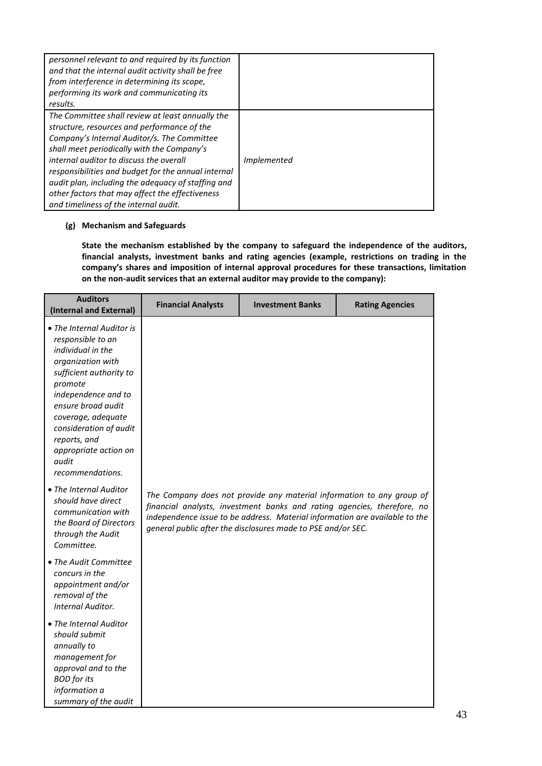| personnel relevant to and required by its function<br>and that the internal audit activity shall be free<br>from interference in determining its scope,<br>performing its work and communicating its<br>results.                                                                                                                                                                                                                                 |                    |
|--------------------------------------------------------------------------------------------------------------------------------------------------------------------------------------------------------------------------------------------------------------------------------------------------------------------------------------------------------------------------------------------------------------------------------------------------|--------------------|
| The Committee shall review at least annually the<br>structure, resources and performance of the<br>Company's Internal Auditor/s. The Committee<br>shall meet periodically with the Company's<br>internal auditor to discuss the overall<br>responsibilities and budget for the annual internal<br>audit plan, including the adequacy of staffing and<br>other factors that may affect the effectiveness<br>and timeliness of the internal audit. | <i>Implemented</i> |

# **(g) Mechanism and Safeguards**

**State the mechanism established by the company to safeguard the independence of the auditors, financial analysts, investment banks and rating agencies (example, restrictions on trading in the company's shares and imposition of internal approval procedures for these transactions, limitation on the non-audit services that an external auditor may provide to the company):**

| <b>Auditors</b><br>(Internal and External)                                                                                                                                                                                                                                                                                                                                                                             | <b>Financial Analysts</b> | <b>Investment Banks</b>                                                                                                                                                                                                                                                                         | <b>Rating Agencies</b> |
|------------------------------------------------------------------------------------------------------------------------------------------------------------------------------------------------------------------------------------------------------------------------------------------------------------------------------------------------------------------------------------------------------------------------|---------------------------|-------------------------------------------------------------------------------------------------------------------------------------------------------------------------------------------------------------------------------------------------------------------------------------------------|------------------------|
| • The Internal Auditor is<br>responsible to an<br>individual in the<br>organization with<br>sufficient authority to<br>promote<br>independence and to<br>ensure broad audit<br>coverage, adequate<br>consideration of audit<br>reports, and<br>appropriate action on<br>audit<br>recommendations.<br>• The Internal Auditor<br>should have direct<br>communication with<br>the Board of Directors<br>through the Audit |                           | The Company does not provide any material information to any group of<br>financial analysts, investment banks and rating agencies, therefore, no<br>independence issue to be address. Material information are available to the<br>general public after the disclosures made to PSE and/or SEC. |                        |
| Committee.<br>• The Audit Committee<br>concurs in the<br>appointment and/or<br>removal of the<br>Internal Auditor.                                                                                                                                                                                                                                                                                                     |                           |                                                                                                                                                                                                                                                                                                 |                        |
| • The Internal Auditor<br>should submit<br>annually to<br>management for<br>approval and to the<br><b>BOD</b> for its<br>information a<br>summary of the audit                                                                                                                                                                                                                                                         |                           |                                                                                                                                                                                                                                                                                                 |                        |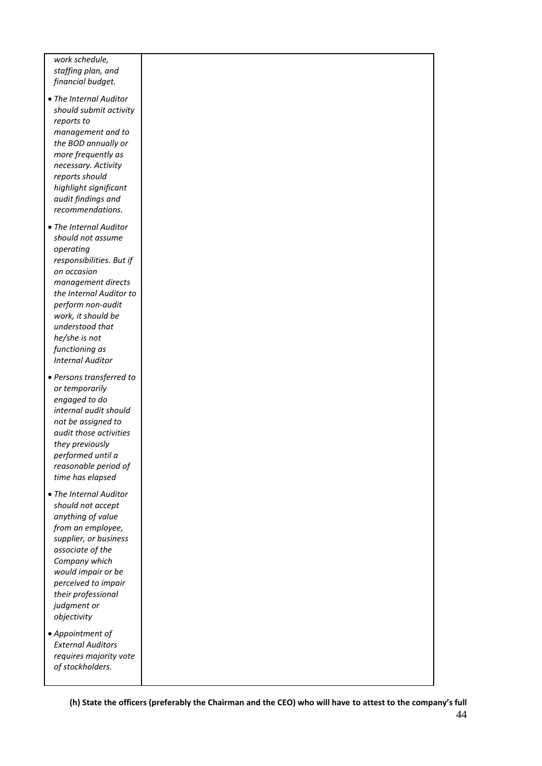*work schedule, staffing plan, and financial budget.* 

- *The Internal Auditor should submit activity reports to management and to the BOD annually or more frequently as necessary. Activity reports should highlight significant audit findings and recommendations.*
- *The Internal Auditor should not assume operating responsibilities. But if on occasion management directs the Internal Auditor to perform non-audit work, it should be understood that he/she is not functioning as Internal Auditor*
- *Persons transferred to or temporarily engaged to do internal audit should not be assigned to audit those activities they previously performed until a reasonable period of time has elapsed*
- *The Internal Auditor should not accept anything of value from an employee, supplier, or business associate of the Company which would impair or be perceived to impair their professional judgment or objectivity*
- *Appointment of External Auditors requires majority vote of stockholders.*

44 **(h) State the officers (preferably the Chairman and the CEO) who will have to attest to the company's full**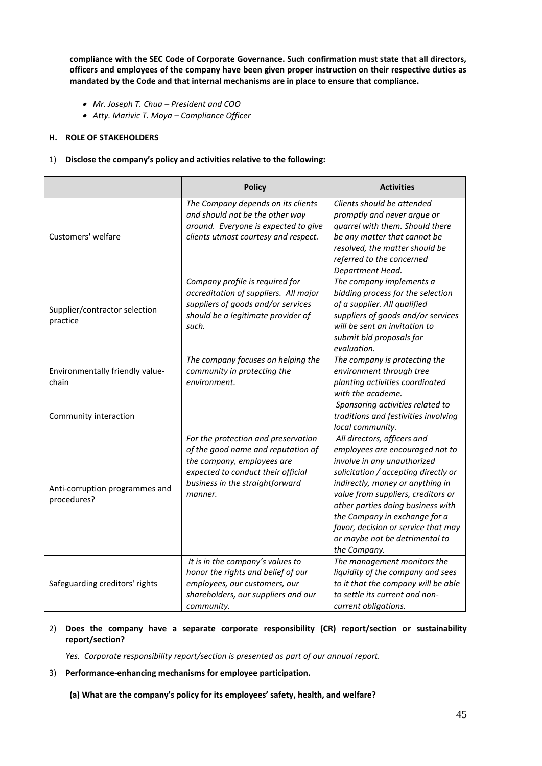**compliance with the SEC Code of Corporate Governance. Such confirmation must state that all directors, officers and employees of the company have been given proper instruction on their respective duties as mandated by the Code and that internal mechanisms are in place to ensure that compliance.**

- *Mr. Joseph T. Chua – President and COO*
- *Atty. Marivic T. Moya – Compliance Officer*

# **H. ROLE OF STAKEHOLDERS**

# 1) **Disclose the company's policy and activities relative to the following:**

|                                               | <b>Policy</b>                                                                                                                                                                               | <b>Activities</b>                                                                                                                                                                                                                                                                                                                                                              |
|-----------------------------------------------|---------------------------------------------------------------------------------------------------------------------------------------------------------------------------------------------|--------------------------------------------------------------------------------------------------------------------------------------------------------------------------------------------------------------------------------------------------------------------------------------------------------------------------------------------------------------------------------|
| Customers' welfare                            | The Company depends on its clients<br>and should not be the other way<br>around. Everyone is expected to give<br>clients utmost courtesy and respect.                                       | Clients should be attended<br>promptly and never argue or<br>quarrel with them. Should there<br>be any matter that cannot be<br>resolved, the matter should be<br>referred to the concerned<br>Department Head.                                                                                                                                                                |
| Supplier/contractor selection<br>practice     | Company profile is required for<br>accreditation of suppliers. All major<br>suppliers of goods and/or services<br>should be a legitimate provider of<br>such.                               | The company implements a<br>bidding process for the selection<br>of a supplier. All qualified<br>suppliers of goods and/or services<br>will be sent an invitation to<br>submit bid proposals for<br>evaluation.                                                                                                                                                                |
| Environmentally friendly value-<br>chain      | The company focuses on helping the<br>community in protecting the<br>environment.                                                                                                           | The company is protecting the<br>environment through tree<br>planting activities coordinated<br>with the academe.                                                                                                                                                                                                                                                              |
| Community interaction                         |                                                                                                                                                                                             | Sponsoring activities related to<br>traditions and festivities involving<br>local community.                                                                                                                                                                                                                                                                                   |
| Anti-corruption programmes and<br>procedures? | For the protection and preservation<br>of the good name and reputation of<br>the company, employees are<br>expected to conduct their official<br>business in the straightforward<br>manner. | All directors, officers and<br>employees are encouraged not to<br>involve in any unauthorized<br>solicitation / accepting directly or<br>indirectly, money or anything in<br>value from suppliers, creditors or<br>other parties doing business with<br>the Company in exchange for a<br>favor, decision or service that may<br>or maybe not be detrimental to<br>the Company. |
| Safeguarding creditors' rights                | It is in the company's values to<br>honor the rights and belief of our<br>employees, our customers, our<br>shareholders, our suppliers and our<br>community.                                | The management monitors the<br>liquidity of the company and sees<br>to it that the company will be able<br>to settle its current and non-<br>current obligations.                                                                                                                                                                                                              |

# 2) **Does the company have a separate corporate responsibility (CR) report/section or sustainability report/section?**

*Yes. Corporate responsibility report/section is presented as part of our annual report.*

# 3) **Performance-enhancing mechanisms for employee participation.**

**(a) What are the company's policy for its employees' safety, health, and welfare?**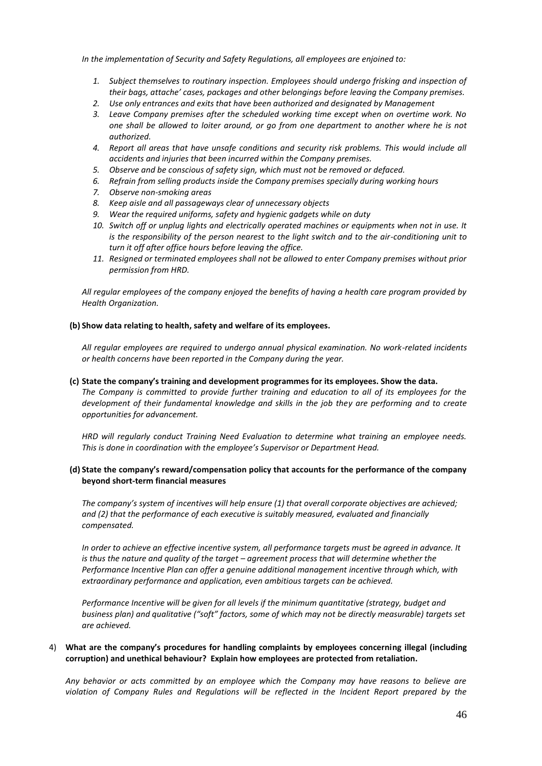*In the implementation of Security and Safety Regulations, all employees are enjoined to:*

- *1. Subject themselves to routinary inspection. Employees should undergo frisking and inspection of their bags, attache' cases, packages and other belongings before leaving the Company premises.*
- *2. Use only entrances and exits that have been authorized and designated by Management*
- *3. Leave Company premises after the scheduled working time except when on overtime work. No one shall be allowed to loiter around, or go from one department to another where he is not authorized.*
- *4. Report all areas that have unsafe conditions and security risk problems. This would include all accidents and injuries that been incurred within the Company premises.*
- *5. Observe and be conscious of safety sign, which must not be removed or defaced.*
- *6. Refrain from selling products inside the Company premises specially during working hours*
- *7. Observe non-smoking areas*
- *8. Keep aisle and all passageways clear of unnecessary objects*
- *9. Wear the required uniforms, safety and hygienic gadgets while on duty*
- *10. Switch off or unplug lights and electrically operated machines or equipments when not in use. It is the responsibility of the person nearest to the light switch and to the air-conditioning unit to turn it off after office hours before leaving the office.*
- *11. Resigned or terminated employees shall not be allowed to enter Company premises without prior permission from HRD.*

*All regular employees of the company enjoyed the benefits of having a health care program provided by Health Organization.*

#### **(b) Show data relating to health, safety and welfare of its employees.**

*All regular employees are required to undergo annual physical examination. No work-related incidents or health concerns have been reported in the Company during the year.*

#### **(c) State the company's training and development programmes for its employees. Show the data.**

*The Company is committed to provide further training and education to all of its employees for the development of their fundamental knowledge and skills in the job they are performing and to create opportunities for advancement.*

*HRD will regularly conduct Training Need Evaluation to determine what training an employee needs. This is done in coordination with the employee's Supervisor or Department Head.*

#### **(d) State the company's reward/compensation policy that accounts for the performance of the company beyond short-term financial measures**

*The company's system of incentives will help ensure (1) that overall corporate objectives are achieved; and (2) that the performance of each executive is suitably measured, evaluated and financially compensated.*

*In order to achieve an effective incentive system, all performance targets must be agreed in advance. It is thus the nature and quality of the target – agreement process that will determine whether the Performance Incentive Plan can offer a genuine additional management incentive through which, with extraordinary performance and application, even ambitious targets can be achieved.* 

*Performance Incentive will be given for all levels if the minimum quantitative (strategy, budget and business plan) and qualitative ("soft" factors, some of which may not be directly measurable) targets set are achieved.* 

#### 4) **What are the company's procedures for handling complaints by employees concerning illegal (including corruption) and unethical behaviour? Explain how employees are protected from retaliation.**

*Any behavior or acts committed by an employee which the Company may have reasons to believe are violation of Company Rules and Regulations will be reflected in the Incident Report prepared by the*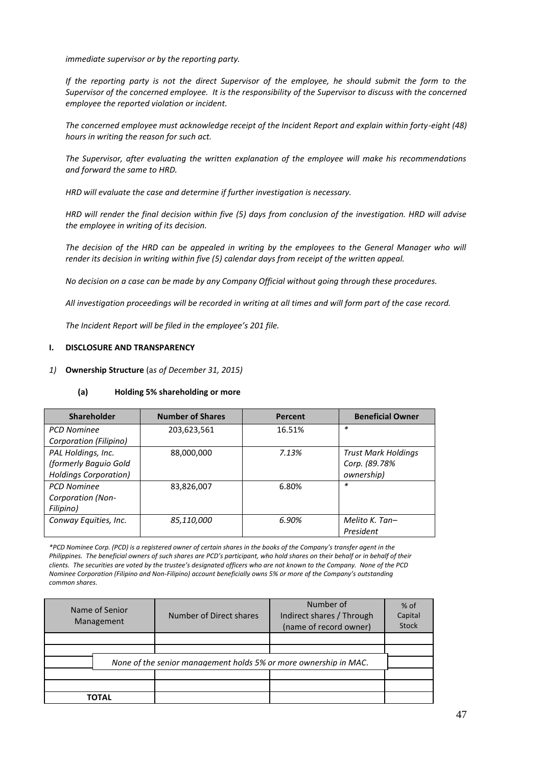*immediate supervisor or by the reporting party.*

*If the reporting party is not the direct Supervisor of the employee, he should submit the form to the Supervisor of the concerned employee. It is the responsibility of the Supervisor to discuss with the concerned employee the reported violation or incident.*

*The concerned employee must acknowledge receipt of the Incident Report and explain within forty-eight (48) hours in writing the reason for such act.*

*The Supervisor, after evaluating the written explanation of the employee will make his recommendations and forward the same to HRD.*

*HRD will evaluate the case and determine if further investigation is necessary.*

*HRD will render the final decision within five (5) days from conclusion of the investigation. HRD will advise the employee in writing of its decision.*

*The decision of the HRD can be appealed in writing by the employees to the General Manager who will render its decision in writing within five (5) calendar days from receipt of the written appeal.*

*No decision on a case can be made by any Company Official without going through these procedures.* 

*All investigation proceedings will be recorded in writing at all times and will form part of the case record.*

*The Incident Report will be filed in the employee's 201 file.*

#### **I. DISCLOSURE AND TRANSPARENCY**

*1)* **Ownership Structure** (a*s of December 31, 2015)*

#### **(a) Holding 5% shareholding or more**

| <b>Shareholder</b>           | <b>Number of Shares</b> | Percent | <b>Beneficial Owner</b>    |
|------------------------------|-------------------------|---------|----------------------------|
| <b>PCD Nominee</b>           | 203,623,561             | 16.51%  | $\ast$                     |
| Corporation (Filipino)       |                         |         |                            |
| PAL Holdings, Inc.           | 88,000,000              | 7.13%   | <b>Trust Mark Holdings</b> |
| (formerly Baguio Gold        |                         |         | Corp. (89.78%              |
| <b>Holdings Corporation)</b> |                         |         | ownership)                 |
| <b>PCD Nominee</b>           | 83,826,007              | 6.80%   | $\ast$                     |
| <b>Corporation (Non-</b>     |                         |         |                            |
| Filipino)                    |                         |         |                            |
| Conway Equities, Inc.        | 85,110,000              | 6.90%   | Melito K. Tan-             |
|                              |                         |         | President                  |

*\*PCD Nominee Corp. (PCD) is a registered owner of certain shares in the books of the Company's transfer agent in the Philippines. The beneficial owners of such shares are PCD's participant, who hold shares on their behalf or in behalf of their clients. The securities are voted by the trustee's designated officers who are not known to the Company. None of the PCD Nominee Corporation (Filipino and Non-Filipino) account beneficially owns 5% or more of the Company's outstanding common shares.*

| Name of Senior<br>Management | Number of Direct shares                                          | Number of<br>Indirect shares / Through<br>(name of record owner) | $%$ of<br>Capital<br><b>Stock</b> |
|------------------------------|------------------------------------------------------------------|------------------------------------------------------------------|-----------------------------------|
|                              |                                                                  |                                                                  |                                   |
|                              |                                                                  |                                                                  |                                   |
|                              | None of the senior management holds 5% or more ownership in MAC. |                                                                  |                                   |
|                              |                                                                  |                                                                  |                                   |
|                              |                                                                  |                                                                  |                                   |
| <b>TOTAL</b>                 |                                                                  |                                                                  |                                   |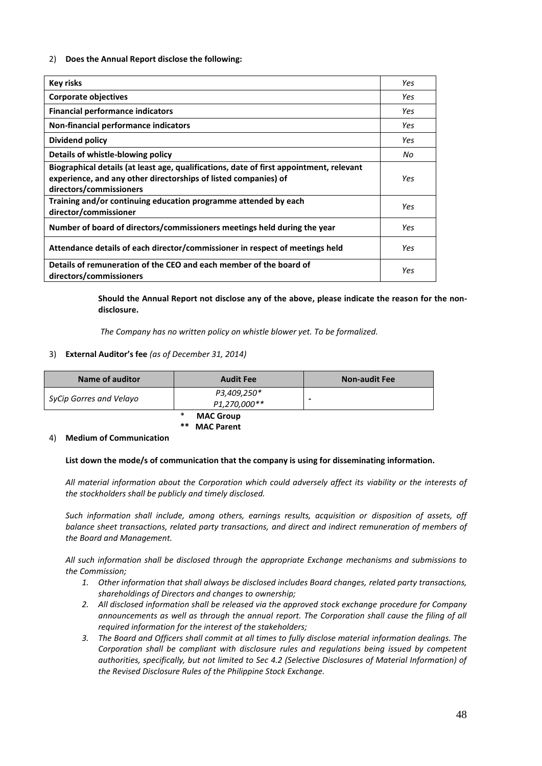# 2) **Does the Annual Report disclose the following:**

| Key risks                                                                                                                                                                             | Yes |
|---------------------------------------------------------------------------------------------------------------------------------------------------------------------------------------|-----|
| <b>Corporate objectives</b>                                                                                                                                                           | Yes |
| <b>Financial performance indicators</b>                                                                                                                                               | Yes |
| Non-financial performance indicators                                                                                                                                                  | Yes |
| Dividend policy                                                                                                                                                                       | Yes |
| Details of whistle-blowing policy                                                                                                                                                     | No  |
| Biographical details (at least age, qualifications, date of first appointment, relevant<br>experience, and any other directorships of listed companies) of<br>directors/commissioners | Yes |
| Training and/or continuing education programme attended by each<br>director/commissioner                                                                                              | Yes |
| Number of board of directors/commissioners meetings held during the year                                                                                                              | Yes |
| Attendance details of each director/commissioner in respect of meetings held                                                                                                          | Yes |
| Details of remuneration of the CEO and each member of the board of<br>directors/commissioners                                                                                         | Yes |

**Should the Annual Report not disclose any of the above, please indicate the reason for the nondisclosure.**

*The Company has no written policy on whistle blower yet. To be formalized.*

# 3) **External Auditor's fee** *(as of December 31, 2014)*

| Name of auditor         | <b>Audit Fee</b>            | <b>Non-audit Fee</b> |
|-------------------------|-----------------------------|----------------------|
| SyCip Gorres and Velayo | P3,409,250*<br>P1,270,000** | -                    |

**MAC Group MAC Parent** 

#### 4) **Medium of Communication**

# **List down the mode/s of communication that the company is using for disseminating information.**

*All material information about the Corporation which could adversely affect its viability or the interests of the stockholders shall be publicly and timely disclosed.*

*Such information shall include, among others, earnings results, acquisition or disposition of assets, off balance sheet transactions, related party transactions, and direct and indirect remuneration of members of the Board and Management.*

*All such information shall be disclosed through the appropriate Exchange mechanisms and submissions to the Commission;*

- *1. Other information that shall always be disclosed includes Board changes, related party transactions, shareholdings of Directors and changes to ownership;*
- *2. All disclosed information shall be released via the approved stock exchange procedure for Company announcements as well as through the annual report. The Corporation shall cause the filing of all required information for the interest of the stakeholders;*
- *3. The Board and Officers shall commit at all times to fully disclose material information dealings. The Corporation shall be compliant with disclosure rules and regulations being issued by competent authorities, specifically, but not limited to Sec 4.2 (Selective Disclosures of Material Information) of the Revised Disclosure Rules of the Philippine Stock Exchange.*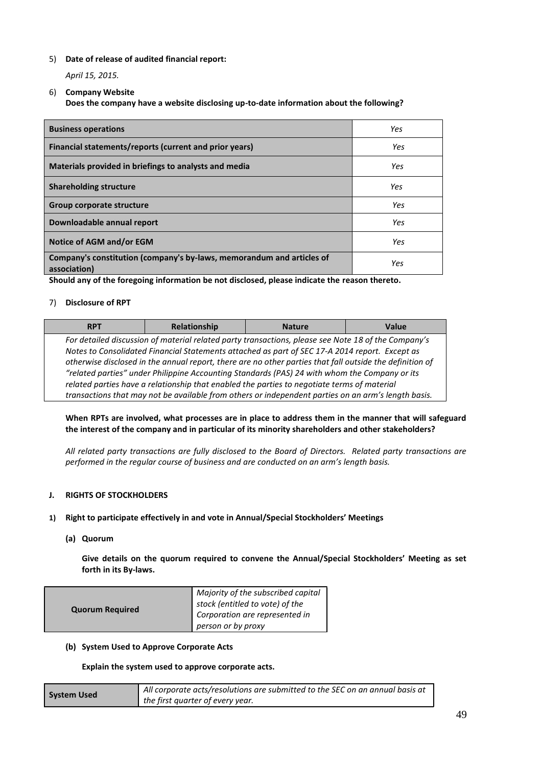# 5) **Date of release of audited financial report:**

# *April 15, 2015.*

# 6) **Company Website**

# **Does the company have a website disclosing up-to-date information about the following?**

| <b>Business operations</b>                                                            | Yes |
|---------------------------------------------------------------------------------------|-----|
| Financial statements/reports (current and prior years)                                | Yes |
| Materials provided in briefings to analysts and media                                 | Yes |
| <b>Shareholding structure</b>                                                         | Yes |
| Group corporate structure                                                             | Yes |
| Downloadable annual report                                                            | Yes |
| Notice of AGM and/or EGM                                                              | Yes |
| Company's constitution (company's by-laws, memorandum and articles of<br>association) | Yes |

**Should any of the foregoing information be not disclosed, please indicate the reason thereto.**

# 7) **Disclosure of RPT**

| <b>RPT</b>                                                                                    | Relationship                                                                                             | <b>Nature</b>                                                                                       | Value |
|-----------------------------------------------------------------------------------------------|----------------------------------------------------------------------------------------------------------|-----------------------------------------------------------------------------------------------------|-------|
|                                                                                               | For detailed discussion of material related party transactions, please see Note 18 of the Company's      |                                                                                                     |       |
|                                                                                               | Notes to Consolidated Financial Statements attached as part of SEC 17-A 2014 report. Except as           |                                                                                                     |       |
|                                                                                               | otherwise disclosed in the annual report, there are no other parties that fall outside the definition of |                                                                                                     |       |
| "related parties" under Philippine Accounting Standards (PAS) 24 with whom the Company or its |                                                                                                          |                                                                                                     |       |
|                                                                                               |                                                                                                          | related parties have a relationship that enabled the parties to negotiate terms of material         |       |
|                                                                                               |                                                                                                          | transactions that may not be available from others or independent parties on an arm's length basis. |       |

# **When RPTs are involved, what processes are in place to address them in the manner that will safeguard the interest of the company and in particular of its minority shareholders and other stakeholders?**

*All related party transactions are fully disclosed to the Board of Directors. Related party transactions are performed in the regular course of business and are conducted on an arm's length basis.*

# **J. RIGHTS OF STOCKHOLDERS**

# **1) Right to participate effectively in and vote in Annual/Special Stockholders' Meetings**

**(a) Quorum**

**Give details on the quorum required to convene the Annual/Special Stockholders' Meeting as set forth in its By-laws.** 

| <b>Quorum Required</b> | Majority of the subscribed capital<br>stock (entitled to vote) of the<br>Corporation are represented in<br>person or by proxy |
|------------------------|-------------------------------------------------------------------------------------------------------------------------------|
|------------------------|-------------------------------------------------------------------------------------------------------------------------------|

# **(b) System Used to Approve Corporate Acts**

**Explain the system used to approve corporate acts.** 

| <b>System Used</b> | All corporate acts/resolutions are submitted to the SEC on an annual basis at |
|--------------------|-------------------------------------------------------------------------------|
|                    | the first quarter of every year.                                              |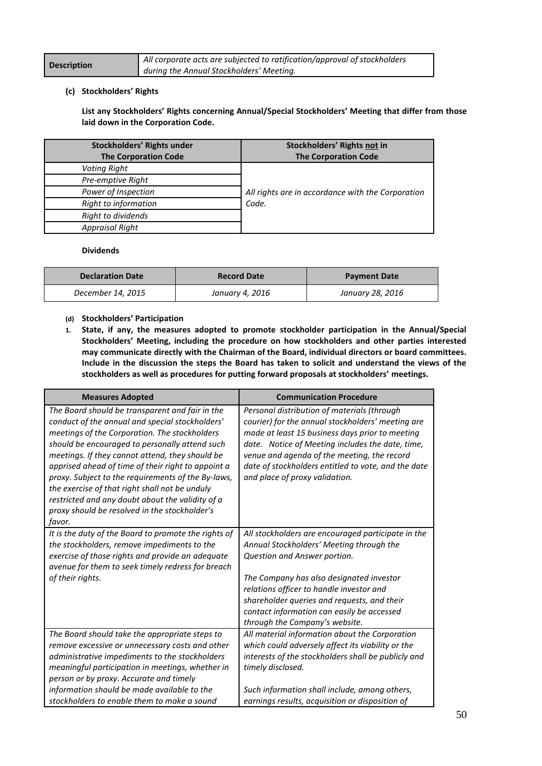|                    | All corporate acts are subjected to ratification/approval of stockholders |  |
|--------------------|---------------------------------------------------------------------------|--|
| <b>Description</b> | during the Annual Stockholders' Meeting.                                  |  |

# **(c) Stockholders' Rights**

**List any Stockholders' Rights concerning Annual/Special Stockholders' Meeting that differ from those laid down in the Corporation Code.**

| Stockholders' Rights under<br><b>The Corporation Code</b> | Stockholders' Rights not in<br><b>The Corporation Code</b> |
|-----------------------------------------------------------|------------------------------------------------------------|
| Voting Right                                              |                                                            |
| Pre-emptive Right                                         |                                                            |
| Power of Inspection                                       | All rights are in accordance with the Corporation          |
| Right to information                                      | Code.                                                      |
| Right to dividends                                        |                                                            |
| <b>Appraisal Right</b>                                    |                                                            |

# **Dividends**

| <b>Declaration Date</b> | <b>Record Date</b> | <b>Payment Date</b> |
|-------------------------|--------------------|---------------------|
| December 14, 2015       | January 4, 2016    | January 28, 2016    |

- **(d) Stockholders' Participation**
- **1. State, if any, the measures adopted to promote stockholder participation in the Annual/Special Stockholders' Meeting, including the procedure on how stockholders and other parties interested may communicate directly with the Chairman of the Board, individual directors or board committees. Include in the discussion the steps the Board has taken to solicit and understand the views of the stockholders as well as procedures for putting forward proposals at stockholders' meetings.**

| <b>Measures Adopted</b>                                                                                                                                                                                                                                                                                                                                                                                                                                                                                                               | <b>Communication Procedure</b>                                                                                                                                                                                                                                                                                                                        |  |
|---------------------------------------------------------------------------------------------------------------------------------------------------------------------------------------------------------------------------------------------------------------------------------------------------------------------------------------------------------------------------------------------------------------------------------------------------------------------------------------------------------------------------------------|-------------------------------------------------------------------------------------------------------------------------------------------------------------------------------------------------------------------------------------------------------------------------------------------------------------------------------------------------------|--|
| The Board should be transparent and fair in the<br>conduct of the annual and special stockholders'<br>meetings of the Corporation. The stockholders<br>should be encouraged to personally attend such<br>meetings. If they cannot attend, they should be<br>apprised ahead of time of their right to appoint a<br>proxy. Subject to the requirements of the By-laws,<br>the exercise of that right shall not be unduly<br>restricted and any doubt about the validity of a<br>proxy should be resolved in the stockholder's<br>favor. | Personal distribution of materials (through<br>courier) for the annual stockholders' meeting are<br>made at least 15 business days prior to meeting<br>date. Notice of Meeting includes the date, time,<br>venue and agenda of the meeting, the record<br>date of stockholders entitled to vote, and the date<br>and place of proxy validation.       |  |
| It is the duty of the Board to promote the rights of<br>the stockholders, remove impediments to the<br>exercise of those rights and provide an adequate<br>avenue for them to seek timely redress for breach<br>of their rights.                                                                                                                                                                                                                                                                                                      | All stockholders are encouraged participate in the<br>Annual Stockholders' Meeting through the<br>Question and Answer portion.<br>The Company has also designated investor<br>relations officer to handle investor and<br>shareholder queries and requests, and their<br>contact information can easily be accessed<br>through the Company's website. |  |
| The Board should take the appropriate steps to<br>remove excessive or unnecessary costs and other<br>administrative impediments to the stockholders<br>meaningful participation in meetings, whether in<br>person or by proxy. Accurate and timely<br>information should be made available to the<br>stockholders to enable them to make a sound                                                                                                                                                                                      | All material information about the Corporation<br>which could adversely affect its viability or the<br>interests of the stockholders shall be publicly and<br>timely disclosed.<br>Such information shall include, among others,<br>earnings results, acquisition or disposition of                                                                   |  |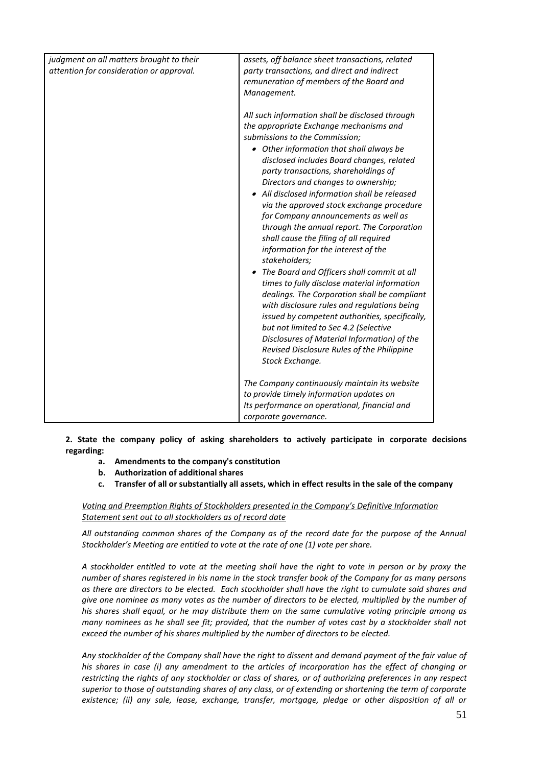| judgment on all matters brought to their<br>attention for consideration or approval. | assets, off balance sheet transactions, related<br>party transactions, and direct and indirect<br>remuneration of members of the Board and<br>Management.<br>All such information shall be disclosed through<br>the appropriate Exchange mechanisms and<br>submissions to the Commission;<br>• Other information that shall always be<br>disclosed includes Board changes, related<br>party transactions, shareholdings of<br>Directors and changes to ownership;<br>• All disclosed information shall be released<br>via the approved stock exchange procedure<br>for Company announcements as well as<br>through the annual report. The Corporation<br>shall cause the filing of all required<br>information for the interest of the |
|--------------------------------------------------------------------------------------|----------------------------------------------------------------------------------------------------------------------------------------------------------------------------------------------------------------------------------------------------------------------------------------------------------------------------------------------------------------------------------------------------------------------------------------------------------------------------------------------------------------------------------------------------------------------------------------------------------------------------------------------------------------------------------------------------------------------------------------|
|                                                                                      | The Board and Officers shall commit at all<br>times to fully disclose material information<br>dealings. The Corporation shall be compliant<br>with disclosure rules and regulations being<br>issued by competent authorities, specifically,<br>but not limited to Sec 4.2 (Selective<br>Disclosures of Material Information) of the<br>Revised Disclosure Rules of the Philippine<br>Stock Exchange.<br>The Company continuously maintain its website<br>to provide timely information updates on                                                                                                                                                                                                                                      |
|                                                                                      | Its performance on operational, financial and                                                                                                                                                                                                                                                                                                                                                                                                                                                                                                                                                                                                                                                                                          |
|                                                                                      | corporate governance.                                                                                                                                                                                                                                                                                                                                                                                                                                                                                                                                                                                                                                                                                                                  |

**2. State the company policy of asking shareholders to actively participate in corporate decisions regarding:**

- **a. Amendments to the company's constitution**
- **b. Authorization of additional shares**
- **c. Transfer of all or substantially all assets, which in effect results in the sale of the company**

*Voting and Preemption Rights of Stockholders presented in the Company's Definitive Information Statement sent out to all stockholders as of record date*

*All outstanding common shares of the Company as of the record date for the purpose of the Annual Stockholder's Meeting are entitled to vote at the rate of one (1) vote per share.*

*A stockholder entitled to vote at the meeting shall have the right to vote in person or by proxy the number of shares registered in his name in the stock transfer book of the Company for as many persons as there are directors to be elected. Each stockholder shall have the right to cumulate said shares and give one nominee as many votes as the number of directors to be elected, multiplied by the number of his shares shall equal, or he may distribute them on the same cumulative voting principle among as many nominees as he shall see fit; provided, that the number of votes cast by a stockholder shall not exceed the number of his shares multiplied by the number of directors to be elected.*

*Any stockholder of the Company shall have the right to dissent and demand payment of the fair value of his shares in case (i) any amendment to the articles of incorporation has the effect of changing or restricting the rights of any stockholder or class of shares, or of authorizing preferences in any respect superior to those of outstanding shares of any class, or of extending or shortening the term of corporate existence; (ii) any sale, lease, exchange, transfer, mortgage, pledge or other disposition of all or*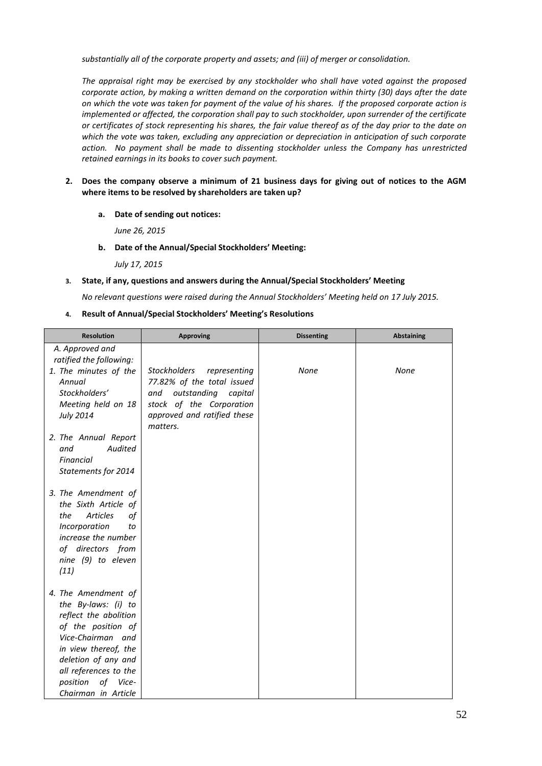*substantially all of the corporate property and assets; and (iii) of merger or consolidation.*

*The appraisal right may be exercised by any stockholder who shall have voted against the proposed corporate action, by making a written demand on the corporation within thirty (30) days after the date on which the vote was taken for payment of the value of his shares. If the proposed corporate action is implemented or affected, the corporation shall pay to such stockholder, upon surrender of the certificate or certificates of stock representing his shares, the fair value thereof as of the day prior to the date on which the vote was taken, excluding any appreciation or depreciation in anticipation of such corporate action. No payment shall be made to dissenting stockholder unless the Company has unrestricted retained earnings in its books to cover such payment.*

- **2. Does the company observe a minimum of 21 business days for giving out of notices to the AGM where items to be resolved by shareholders are taken up?**
	- **a. Date of sending out notices:**

*June 26, 2015*

**b. Date of the Annual/Special Stockholders' Meeting:**

*July 17, 2015*

#### **3. State, if any, questions and answers during the Annual/Special Stockholders' Meeting**

*No relevant questions were raised during the Annual Stockholders' Meeting held on 17 July 2015.*

**4. Result of Annual/Special Stockholders' Meeting's Resolutions**

| <b>Resolution</b>                          | <b>Approving</b>                    | <b>Dissenting</b> | <b>Abstaining</b> |
|--------------------------------------------|-------------------------------------|-------------------|-------------------|
| A. Approved and                            |                                     |                   |                   |
| ratified the following:                    |                                     |                   |                   |
| 1. The minutes of the                      | <b>Stockholders</b><br>representing | <b>None</b>       | None              |
| Annual                                     | 77.82% of the total issued          |                   |                   |
| Stockholders'                              | outstanding<br>capital<br>and       |                   |                   |
| Meeting held on 18                         | stock of the Corporation            |                   |                   |
| July 2014                                  | approved and ratified these         |                   |                   |
|                                            | matters.                            |                   |                   |
| 2. The Annual Report                       |                                     |                   |                   |
| Audited<br>and                             |                                     |                   |                   |
| Financial                                  |                                     |                   |                   |
| Statements for 2014                        |                                     |                   |                   |
| 3. The Amendment of                        |                                     |                   |                   |
| the Sixth Article of                       |                                     |                   |                   |
| <b>Articles</b><br>of<br>the               |                                     |                   |                   |
| Incorporation<br>to                        |                                     |                   |                   |
| increase the number                        |                                     |                   |                   |
| of directors from                          |                                     |                   |                   |
| nine (9) to eleven                         |                                     |                   |                   |
| (11)                                       |                                     |                   |                   |
|                                            |                                     |                   |                   |
| 4. The Amendment of<br>the By-laws: (i) to |                                     |                   |                   |
| reflect the abolition                      |                                     |                   |                   |
| of the position of                         |                                     |                   |                   |
| Vice-Chairman and                          |                                     |                   |                   |
| in view thereof, the                       |                                     |                   |                   |
| deletion of any and                        |                                     |                   |                   |
| all references to the                      |                                     |                   |                   |
| position<br>of Vice-                       |                                     |                   |                   |
| Chairman in Article                        |                                     |                   |                   |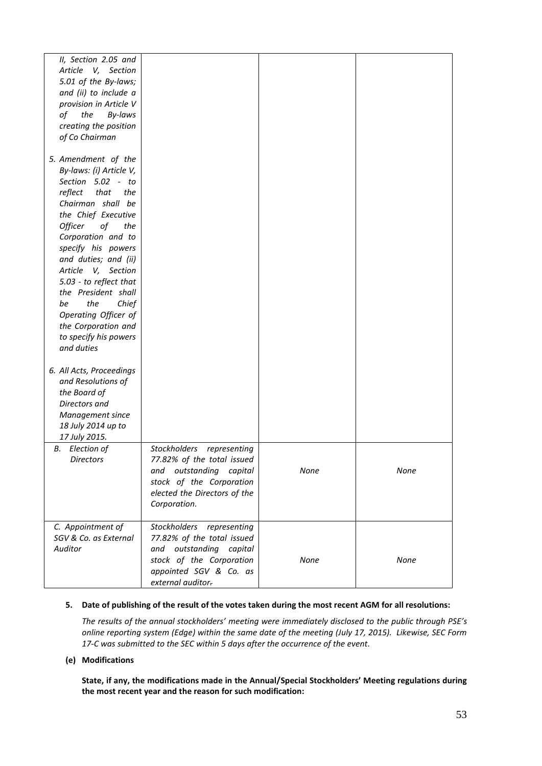| II, Section 2.05 and     |                              |      |      |
|--------------------------|------------------------------|------|------|
| Article V, Section       |                              |      |      |
| 5.01 of the By-laws;     |                              |      |      |
|                          |                              |      |      |
| and (ii) to include a    |                              |      |      |
| provision in Article V   |                              |      |      |
| the<br>By-laws<br>of     |                              |      |      |
| creating the position    |                              |      |      |
| of Co Chairman           |                              |      |      |
|                          |                              |      |      |
| 5. Amendment of the      |                              |      |      |
| By-laws: (i) Article V,  |                              |      |      |
| Section 5.02 - to        |                              |      |      |
| reflect<br>that<br>the   |                              |      |      |
| Chairman shall be        |                              |      |      |
| the Chief Executive      |                              |      |      |
| Officer<br>οf<br>the     |                              |      |      |
|                          |                              |      |      |
| Corporation and to       |                              |      |      |
| specify his powers       |                              |      |      |
| and duties; and (ii)     |                              |      |      |
| Article<br>V, Section    |                              |      |      |
| 5.03 - to reflect that   |                              |      |      |
| the President shall      |                              |      |      |
| the<br>be<br>Chief       |                              |      |      |
| Operating Officer of     |                              |      |      |
| the Corporation and      |                              |      |      |
| to specify his powers    |                              |      |      |
| and duties               |                              |      |      |
|                          |                              |      |      |
| 6. All Acts, Proceedings |                              |      |      |
| and Resolutions of       |                              |      |      |
| the Board of             |                              |      |      |
|                          |                              |      |      |
| Directors and            |                              |      |      |
| Management since         |                              |      |      |
| 18 July 2014 up to       |                              |      |      |
| 17 July 2015.            |                              |      |      |
| <b>B.</b> Election of    | Stockholders representing    |      |      |
| <b>Directors</b>         | 77.82% of the total issued   |      |      |
|                          | and outstanding capital      | None | None |
|                          | stock of the Corporation     |      |      |
|                          | elected the Directors of the |      |      |
|                          | Corporation.                 |      |      |
|                          |                              |      |      |
| C. Appointment of        | Stockholders<br>representing |      |      |
| SGV & Co. as External    | 77.82% of the total issued   |      |      |
| Auditor                  | and outstanding<br>capital   |      |      |
|                          |                              |      |      |
|                          | stock of the Corporation     | None | None |
|                          | appointed SGV & Co. as       |      |      |
|                          | external auditor.            |      |      |

# **5. Date of publishing of the result of the votes taken during the most recent AGM for all resolutions:**

*The results of the annual stockholders' meeting were immediately disclosed to the public through PSE's online reporting system (Edge) within the same date of the meeting (July 17, 2015). Likewise, SEC Form 17-C was submitted to the SEC within 5 days after the occurrence of the event.*

#### **(e) Modifications**

**State, if any, the modifications made in the Annual/Special Stockholders' Meeting regulations during the most recent year and the reason for such modification:**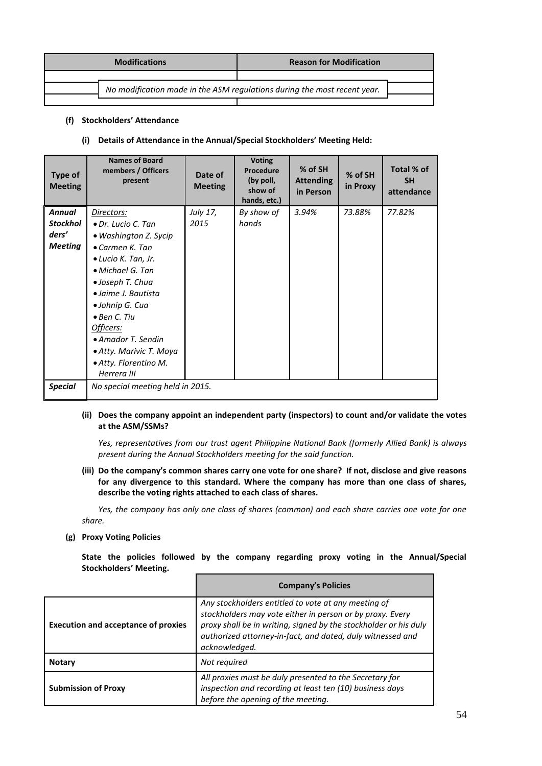|                                                                          | <b>Modifications</b> | <b>Reason for Modification</b> |  |
|--------------------------------------------------------------------------|----------------------|--------------------------------|--|
|                                                                          |                      |                                |  |
| No modification made in the ASM regulations during the most recent year. |                      |                                |  |
|                                                                          |                      |                                |  |

# **(f) Stockholders' Attendance**

# **(i) Details of Attendance in the Annual/Special Stockholders' Meeting Held:**

| Type of<br><b>Meeting</b>                                   | <b>Names of Board</b><br>members / Officers<br>present                                                                                                                                                                                                                                                                      | Date of<br><b>Meeting</b> | <b>Voting</b><br><b>Procedure</b><br>(by poll,<br>show of<br>hands, etc.) | % of SH<br><b>Attending</b><br>in Person | % of SH<br>in Proxy | Total % of<br><b>SH</b><br>attendance |
|-------------------------------------------------------------|-----------------------------------------------------------------------------------------------------------------------------------------------------------------------------------------------------------------------------------------------------------------------------------------------------------------------------|---------------------------|---------------------------------------------------------------------------|------------------------------------------|---------------------|---------------------------------------|
| <b>Annual</b><br><b>Stockhol</b><br>ders'<br><b>Meeting</b> | Directors:<br>• Dr. Lucio C. Tan<br>• Washington Z. Sycip<br>$\bullet$ Carmen K. Tan<br>• Lucio K. Tan, Jr.<br>• Michael G. Tan<br>• Joseph T. Chua<br>• Jaime J. Bautista<br>• Johnip G. Cua<br>$\bullet$ Ben C. Tiu<br>Officers:<br>• Amador T. Sendin<br>• Atty. Marivic T. Moya<br>• Atty. Florentino M.<br>Herrera III | July 17,<br>2015          | By show of<br>hands                                                       | 3.94%                                    | 73.88%              | 77.82%                                |
| <b>Special</b>                                              | No special meeting held in 2015.                                                                                                                                                                                                                                                                                            |                           |                                                                           |                                          |                     |                                       |

# **(ii) Does the company appoint an independent party (inspectors) to count and/or validate the votes at the ASM/SSMs?**

*Yes, representatives from our trust agent Philippine National Bank (formerly Allied Bank) is always present during the Annual Stockholders meeting for the said function.*

# **(iii) Do the company's common shares carry one vote for one share? If not, disclose and give reasons for any divergence to this standard. Where the company has more than one class of shares, describe the voting rights attached to each class of shares.**

*Yes, the company has only one class of shares (common) and each share carries one vote for one share.*

# **(g) Proxy Voting Policies**

**State the policies followed by the company regarding proxy voting in the Annual/Special Stockholders' Meeting.**

|                                            | <b>Company's Policies</b>                                                                                                                                                                                                                                           |
|--------------------------------------------|---------------------------------------------------------------------------------------------------------------------------------------------------------------------------------------------------------------------------------------------------------------------|
| <b>Execution and acceptance of proxies</b> | Any stockholders entitled to vote at any meeting of<br>stockholders may vote either in person or by proxy. Every<br>proxy shall be in writing, signed by the stockholder or his duly<br>authorized attorney-in-fact, and dated, duly witnessed and<br>acknowledged. |
| <b>Notary</b>                              | Not required                                                                                                                                                                                                                                                        |
| <b>Submission of Proxy</b>                 | All proxies must be duly presented to the Secretary for<br>inspection and recording at least ten (10) business days<br>before the opening of the meeting.                                                                                                           |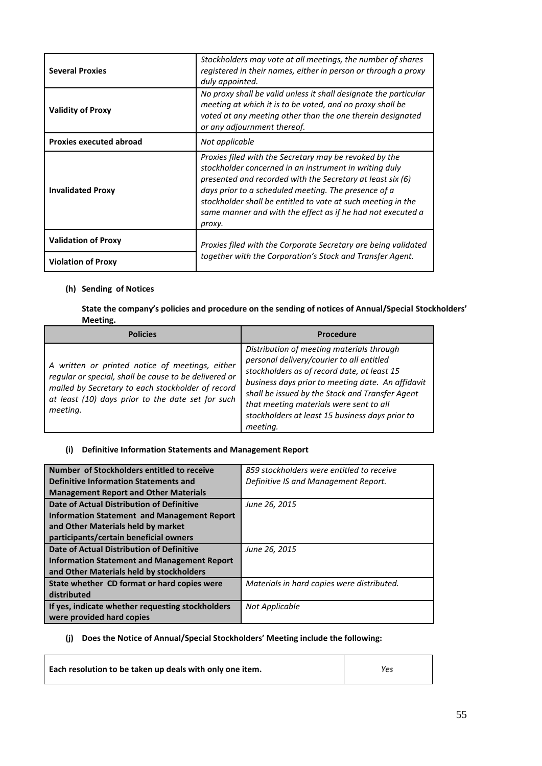| <b>Several Proxies</b>         | Stockholders may vote at all meetings, the number of shares<br>registered in their names, either in person or through a proxy<br>duly appointed.                                                                                                                                                                                                                                |  |
|--------------------------------|---------------------------------------------------------------------------------------------------------------------------------------------------------------------------------------------------------------------------------------------------------------------------------------------------------------------------------------------------------------------------------|--|
| <b>Validity of Proxy</b>       | No proxy shall be valid unless it shall designate the particular<br>meeting at which it is to be voted, and no proxy shall be<br>voted at any meeting other than the one therein designated<br>or any adjournment thereof.                                                                                                                                                      |  |
| <b>Proxies executed abroad</b> | Not applicable                                                                                                                                                                                                                                                                                                                                                                  |  |
| <b>Invalidated Proxy</b>       | Proxies filed with the Secretary may be revoked by the<br>stockholder concerned in an instrument in writing duly<br>presented and recorded with the Secretary at least six (6)<br>days prior to a scheduled meeting. The presence of a<br>stockholder shall be entitled to vote at such meeting in the<br>same manner and with the effect as if he had not executed a<br>proxy. |  |
| <b>Validation of Proxy</b>     | Proxies filed with the Corporate Secretary are being validated                                                                                                                                                                                                                                                                                                                  |  |
| <b>Violation of Proxy</b>      | together with the Corporation's Stock and Transfer Agent.                                                                                                                                                                                                                                                                                                                       |  |

# **(h) Sending of Notices**

**State the company's policies and procedure on the sending of notices of Annual/Special Stockholders' Meeting.**

| <b>Policies</b>                                                                                                                                                                                                                | Procedure                                                                                                                                                                                                                                                                                                                                               |
|--------------------------------------------------------------------------------------------------------------------------------------------------------------------------------------------------------------------------------|---------------------------------------------------------------------------------------------------------------------------------------------------------------------------------------------------------------------------------------------------------------------------------------------------------------------------------------------------------|
| A written or printed notice of meetings, either<br>regular or special, shall be cause to be delivered or<br>mailed by Secretary to each stockholder of record<br>at least (10) days prior to the date set for such<br>meeting. | Distribution of meeting materials through<br>personal delivery/courier to all entitled<br>stockholders as of record date, at least 15<br>business days prior to meeting date. An affidavit<br>shall be issued by the Stock and Transfer Agent<br>that meeting materials were sent to all<br>stockholders at least 15 business days prior to<br>meeting. |

# **(i) Definitive Information Statements and Management Report**

| Number of Stockholders entitled to receive         | 859 stockholders were entitled to receive  |
|----------------------------------------------------|--------------------------------------------|
| <b>Definitive Information Statements and</b>       | Definitive IS and Management Report.       |
| <b>Management Report and Other Materials</b>       |                                            |
| Date of Actual Distribution of Definitive          | June 26, 2015                              |
| Information Statement and Management Report        |                                            |
| and Other Materials held by market                 |                                            |
| participants/certain beneficial owners             |                                            |
| Date of Actual Distribution of Definitive          | June 26, 2015                              |
| <b>Information Statement and Management Report</b> |                                            |
| and Other Materials held by stockholders           |                                            |
| State whether CD format or hard copies were        | Materials in hard copies were distributed. |
| distributed                                        |                                            |
| If yes, indicate whether requesting stockholders   | Not Applicable                             |
| were provided hard copies                          |                                            |

# **(j) Does the Notice of Annual/Special Stockholders' Meeting include the following:**

| Each resolution to be taken up deals with only one item. | Yes |
|----------------------------------------------------------|-----|
|                                                          |     |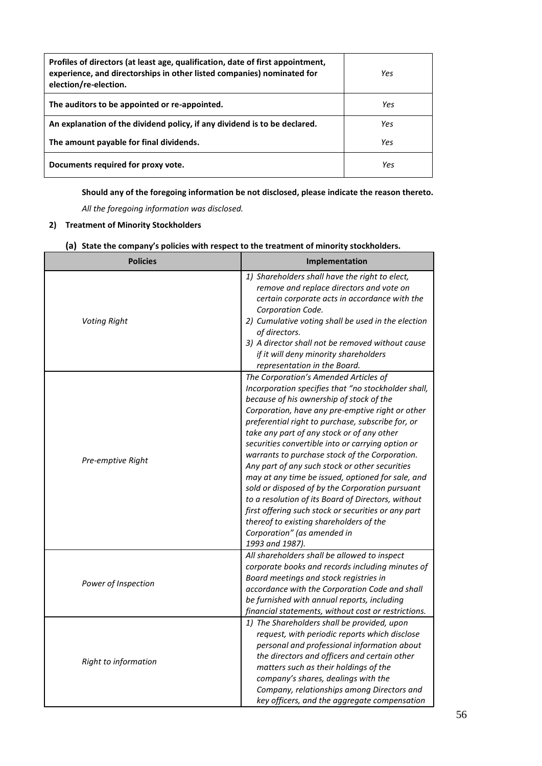| Profiles of directors (at least age, qualification, date of first appointment,<br>experience, and directorships in other listed companies) nominated for<br>election/re-election. | Yes |
|-----------------------------------------------------------------------------------------------------------------------------------------------------------------------------------|-----|
| The auditors to be appointed or re-appointed.                                                                                                                                     | Yes |
| An explanation of the dividend policy, if any dividend is to be declared.                                                                                                         | Yes |
| The amount payable for final dividends.                                                                                                                                           | Yes |
| Documents required for proxy vote.                                                                                                                                                | Yes |

**Should any of the foregoing information be not disclosed, please indicate the reason thereto.**

*All the foregoing information was disclosed.*

# **2) Treatment of Minority Stockholders**

| <b>Policies</b>      | Implementation                                                                                                                                                                                                                                                                                                                                                                                                                                                                                                                                                                                                                                                                                                                                                             |  |  |
|----------------------|----------------------------------------------------------------------------------------------------------------------------------------------------------------------------------------------------------------------------------------------------------------------------------------------------------------------------------------------------------------------------------------------------------------------------------------------------------------------------------------------------------------------------------------------------------------------------------------------------------------------------------------------------------------------------------------------------------------------------------------------------------------------------|--|--|
| <b>Voting Right</b>  | 1) Shareholders shall have the right to elect,<br>remove and replace directors and vote on<br>certain corporate acts in accordance with the<br>Corporation Code.<br>2) Cumulative voting shall be used in the election<br>of directors.<br>3) A director shall not be removed without cause<br>if it will deny minority shareholders<br>representation in the Board.                                                                                                                                                                                                                                                                                                                                                                                                       |  |  |
| Pre-emptive Right    | The Corporation's Amended Articles of<br>Incorporation specifies that "no stockholder shall,<br>because of his ownership of stock of the<br>Corporation, have any pre-emptive right or other<br>preferential right to purchase, subscribe for, or<br>take any part of any stock or of any other<br>securities convertible into or carrying option or<br>warrants to purchase stock of the Corporation.<br>Any part of any such stock or other securities<br>may at any time be issued, optioned for sale, and<br>sold or disposed of by the Corporation pursuant<br>to a resolution of its Board of Directors, without<br>first offering such stock or securities or any part<br>thereof to existing shareholders of the<br>Corporation" (as amended in<br>1993 and 1987). |  |  |
| Power of Inspection  | All shareholders shall be allowed to inspect<br>corporate books and records including minutes of<br>Board meetings and stock registries in<br>accordance with the Corporation Code and shall<br>be furnished with annual reports, including<br>financial statements, without cost or restrictions.                                                                                                                                                                                                                                                                                                                                                                                                                                                                         |  |  |
| Right to information | 1) The Shareholders shall be provided, upon<br>request, with periodic reports which disclose<br>personal and professional information about<br>the directors and officers and certain other<br>matters such as their holdings of the<br>company's shares, dealings with the<br>Company, relationships among Directors and<br>key officers, and the aggregate compensation                                                                                                                                                                                                                                                                                                                                                                                                  |  |  |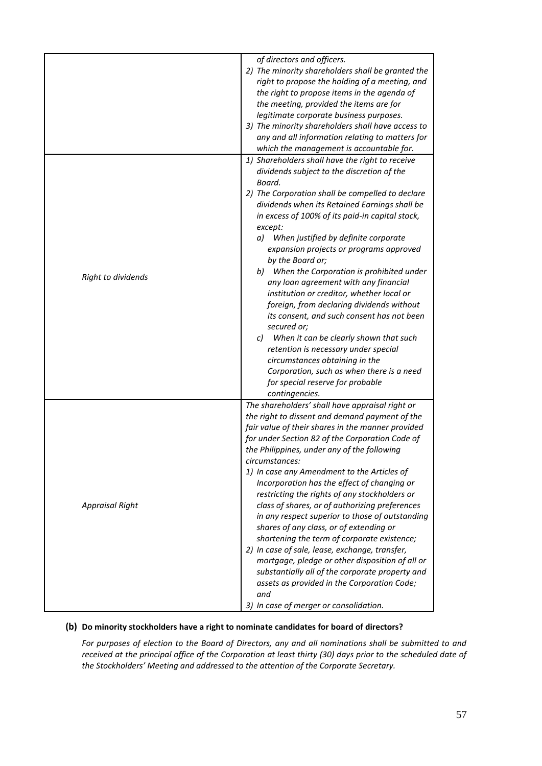|                        | of directors and officers.<br>2) The minority shareholders shall be granted the<br>right to propose the holding of a meeting, and<br>the right to propose items in the agenda of<br>the meeting, provided the items are for<br>legitimate corporate business purposes.<br>3) The minority shareholders shall have access to<br>any and all information relating to matters for<br>which the management is accountable for.                                                                                                                                                                                                                                                                                                                                                                                                                                                       |
|------------------------|----------------------------------------------------------------------------------------------------------------------------------------------------------------------------------------------------------------------------------------------------------------------------------------------------------------------------------------------------------------------------------------------------------------------------------------------------------------------------------------------------------------------------------------------------------------------------------------------------------------------------------------------------------------------------------------------------------------------------------------------------------------------------------------------------------------------------------------------------------------------------------|
| Right to dividends     | 1) Shareholders shall have the right to receive<br>dividends subject to the discretion of the<br>Board.<br>2) The Corporation shall be compelled to declare<br>dividends when its Retained Earnings shall be<br>in excess of 100% of its paid-in capital stock,<br>except:<br>a) When justified by definite corporate<br>expansion projects or programs approved<br>by the Board or;<br>b) When the Corporation is prohibited under<br>any loan agreement with any financial                                                                                                                                                                                                                                                                                                                                                                                                     |
|                        | institution or creditor, whether local or<br>foreign, from declaring dividends without<br>its consent, and such consent has not been<br>secured or;<br>c) When it can be clearly shown that such<br>retention is necessary under special<br>circumstances obtaining in the<br>Corporation, such as when there is a need<br>for special reserve for probable<br>contingencies.                                                                                                                                                                                                                                                                                                                                                                                                                                                                                                    |
| <b>Appraisal Right</b> | The shareholders' shall have appraisal right or<br>the right to dissent and demand payment of the<br>fair value of their shares in the manner provided<br>for under Section 82 of the Corporation Code of<br>the Philippines, under any of the following<br>circumstances:<br>1) In case any Amendment to the Articles of<br>Incorporation has the effect of changing or<br>restricting the rights of any stockholders or<br>class of shares, or of authorizing preferences<br>in any respect superior to those of outstanding<br>shares of any class, or of extending or<br>shortening the term of corporate existence;<br>2) In case of sale, lease, exchange, transfer,<br>mortgage, pledge or other disposition of all or<br>substantially all of the corporate property and<br>assets as provided in the Corporation Code;<br>and<br>3) In case of merger or consolidation. |

# **(b) Do minority stockholders have a right to nominate candidates for board of directors?**

*For purposes of election to the Board of Directors, any and all nominations shall be submitted to and received at the principal office of the Corporation at least thirty (30) days prior to the scheduled date of the Stockholders' Meeting and addressed to the attention of the Corporate Secretary.*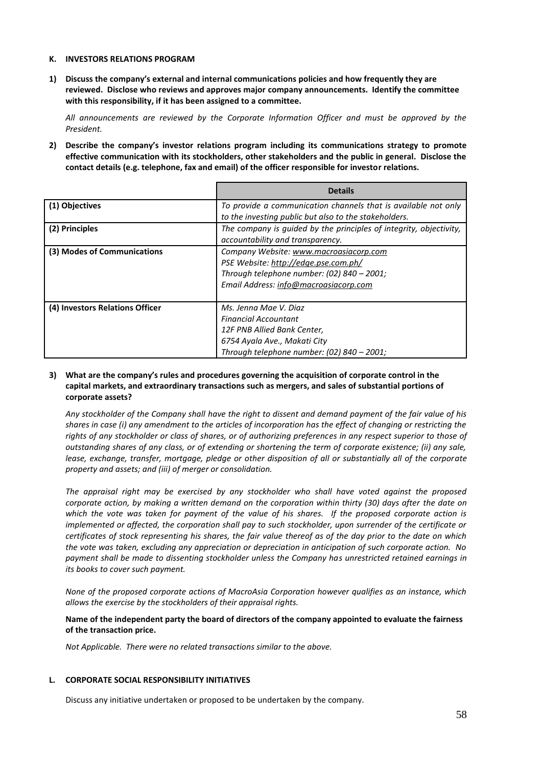#### **K. INVESTORS RELATIONS PROGRAM**

**1) Discuss the company's external and internal communications policies and how frequently they are reviewed. Disclose who reviews and approves major company announcements. Identify the committee with this responsibility, if it has been assigned to a committee.**

*All announcements are reviewed by the Corporate Information Officer and must be approved by the President.*

**2) Describe the company's investor relations program including its communications strategy to promote effective communication with its stockholders, other stakeholders and the public in general. Disclose the contact details (e.g. telephone, fax and email) of the officer responsible for investor relations.**

|                                 | <b>Details</b>                                                                                                                                                        |
|---------------------------------|-----------------------------------------------------------------------------------------------------------------------------------------------------------------------|
| (1) Objectives                  | To provide a communication channels that is available not only<br>to the investing public but also to the stakeholders.                                               |
| (2) Principles                  | The company is guided by the principles of integrity, objectivity,<br>accountability and transparency.                                                                |
| (3) Modes of Communications     | Company Website: www.macroasiacorp.com<br>PSE Website: http://edge.pse.com.ph/<br>Through telephone number: (02) 840 - 2001;<br>Email Address: info@macroasiacorp.com |
| (4) Investors Relations Officer | Ms. Jenna Mae V. Diaz<br><b>Financial Accountant</b><br>12F PNB Allied Bank Center,<br>6754 Ayala Ave., Makati City<br>Through telephone number: (02) 840 - 2001;     |

# **3) What are the company's rules and procedures governing the acquisition of corporate control in the capital markets, and extraordinary transactions such as mergers, and sales of substantial portions of corporate assets?**

*Any stockholder of the Company shall have the right to dissent and demand payment of the fair value of his shares in case (i) any amendment to the articles of incorporation has the effect of changing or restricting the*  rights of any stockholder or class of shares, or of authorizing preferences in any respect superior to those of *outstanding shares of any class, or of extending or shortening the term of corporate existence; (ii) any sale, lease, exchange, transfer, mortgage, pledge or other disposition of all or substantially all of the corporate property and assets; and (iii) of merger or consolidation.*

*The appraisal right may be exercised by any stockholder who shall have voted against the proposed corporate action, by making a written demand on the corporation within thirty (30) days after the date on which the vote was taken for payment of the value of his shares. If the proposed corporate action is implemented or affected, the corporation shall pay to such stockholder, upon surrender of the certificate or certificates of stock representing his shares, the fair value thereof as of the day prior to the date on which the vote was taken, excluding any appreciation or depreciation in anticipation of such corporate action. No payment shall be made to dissenting stockholder unless the Company has unrestricted retained earnings in its books to cover such payment.*

*None of the proposed corporate actions of MacroAsia Corporation however qualifies as an instance, which allows the exercise by the stockholders of their appraisal rights.*

# **Name of the independent party the board of directors of the company appointed to evaluate the fairness of the transaction price.**

*Not Applicable. There were no related transactions similar to the above.*

# **L. CORPORATE SOCIAL RESPONSIBILITY INITIATIVES**

Discuss any initiative undertaken or proposed to be undertaken by the company.